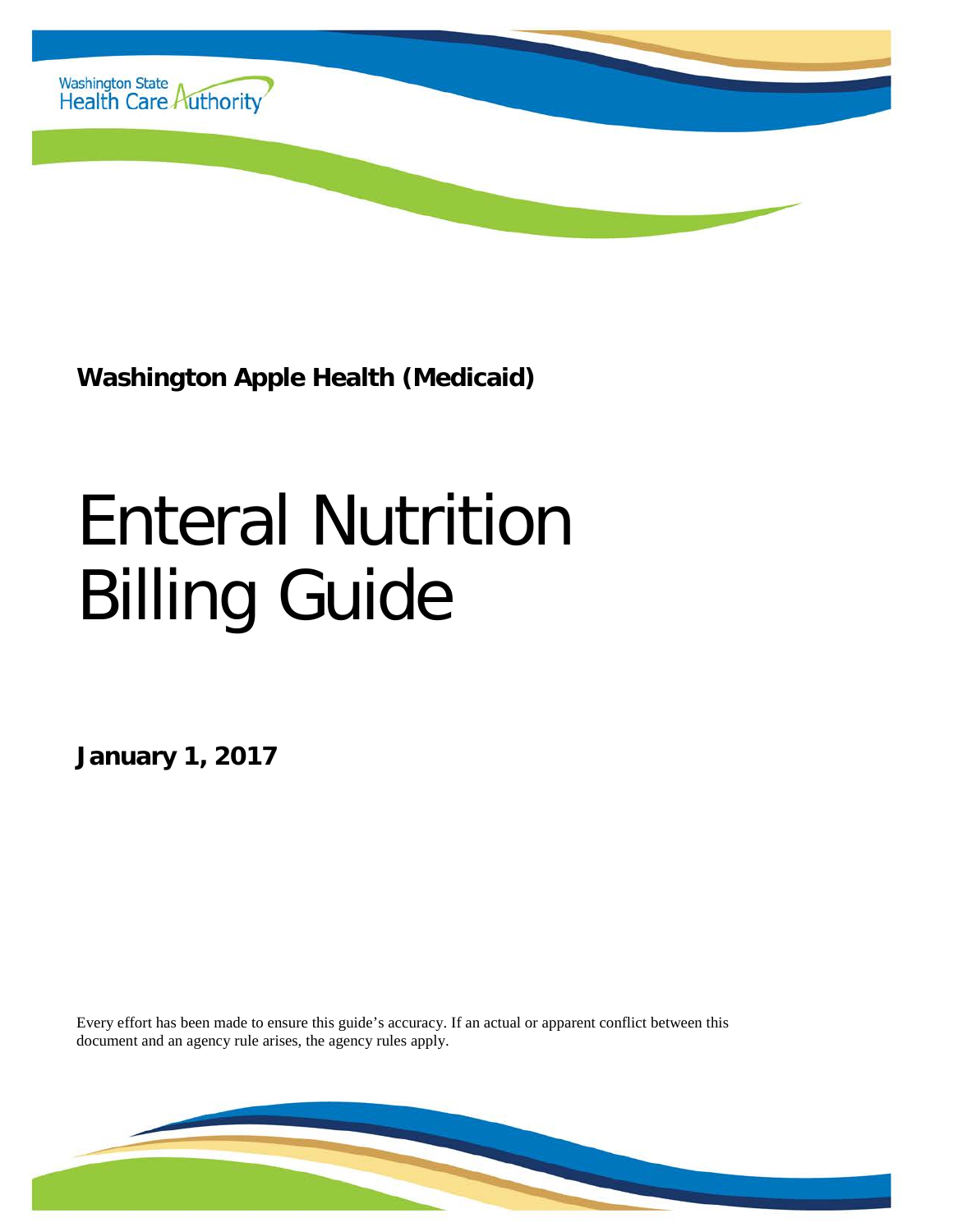

**Washington Apple Health (Medicaid)**

# Enteral Nutrition Billing Guide

**January 1, 2017**

Every effort has been made to ensure this guide's accuracy. If an actual or apparent conflict between this document and an agency rule arises, the agency rules apply.

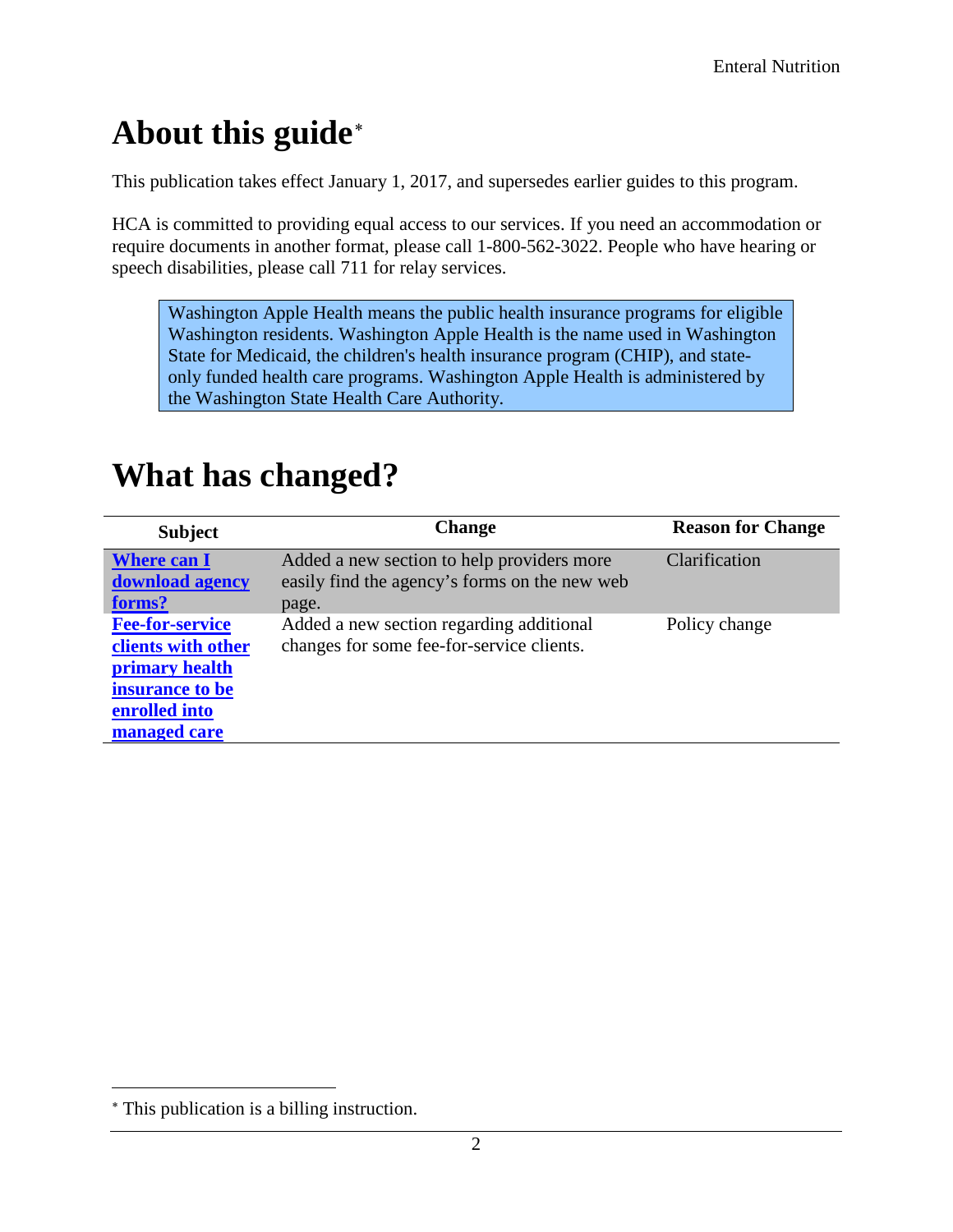# <span id="page-1-1"></span>**About this guide**[∗](#page-1-0)

This publication takes effect January 1, 2017, and supersedes earlier guides to this program.

HCA is committed to providing equal access to our services. If you need an accommodation or require documents in another format, please call 1-800-562-3022. People who have hearing or speech disabilities, please call 711 for relay services.

Washington Apple Health means the public health insurance programs for eligible Washington residents. Washington Apple Health is the name used in Washington State for Medicaid, the children's health insurance program (CHIP), and stateonly funded health care programs. Washington Apple Health is administered by the Washington State Health Care Authority.

| <b>Subject</b>                                                                                                     | <b>Change</b>                                                                                        | <b>Reason for Change</b> |
|--------------------------------------------------------------------------------------------------------------------|------------------------------------------------------------------------------------------------------|--------------------------|
| <b>Where can I</b><br>download agency<br>forms?                                                                    | Added a new section to help providers more<br>easily find the agency's forms on the new web<br>page. | Clarification            |
| <b>Fee-for-service</b><br>clients with other<br>primary health<br>insurance to be<br>enrolled into<br>managed care | Added a new section regarding additional<br>changes for some fee-for-service clients.                | Policy change            |

### <span id="page-1-2"></span>**What has changed?**

 $\overline{a}$ 

<span id="page-1-0"></span><sup>∗</sup> This publication is a billing instruction.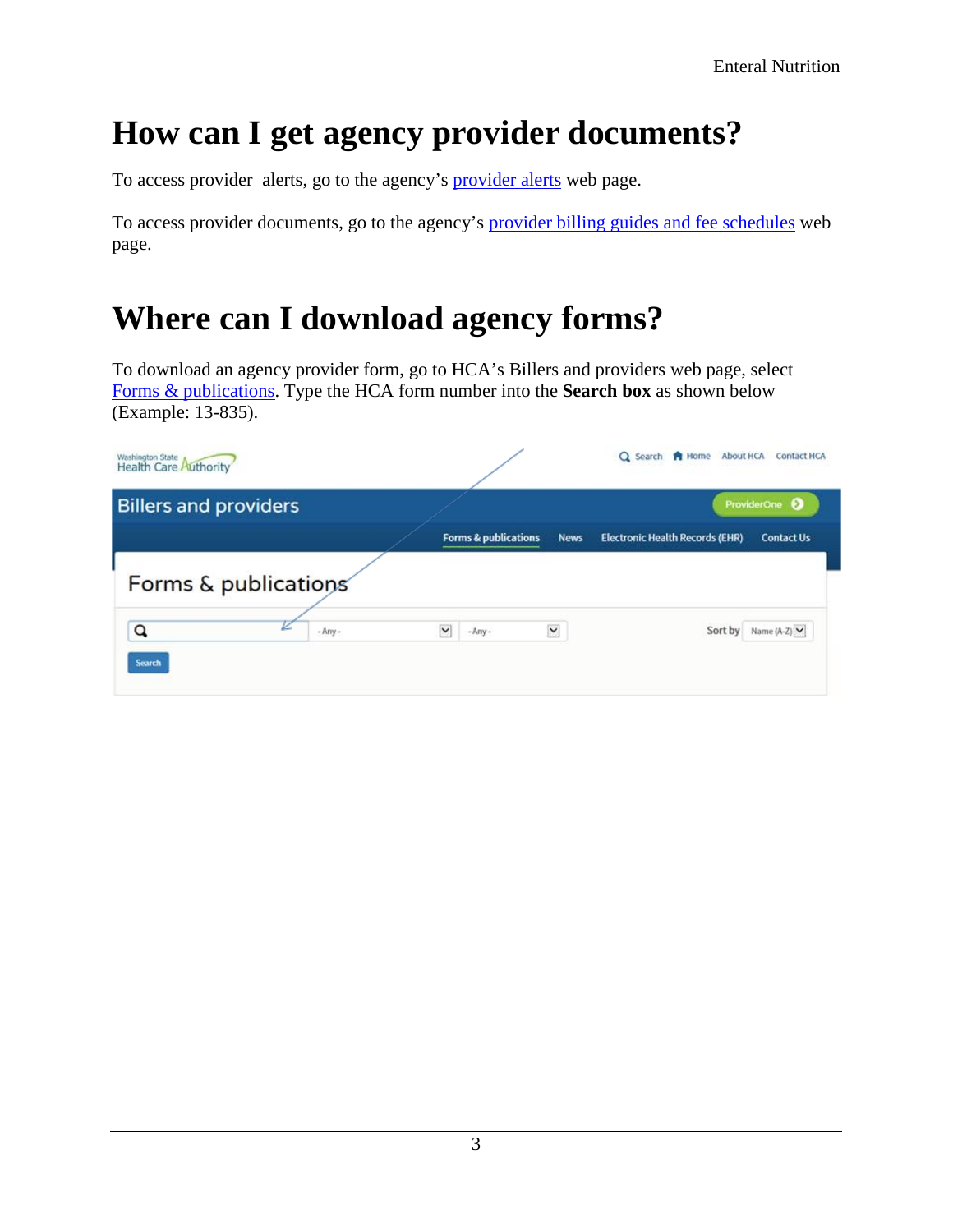# <span id="page-2-1"></span>**How can I get agency provider documents?**

To access provider alerts, go to the agency's [provider alerts](http://www.hca.wa.gov/node/316) web page.

To access provider documents, go to the agency's [provider billing guides and fee schedules](http://www.hca.wa.gov/node/301) web page.

## <span id="page-2-0"></span>**Where can I download agency forms?**

To download an agency provider form, go to HCA's Billers and providers web page, select [Forms & publications.](http://www.hca.wa.gov/billers-providers/forms-and-publications) Type the HCA form number into the **Search box** as shown below (Example: 13-835).

| Washington State<br>Health Care Authority |           |                           |                                                | Q Search <b>P</b> Home<br>About HCA    | <b>Contact HCA</b>          |
|-------------------------------------------|-----------|---------------------------|------------------------------------------------|----------------------------------------|-----------------------------|
| <b>Billers and providers</b>              |           |                           |                                                |                                        | ProviderOne                 |
|                                           |           |                           | <b>Forms &amp; publications</b><br><b>News</b> | <b>Electronic Health Records (EHR)</b> | <b>Contact Us</b>           |
| Forms & publications                      |           |                           |                                                |                                        |                             |
| Q                                         | $-Arry -$ | $\checkmark$<br>$-Arry -$ | Y                                              |                                        | Sort by Name $(A-Z)$ $\vee$ |
| Search                                    |           |                           |                                                |                                        |                             |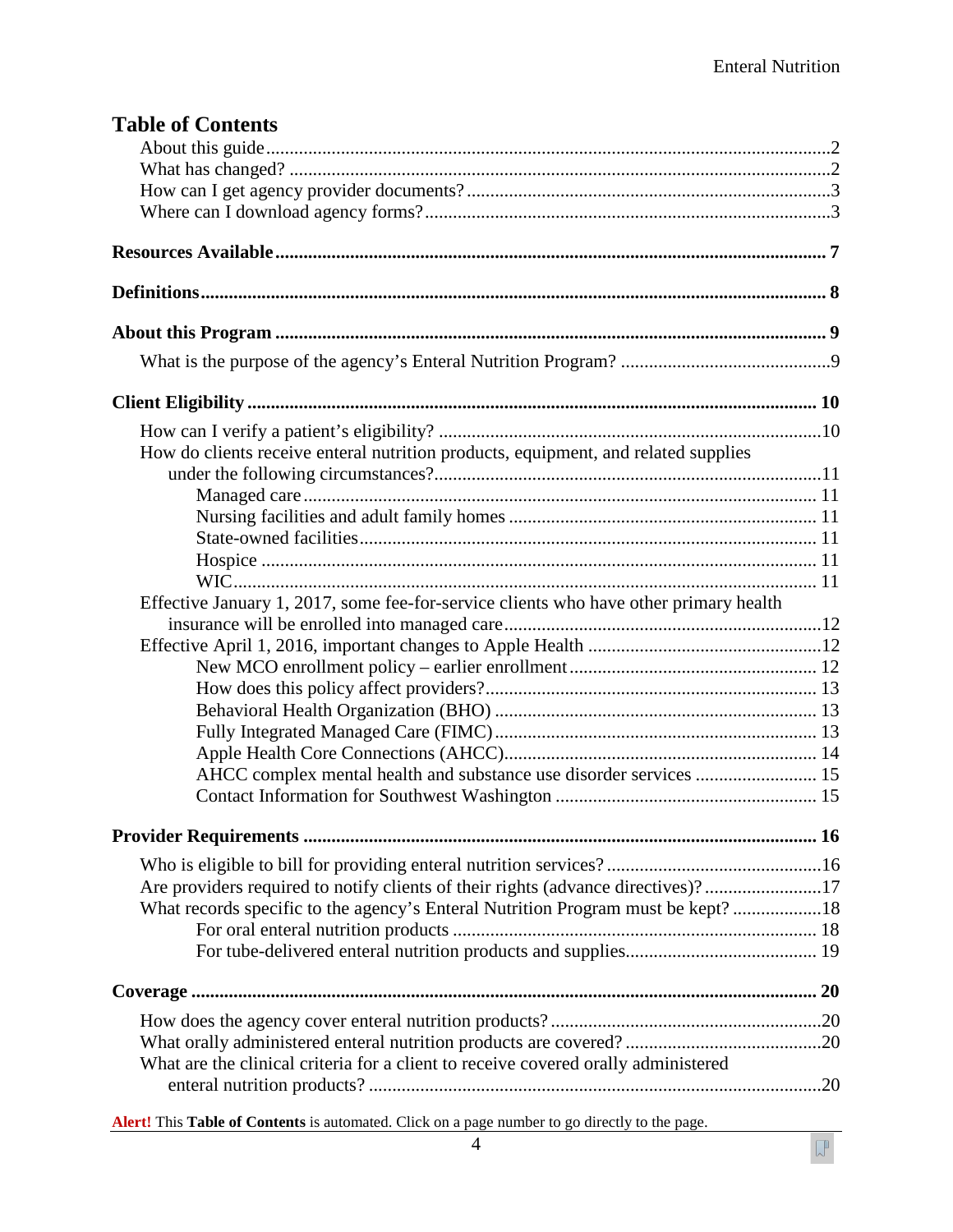$\sqrt{\phantom{a}}$ 

| <b>Table of Contents</b>                                                              |  |
|---------------------------------------------------------------------------------------|--|
|                                                                                       |  |
|                                                                                       |  |
|                                                                                       |  |
|                                                                                       |  |
|                                                                                       |  |
|                                                                                       |  |
|                                                                                       |  |
|                                                                                       |  |
|                                                                                       |  |
|                                                                                       |  |
| How do clients receive enteral nutrition products, equipment, and related supplies    |  |
|                                                                                       |  |
|                                                                                       |  |
|                                                                                       |  |
|                                                                                       |  |
|                                                                                       |  |
|                                                                                       |  |
| Effective January 1, 2017, some fee-for-service clients who have other primary health |  |
|                                                                                       |  |
|                                                                                       |  |
|                                                                                       |  |
|                                                                                       |  |
|                                                                                       |  |
|                                                                                       |  |
|                                                                                       |  |
| AHCC complex mental health and substance use disorder services  15                    |  |
|                                                                                       |  |
|                                                                                       |  |
|                                                                                       |  |
| Are providers required to notify clients of their rights (advance directives)?17      |  |
| What records specific to the agency's Enteral Nutrition Program must be kept? 18      |  |
|                                                                                       |  |
|                                                                                       |  |
|                                                                                       |  |
|                                                                                       |  |
|                                                                                       |  |
| What are the clinical criteria for a client to receive covered orally administered    |  |

**Alert!** This **Table of Contents** is automated. Click on a page number to go directly to the page.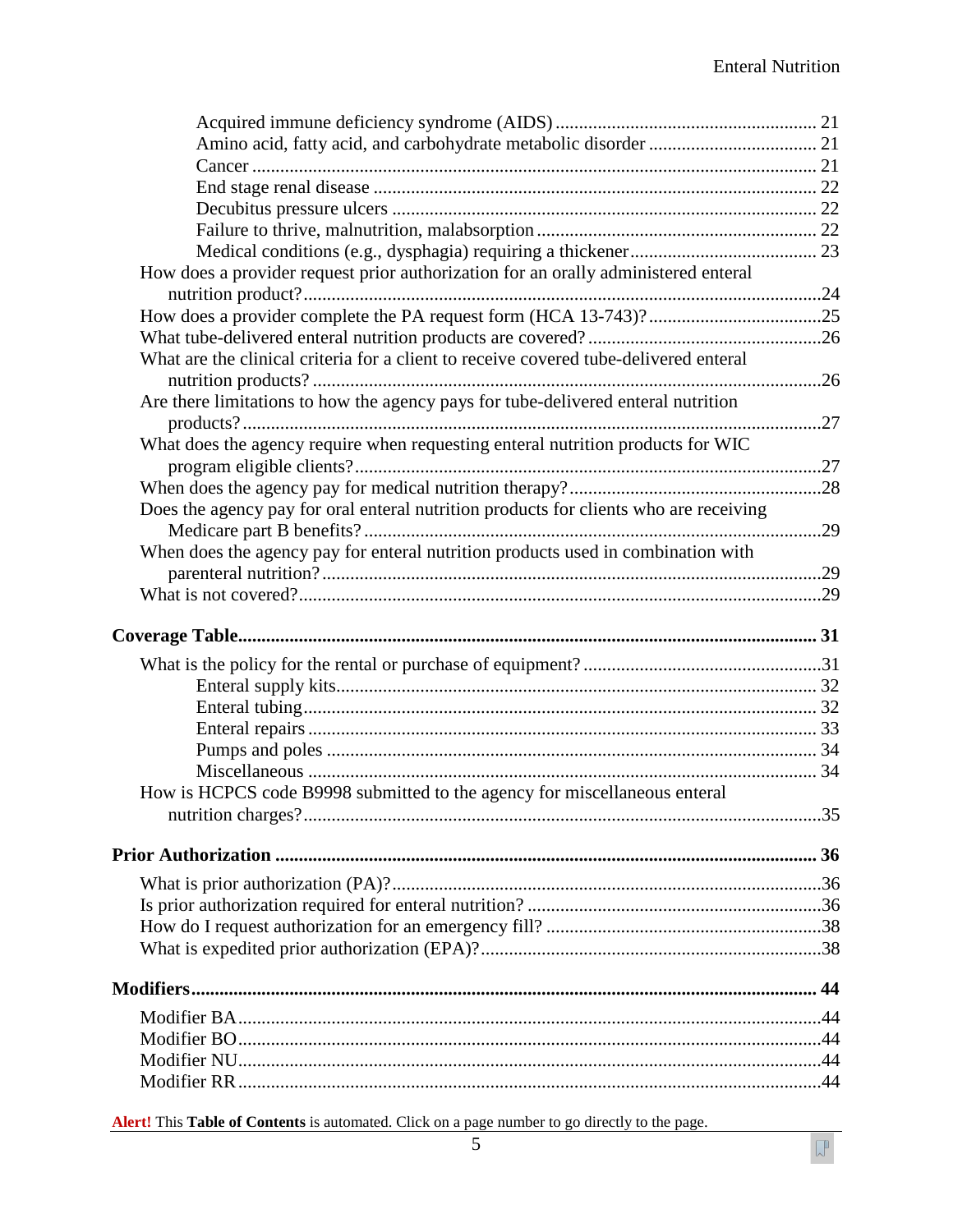$\sqrt{\phantom{a}}$ 

| How does a provider request prior authorization for an orally administered enteral    |  |
|---------------------------------------------------------------------------------------|--|
|                                                                                       |  |
|                                                                                       |  |
|                                                                                       |  |
| What are the clinical criteria for a client to receive covered tube-delivered enteral |  |
|                                                                                       |  |
| Are there limitations to how the agency pays for tube-delivered enteral nutrition     |  |
|                                                                                       |  |
| What does the agency require when requesting enteral nutrition products for WIC       |  |
|                                                                                       |  |
|                                                                                       |  |
|                                                                                       |  |
| Does the agency pay for oral enteral nutrition products for clients who are receiving |  |
|                                                                                       |  |
| When does the agency pay for enteral nutrition products used in combination with      |  |
|                                                                                       |  |
|                                                                                       |  |
|                                                                                       |  |
|                                                                                       |  |
|                                                                                       |  |
|                                                                                       |  |
|                                                                                       |  |
|                                                                                       |  |
|                                                                                       |  |
|                                                                                       |  |
|                                                                                       |  |
|                                                                                       |  |
| How is HCPCS code B9998 submitted to the agency for miscellaneous enteral             |  |
|                                                                                       |  |
|                                                                                       |  |
|                                                                                       |  |
|                                                                                       |  |
|                                                                                       |  |
|                                                                                       |  |
|                                                                                       |  |
|                                                                                       |  |
|                                                                                       |  |
|                                                                                       |  |
|                                                                                       |  |
|                                                                                       |  |
|                                                                                       |  |

**Alert!** This **Table of Contents** is automated. Click on a page number to go directly to the page.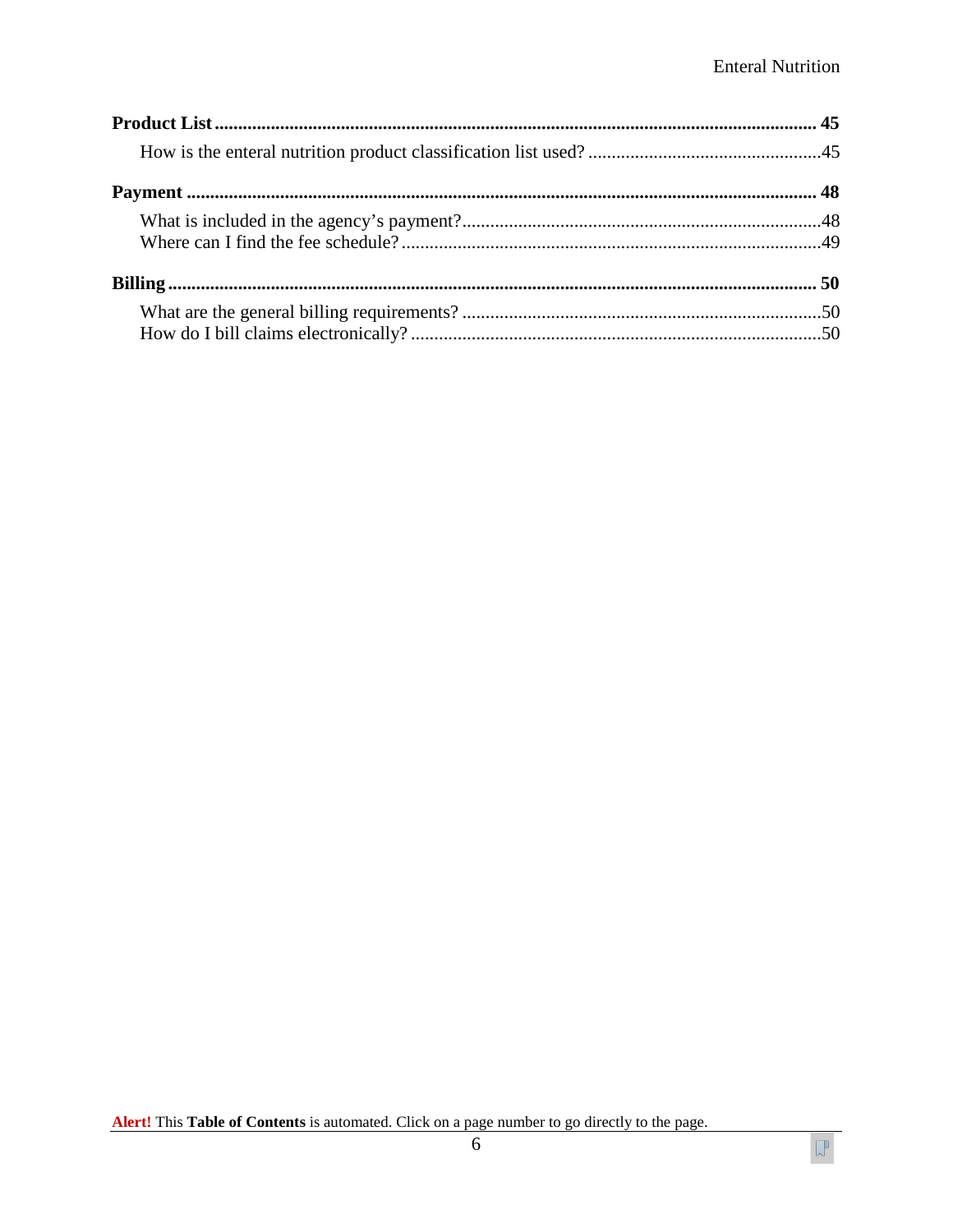$\sqrt{\phantom{a}}$ 

Alert! This Table of Contents is automated. Click on a page number to go directly to the page.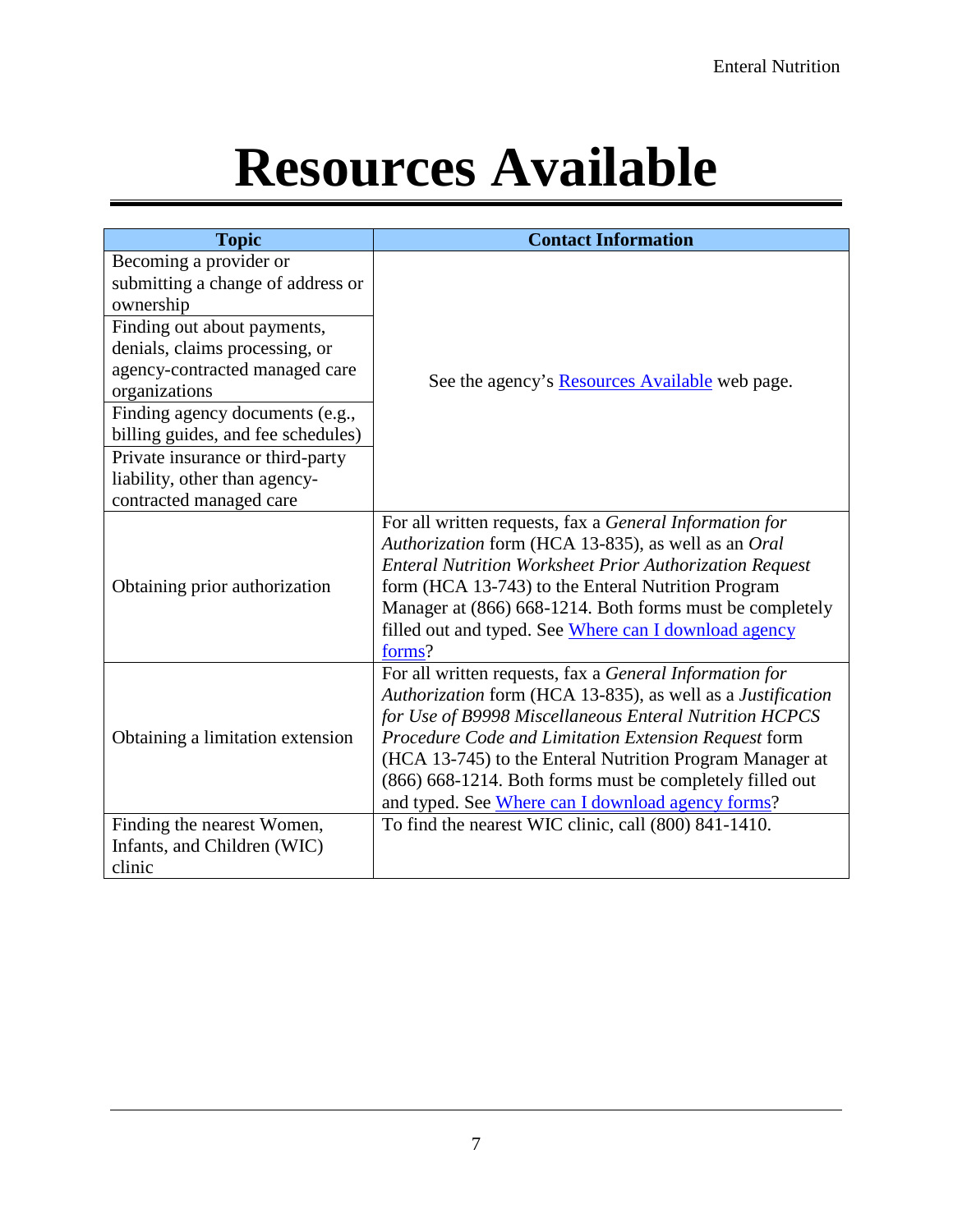# **Resources Available**

<span id="page-6-0"></span>

| <b>Topic</b>                                                                                                                                        | <b>Contact Information</b>                                                                                                                                                                                                                                                                                                                                                                                            |  |  |  |
|-----------------------------------------------------------------------------------------------------------------------------------------------------|-----------------------------------------------------------------------------------------------------------------------------------------------------------------------------------------------------------------------------------------------------------------------------------------------------------------------------------------------------------------------------------------------------------------------|--|--|--|
| Becoming a provider or<br>submitting a change of address or<br>ownership                                                                            |                                                                                                                                                                                                                                                                                                                                                                                                                       |  |  |  |
| Finding out about payments,<br>denials, claims processing, or<br>agency-contracted managed care<br>organizations<br>Finding agency documents (e.g., | See the agency's <b>Resources Available</b> web page.                                                                                                                                                                                                                                                                                                                                                                 |  |  |  |
| billing guides, and fee schedules)<br>Private insurance or third-party<br>liability, other than agency-<br>contracted managed care                  |                                                                                                                                                                                                                                                                                                                                                                                                                       |  |  |  |
| Obtaining prior authorization                                                                                                                       | For all written requests, fax a General Information for<br>Authorization form (HCA 13-835), as well as an Oral<br><b>Enteral Nutrition Worksheet Prior Authorization Request</b><br>form (HCA 13-743) to the Enteral Nutrition Program<br>Manager at (866) 668-1214. Both forms must be completely<br>filled out and typed. See Where can I download agency<br>forms?                                                 |  |  |  |
| Obtaining a limitation extension                                                                                                                    | For all written requests, fax a General Information for<br>Authorization form (HCA 13-835), as well as a Justification<br>for Use of B9998 Miscellaneous Enteral Nutrition HCPCS<br>Procedure Code and Limitation Extension Request form<br>(HCA 13-745) to the Enteral Nutrition Program Manager at<br>(866) 668-1214. Both forms must be completely filled out<br>and typed. See Where can I download agency forms? |  |  |  |
| Finding the nearest Women,<br>Infants, and Children (WIC)<br>clinic                                                                                 | To find the nearest WIC clinic, call (800) 841-1410.                                                                                                                                                                                                                                                                                                                                                                  |  |  |  |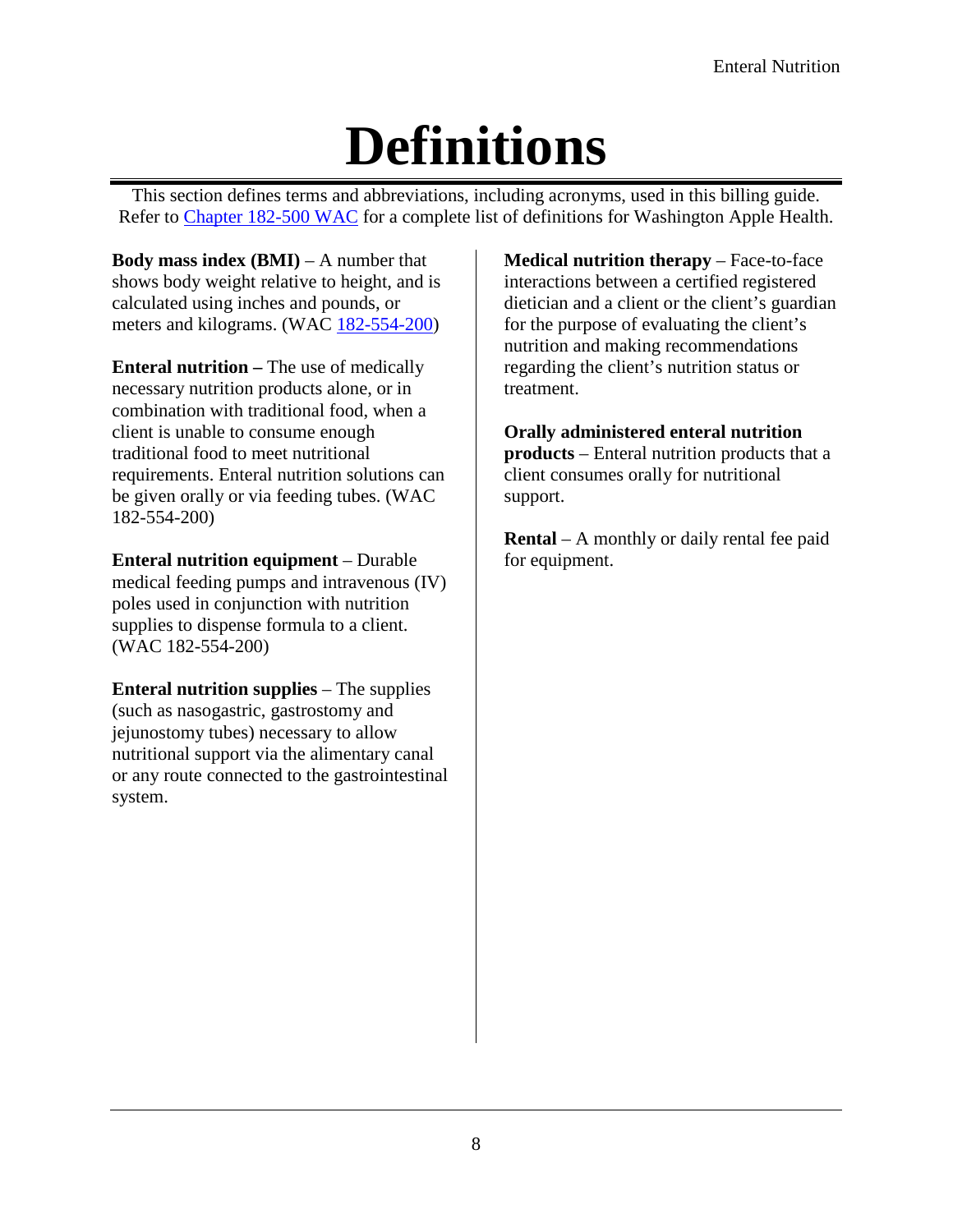# **Definitions**

<span id="page-7-0"></span>This section defines terms and abbreviations, including acronyms, used in this billing guide. Refer to [Chapter 182-500 WAC](http://app.leg.wa.gov/wac/default.aspx?cite=182-500) for a complete list of definitions for Washington Apple Health.

**Body mass index (BMI)** – A number that shows body weight relative to height, and is calculated using inches and pounds, or meters and kilograms. [\(WAC 182-554-200\)](http://app.leg.wa.gov/WAC/default.aspx?cite=182-554-200)

**Enteral nutrition –** The use of medically necessary nutrition products alone, or in combination with traditional food, when a client is unable to consume enough traditional food to meet nutritional requirements. Enteral nutrition solutions can be given orally or via feeding tubes. (WAC 182-554-200)

**Enteral nutrition equipment** – Durable medical feeding pumps and intravenous (IV) poles used in conjunction with nutrition supplies to dispense formula to a client. (WAC 182-554-200)

**Enteral nutrition supplies** – The supplies (such as nasogastric, gastrostomy and jejunostomy tubes) necessary to allow nutritional support via the alimentary canal or any route connected to the gastrointestinal system.

**Medical nutrition therapy** – Face-to-face interactions between a certified registered dietician and a client or the client's guardian for the purpose of evaluating the client's nutrition and making recommendations regarding the client's nutrition status or treatment.

**Orally administered enteral nutrition** 

**products** – Enteral nutrition products that a client consumes orally for nutritional support.

**Rental** – A monthly or daily rental fee paid for equipment.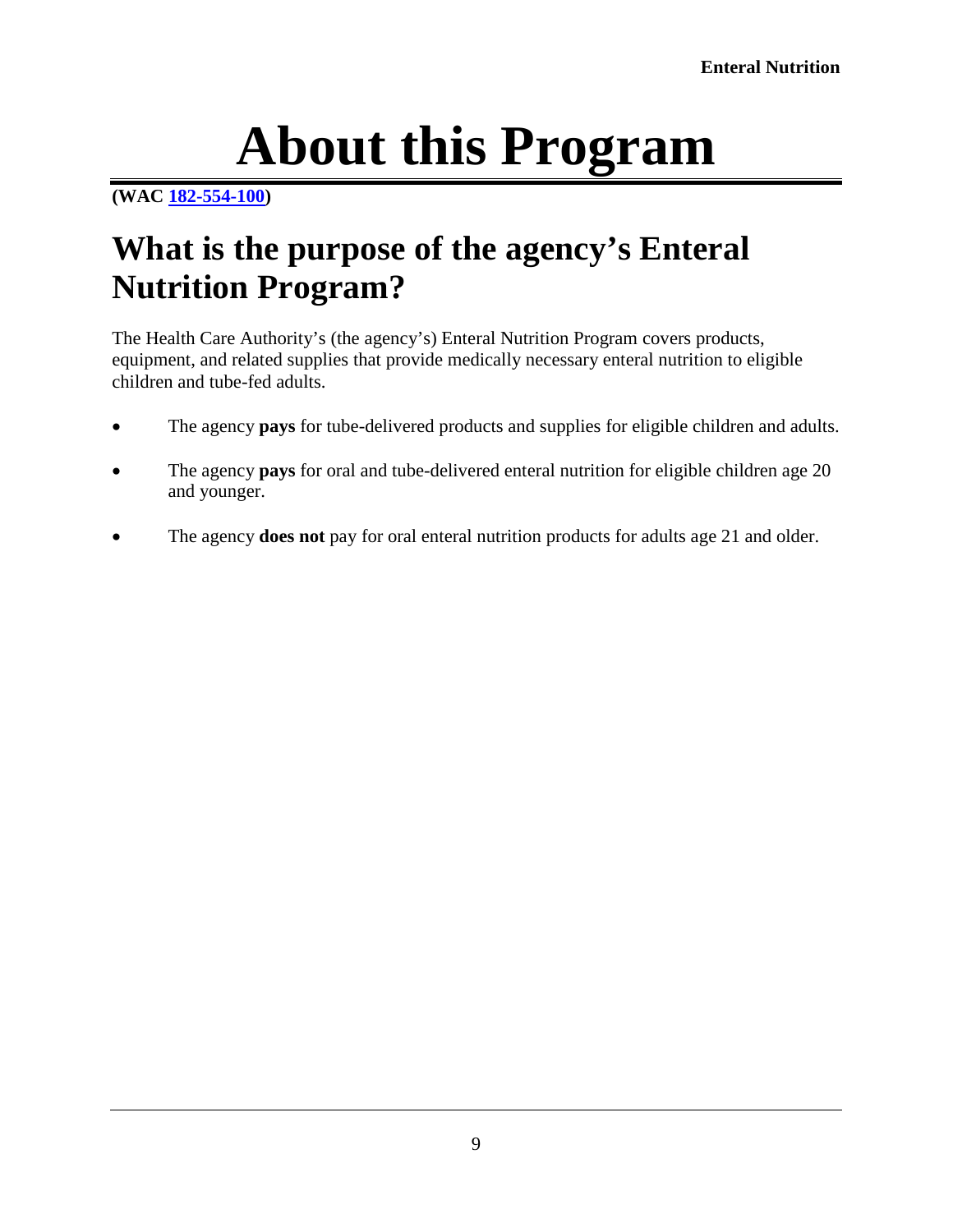# **About this Program**

#### <span id="page-8-0"></span>**[\(WAC 182-554-100\)](http://app.leg.wa.gov/WAC/default.aspx?cite=182-554-100)**

## <span id="page-8-1"></span>**What is the purpose of the agency's Enteral Nutrition Program?**

The Health Care Authority's (the agency's) Enteral Nutrition Program covers products, equipment, and related supplies that provide medically necessary enteral nutrition to eligible children and tube-fed adults.

- The agency **pays** for tube-delivered products and supplies for eligible children and adults.
- The agency **pays** for oral and tube-delivered enteral nutrition for eligible children age 20 and younger.
- The agency **does not** pay for oral enteral nutrition products for adults age 21 and older.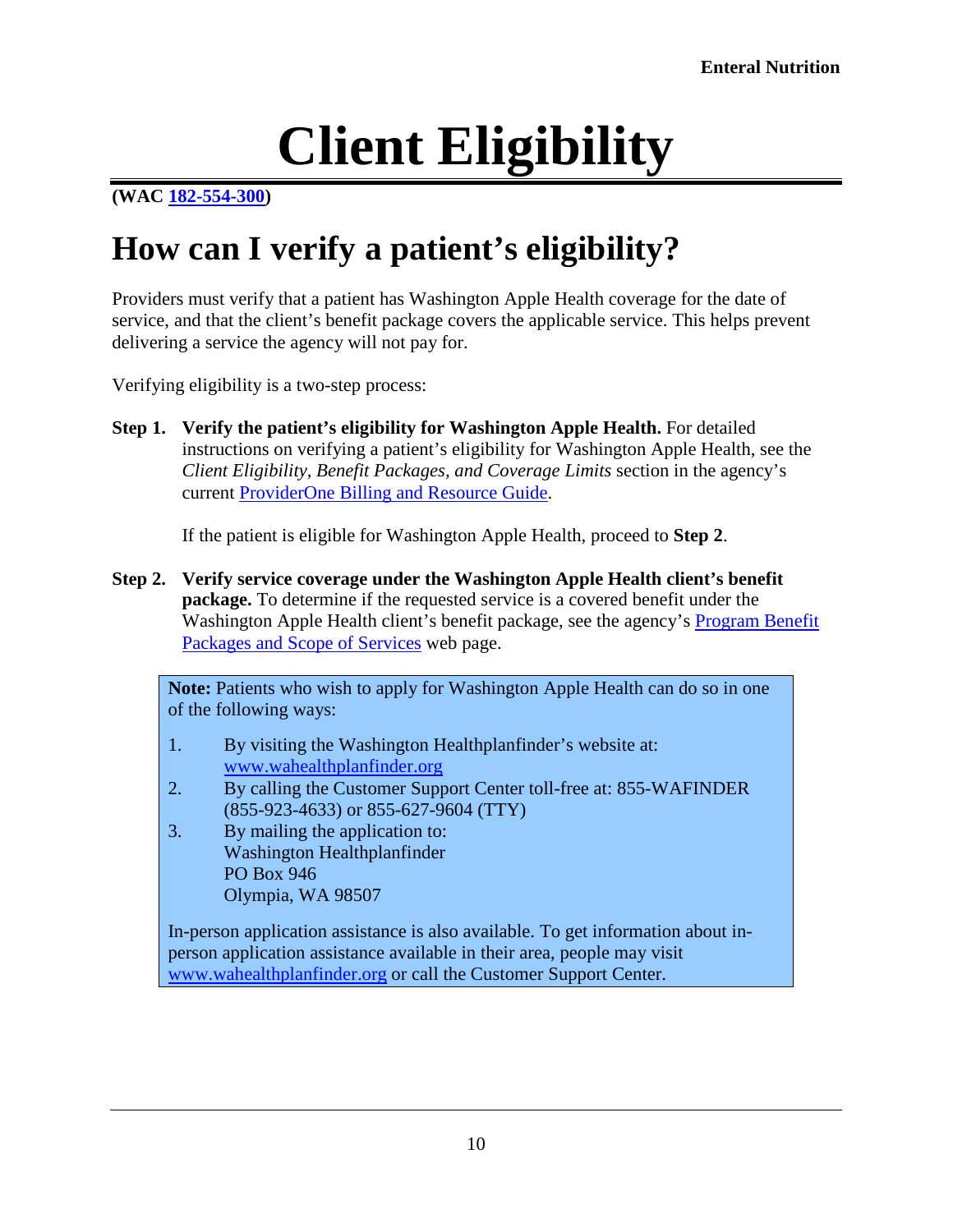# **Client Eligibility**

#### <span id="page-9-0"></span>**[\(WAC 182-554-300\)](http://app.leg.wa.gov/WAC/default.aspx?cite=182-554-300)**

## <span id="page-9-1"></span>**How can I verify a patient's eligibility?**

Providers must verify that a patient has Washington Apple Health coverage for the date of service, and that the client's benefit package covers the applicable service. This helps prevent delivering a service the agency will not pay for.

Verifying eligibility is a two-step process:

**Step 1. Verify the patient's eligibility for Washington Apple Health.** For detailed instructions on verifying a patient's eligibility for Washington Apple Health, see the *Client Eligibility, Benefit Packages, and Coverage Limits* section in the agency's current [ProviderOne Billing and Resource Guide.](http://www.hca.wa.gov/node/311)

If the patient is eligible for Washington Apple Health, proceed to **Step 2**.

**Step 2. Verify service coverage under the Washington Apple Health client's benefit package.** To determine if the requested service is a covered benefit under the Washington Apple Health client's benefit package, see the agency's [Program Benefit](http://www.hca.wa.gov/node/2391)  [Packages and Scope of Services](http://www.hca.wa.gov/node/2391) web page.

**Note:** Patients who wish to apply for Washington Apple Health can do so in one of the following ways:

- 1. By visiting the Washington Healthplanfinder's website at: [www.wahealthplanfinder.org](http://www.wahealthplanfinder.org/)
- 2. By calling the Customer Support Center toll-free at: 855-WAFINDER (855-923-4633) or 855-627-9604 (TTY)
- 3. By mailing the application to: Washington Healthplanfinder PO Box 946 Olympia, WA 98507

In-person application assistance is also available. To get information about inperson application assistance available in their area, people may visit [www.wahealthplanfinder.org](http://www.wahealthplanfinder.org/) or call the Customer Support Center.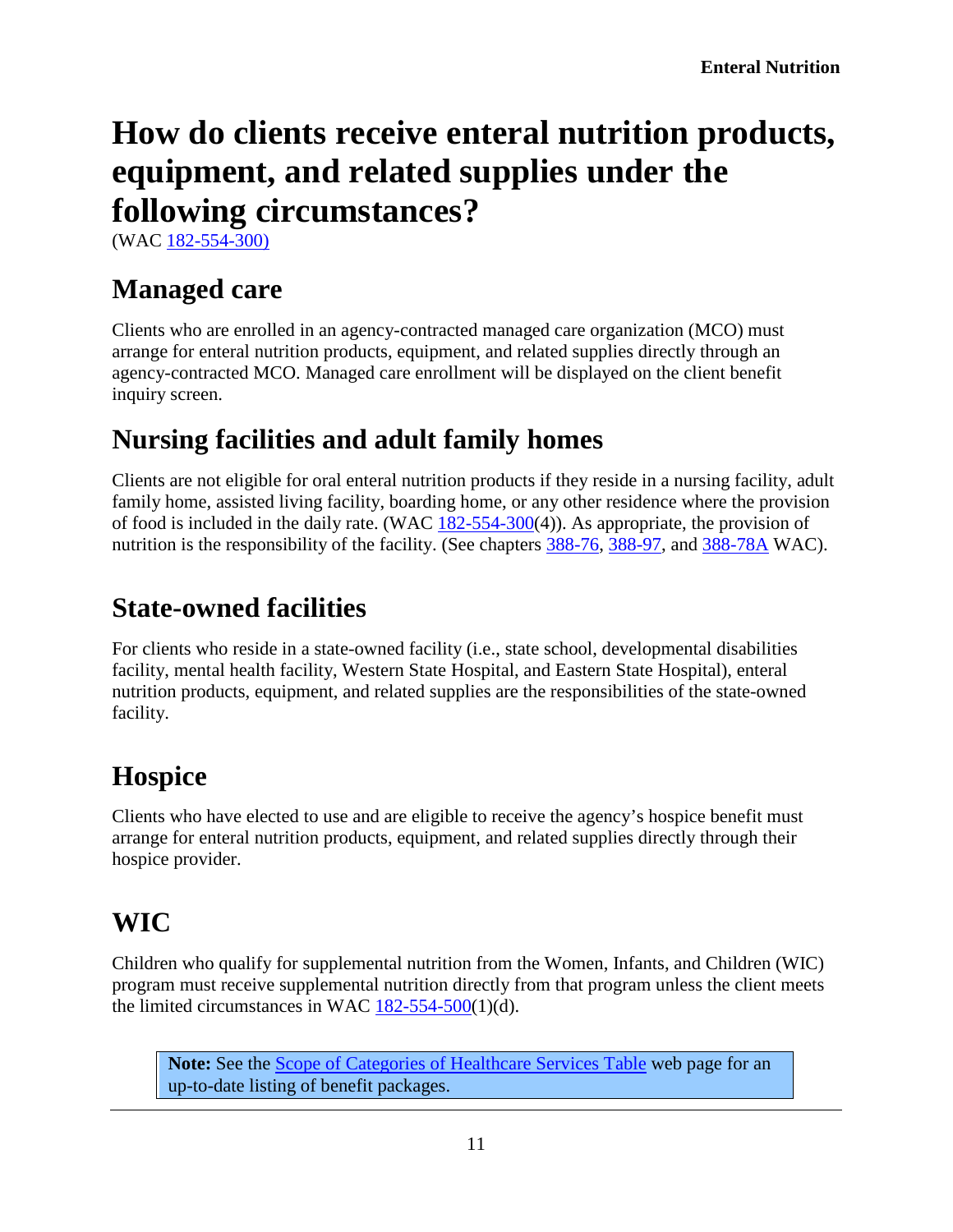# <span id="page-10-1"></span>**How do clients receive enteral nutrition products, equipment, and related supplies under the following circumstances?**

(WAC [182-554-300\)](http://app.leg.wa.gov/WAC/default.aspx?cite=182-554-300)

#### <span id="page-10-2"></span>**Managed care**

Clients who are enrolled in an agency-contracted managed care organization (MCO) must arrange for enteral nutrition products, equipment, and related supplies directly through an agency-contracted MCO. Managed care enrollment will be displayed on the client benefit inquiry screen.

#### <span id="page-10-3"></span>**Nursing facilities and adult family homes**

Clients are not eligible for oral enteral nutrition products if they reside in a nursing facility, adult family home, assisted living facility, boarding home, or any other residence where the provision of food is included in the daily rate. (WAC [182-554-300\(](http://app.leg.wa.gov/WAC/default.aspx?cite=182-554-300)4)). As appropriate, the provision of nutrition is the responsibility of the facility. (See chapters [388-76,](http://app.leg.wa.gov/WAC/default.aspx?cite=388-76) [388-97,](http://app.leg.wa.gov/WAC/default.aspx?cite=388-97) and [388-78A](http://app.leg.wa.gov/WAC/default.aspx?cite=388-78A) WAC).

#### <span id="page-10-4"></span>**State-owned facilities**

For clients who reside in a state-owned facility (i.e., state school, developmental disabilities facility, mental health facility, Western State Hospital, and Eastern State Hospital), enteral nutrition products, equipment, and related supplies are the responsibilities of the state-owned facility.

#### <span id="page-10-5"></span>**Hospice**

Clients who have elected to use and are eligible to receive the agency's hospice benefit must arrange for enteral nutrition products, equipment, and related supplies directly through their hospice provider.

#### <span id="page-10-6"></span>**WIC**

Children who qualify for supplemental nutrition from the Women, Infants, and Children (WIC) program must receive supplemental nutrition directly from that program unless the client meets the limited circumstances in WAC  $182-554-500(1)(d)$ .

<span id="page-10-0"></span>**Note:** See the [Scope of Categories of Healthcare Services Table](http://www.hca.wa.gov/node/2391) web page for an up-to-date listing of benefit packages.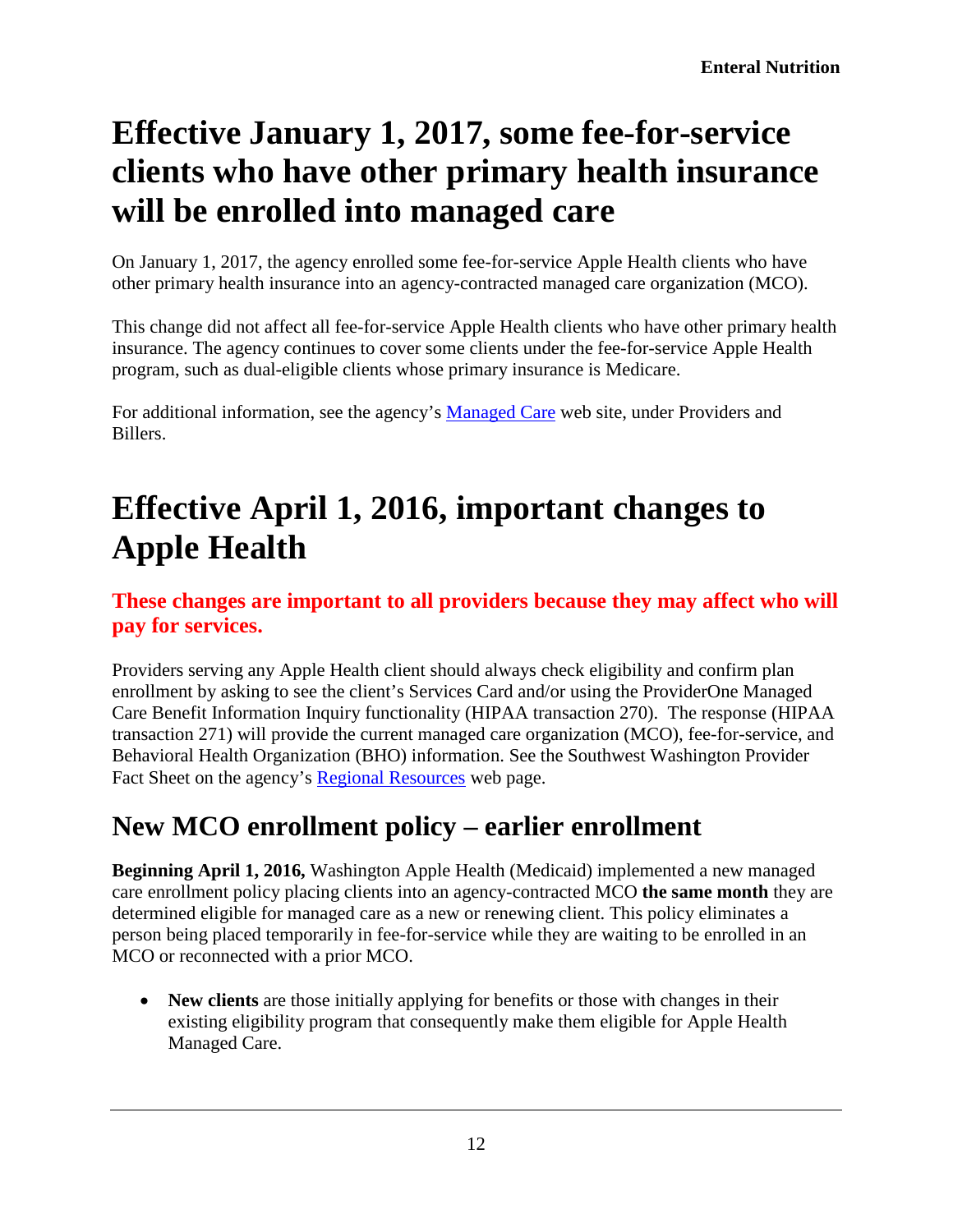# <span id="page-11-0"></span>**Effective January 1, 2017, some fee-for-service clients who have other primary health insurance will be enrolled into managed care**

On January 1, 2017, the agency enrolled some fee-for-service Apple Health clients who have other primary health insurance into an agency-contracted managed care organization (MCO).

This change did not affect all fee-for-service Apple Health clients who have other primary health insurance. The agency continues to cover some clients under the fee-for-service Apple Health program, such as dual-eligible clients whose primary insurance is Medicare.

For additional information, see the agency's [Managed Care](http://www.hca.wa.gov/billers-providers/programs-and-services/managed-care) web site, under Providers and Billers.

# <span id="page-11-1"></span>**Effective April 1, 2016, important changes to Apple Health**

#### **These changes are important to all providers because they may affect who will pay for services.**

Providers serving any Apple Health client should always check eligibility and confirm plan enrollment by asking to see the client's Services Card and/or using the ProviderOne Managed Care Benefit Information Inquiry functionality (HIPAA transaction 270). The response (HIPAA transaction 271) will provide the current managed care organization (MCO), fee-for-service, and Behavioral Health Organization (BHO) information. See the Southwest Washington Provider Fact Sheet on the agency's [Regional Resources](http://www.hca.wa.gov/node/3111) web page.

#### <span id="page-11-2"></span>**New MCO enrollment policy – earlier enrollment**

**Beginning April 1, 2016,** Washington Apple Health (Medicaid) implemented a new managed care enrollment policy placing clients into an agency-contracted MCO **the same month** they are determined eligible for managed care as a new or renewing client. This policy eliminates a person being placed temporarily in fee-for-service while they are waiting to be enrolled in an MCO or reconnected with a prior MCO.

• **New clients** are those initially applying for benefits or those with changes in their existing eligibility program that consequently make them eligible for Apple Health Managed Care.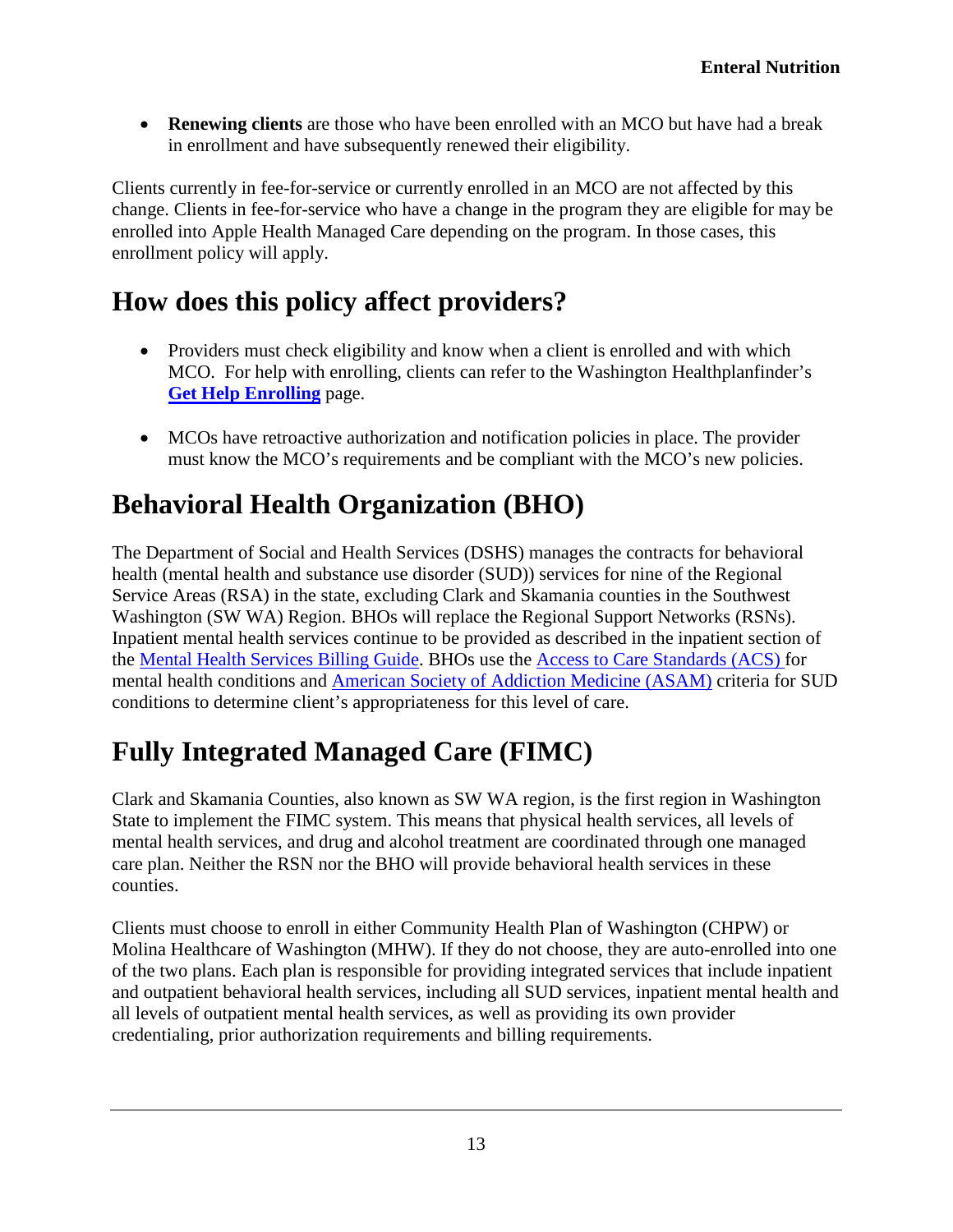• **Renewing clients** are those who have been enrolled with an MCO but have had a break in enrollment and have subsequently renewed their eligibility.

Clients currently in fee-for-service or currently enrolled in an MCO are not affected by this change. Clients in fee-for-service who have a change in the program they are eligible for may be enrolled into Apple Health Managed Care depending on the program. In those cases, this enrollment policy will apply.

#### <span id="page-12-0"></span>**How does this policy affect providers?**

- Providers must check eligibility and know when a client is enrolled and with which MCO. For help with enrolling, clients can refer to the Washington Healthplanfinder's **[Get Help Enrolling](http://www.wahbexchange.org/new-customers/application-support/customer-support-network/)** page.
- MCOs have retroactive authorization and notification policies in place. The provider must know the MCO's requirements and be compliant with the MCO's new policies.

#### <span id="page-12-1"></span>**Behavioral Health Organization (BHO)**

The Department of Social and Health Services (DSHS) manages the contracts for behavioral health (mental health and substance use disorder (SUD)) services for nine of the Regional Service Areas (RSA) in the state, excluding Clark and Skamania counties in the Southwest Washington (SW WA) Region. BHOs will replace the Regional Support Networks (RSNs). Inpatient mental health services continue to be provided as described in the inpatient section of the [Mental Health Services Billing Guide.](https://www.hca.wa.gov/billers-providers/claims-and-billing/professional-rates-and-billing-guides#collapse_35_accordion) BHOs use the [Access to Care Standards \(ACS\) f](https://www.dshs.wa.gov/bha/division-behavioral-health-and-recovery/access-care-standards-acs-and-icd-information)or mental health conditions and [American Society of Addiction Medicine \(ASAM\)](http://www.asam.org/quality-practice/guidelines-and-consensus-documents/the-asam-criteria/about) criteria for SUD conditions to determine client's appropriateness for this level of care.

### <span id="page-12-2"></span>**Fully Integrated Managed Care (FIMC)**

Clark and Skamania Counties, also known as SW WA region, is the first region in Washington State to implement the FIMC system. This means that physical health services, all levels of mental health services, and drug and alcohol treatment are coordinated through one managed care plan. Neither the RSN nor the BHO will provide behavioral health services in these counties.

Clients must choose to enroll in either Community Health Plan of Washington (CHPW) or Molina Healthcare of Washington (MHW). If they do not choose, they are auto-enrolled into one of the two plans. Each plan is responsible for providing integrated services that include inpatient and outpatient behavioral health services, including all SUD services, inpatient mental health and all levels of outpatient mental health services, as well as providing its own provider credentialing, prior authorization requirements and billing requirements.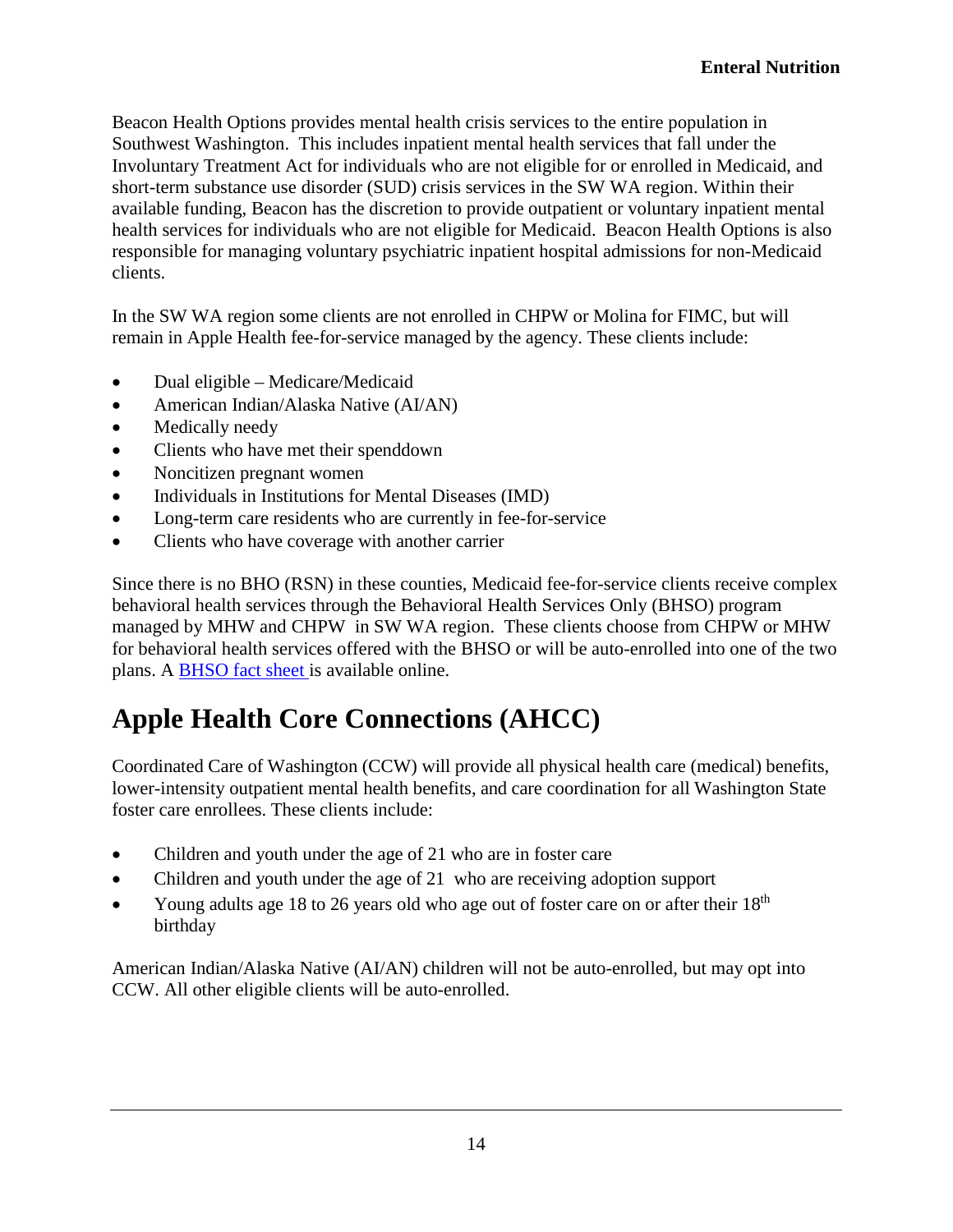Beacon Health Options provides mental health crisis services to the entire population in Southwest Washington. This includes inpatient mental health services that fall under the Involuntary Treatment Act for individuals who are not eligible for or enrolled in Medicaid, and short-term substance use disorder (SUD) crisis services in the SW WA region. Within their available funding, Beacon has the discretion to provide outpatient or voluntary inpatient mental health services for individuals who are not eligible for Medicaid. Beacon Health Options is also responsible for managing voluntary psychiatric inpatient hospital admissions for non-Medicaid clients.

In the SW WA region some clients are not enrolled in CHPW or Molina for FIMC, but will remain in Apple Health fee-for-service managed by the agency. These clients include:

- Dual eligible Medicare/Medicaid
- American Indian/Alaska Native (AI/AN)
- Medically needy
- Clients who have met their spenddown
- Noncitizen pregnant women
- Individuals in Institutions for Mental Diseases (IMD)
- Long-term care residents who are currently in fee-for-service
- Clients who have coverage with another carrier

Since there is no BHO (RSN) in these counties, Medicaid fee-for-service clients receive complex behavioral health services through the Behavioral Health Services Only (BHSO) program managed by MHW and CHPW in SW WA region. These clients choose from CHPW or MHW for behavioral health services offered with the BHSO or will be auto-enrolled into one of the two plans. A [BHSO fact sheet i](http://www.hca.wa.gov/assets/BHSO_fact_sheet.pdf)s available online.

#### <span id="page-13-0"></span>**Apple Health Core Connections (AHCC)**

Coordinated Care of Washington (CCW) will provide all physical health care (medical) benefits, lower-intensity outpatient mental health benefits, and care coordination for all Washington State foster care enrollees. These clients include:

- Children and youth under the age of 21 who are in foster care
- Children and youth under the age of 21 who are receiving adoption support
- Young adults age 18 to 26 years old who age out of foster care on or after their  $18<sup>th</sup>$ birthday

American Indian/Alaska Native (AI/AN) children will not be auto-enrolled, but may opt into CCW. All other eligible clients will be auto-enrolled.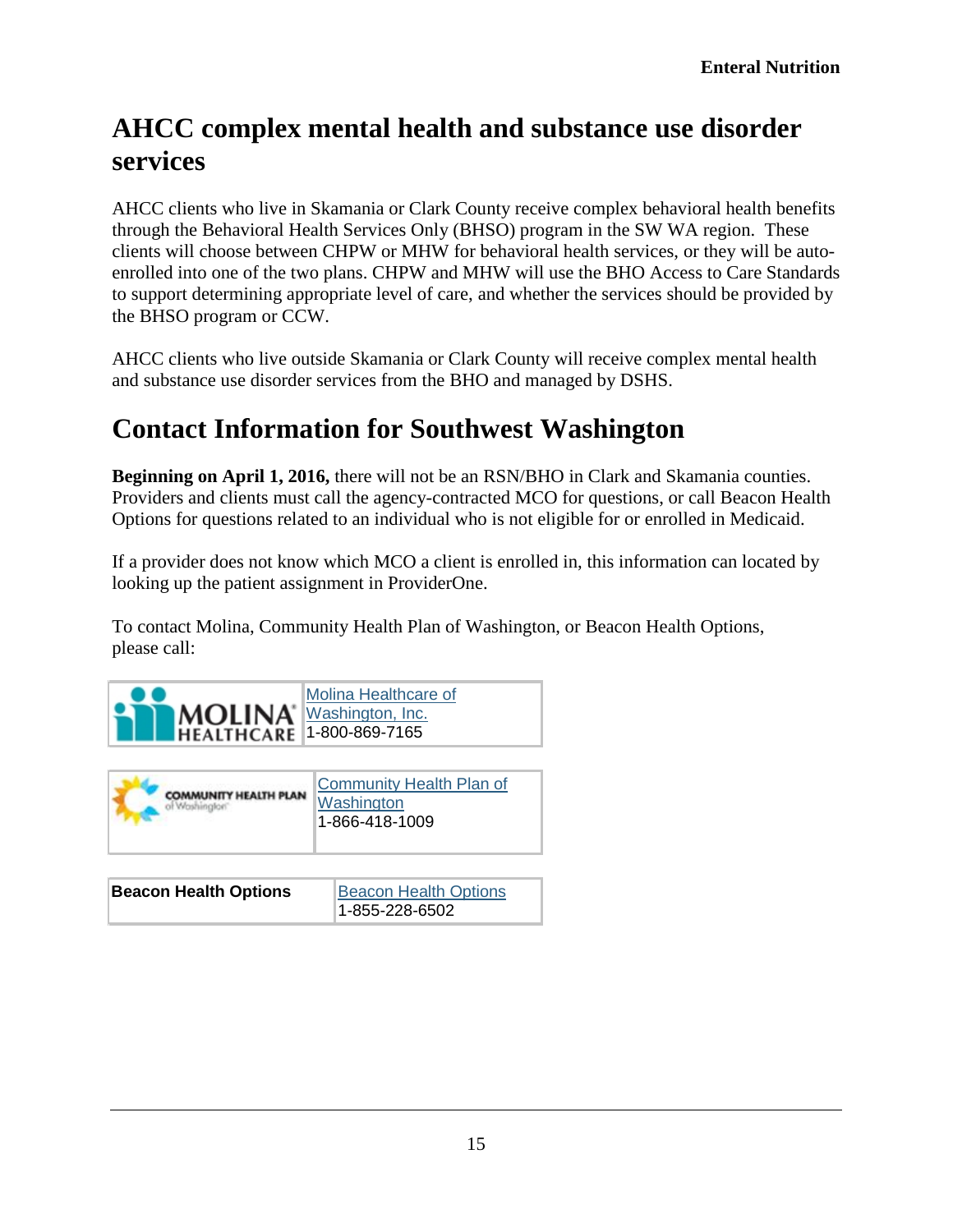#### <span id="page-14-0"></span>**AHCC complex mental health and substance use disorder services**

AHCC clients who live in Skamania or Clark County receive complex behavioral health benefits through the Behavioral Health Services Only (BHSO) program in the SW WA region. These clients will choose between CHPW or MHW for behavioral health services, or they will be autoenrolled into one of the two plans. CHPW and MHW will use the BHO Access to Care Standards to support determining appropriate level of care, and whether the services should be provided by the BHSO program or CCW.

AHCC clients who live outside Skamania or Clark County will receive complex mental health and substance use disorder services from the BHO and managed by DSHS.

#### <span id="page-14-1"></span>**Contact Information for Southwest Washington**

**Beginning on April 1, 2016,** there will not be an RSN/BHO in Clark and Skamania counties. Providers and clients must call the agency-contracted MCO for questions, or call Beacon Health Options for questions related to an individual who is not eligible for or enrolled in Medicaid.

If a provider does not know which MCO a client is enrolled in, this information can located by looking up the patient assignment in ProviderOne.

To contact Molina, Community Health Plan of Washington, or Beacon Health Options, please call:



| <b>COMMUNITY HEALTH PLAN</b> | Community Health Plan of<br>Washington<br>1-866-418-1009 |
|------------------------------|----------------------------------------------------------|
|                              |                                                          |
| <b>Beacon Health Options</b> | <b>Beacon Health Options</b>                             |

1-855-228-6502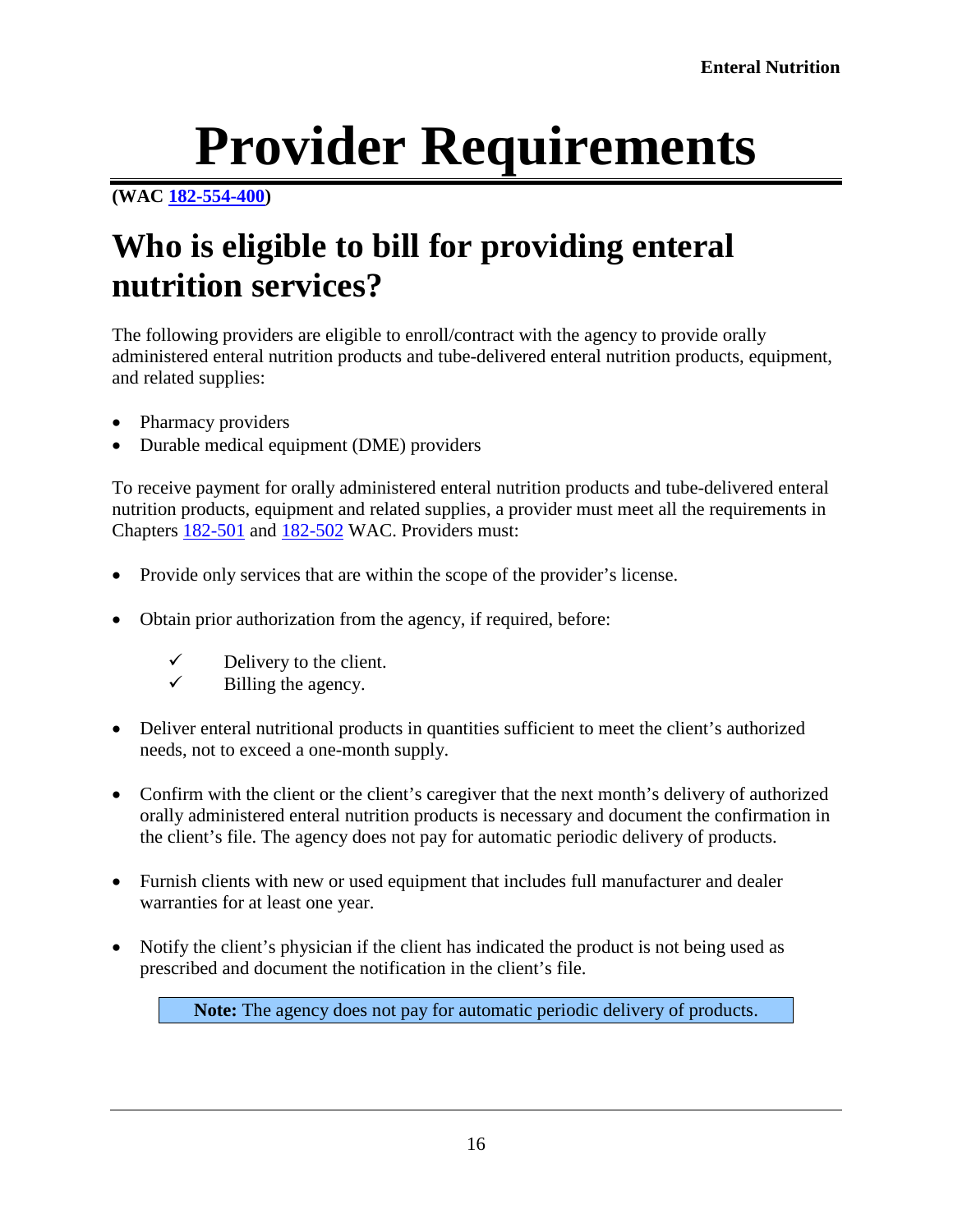# **Provider Requirements**

#### <span id="page-15-0"></span>**[\(WAC 182-554-400\)](http://app.leg.wa.gov/WAC/default.aspx?cite=182-554-400)**

# <span id="page-15-1"></span>**Who is eligible to bill for providing enteral nutrition services?**

The following providers are eligible to enroll/contract with the agency to provide orally administered enteral nutrition products and tube-delivered enteral nutrition products, equipment, and related supplies:

- Pharmacy providers
- Durable medical equipment (DME) providers

To receive payment for orally administered enteral nutrition products and tube-delivered enteral nutrition products, equipment and related supplies, a provider must meet all the requirements in Chapters [182-501](http://app.leg.wa.gov/WAC/default.aspx?cite=182-501) and [182-502](http://app.leg.wa.gov/WAC/default.aspx?cite=182-502) WAC. Providers must:

- Provide only services that are within the scope of the provider's license.
- Obtain prior authorization from the agency, if required, before:
	- $\checkmark$  Delivery to the client.
	- Billing the agency.
- Deliver enteral nutritional products in quantities sufficient to meet the client's authorized needs, not to exceed a one-month supply.
- Confirm with the client or the client's caregiver that the next month's delivery of authorized orally administered enteral nutrition products is necessary and document the confirmation in the client's file. The agency does not pay for automatic periodic delivery of products.
- Furnish clients with new or used equipment that includes full manufacturer and dealer warranties for at least one year.
- Notify the client's physician if the client has indicated the product is not being used as prescribed and document the notification in the client's file.

**Note:** The agency does not pay for automatic periodic delivery of products.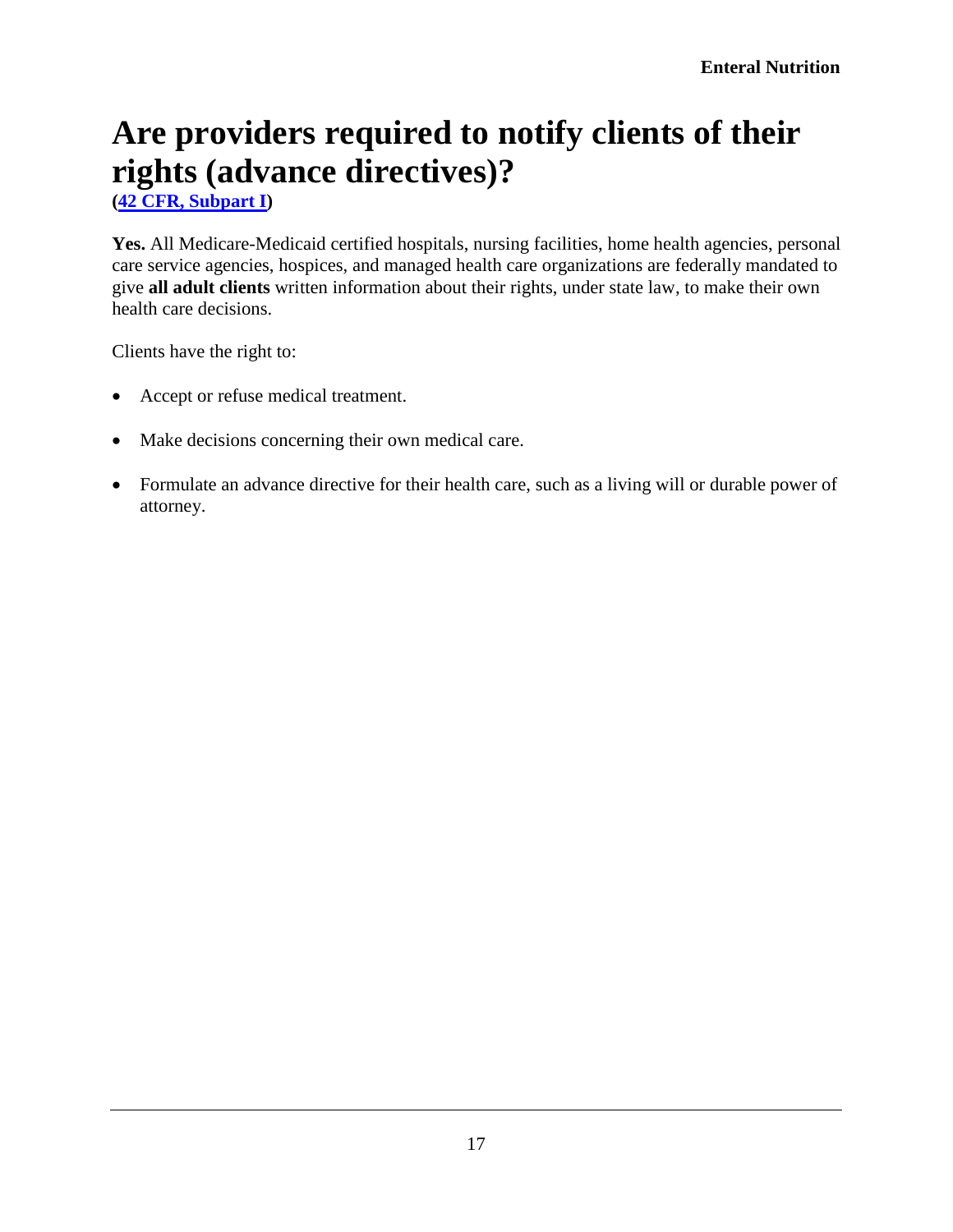# <span id="page-16-0"></span>**Are providers required to notify clients of their rights (advance directives)?**

**[\(42 CFR, Subpart I\)](http://www.gpo.gov/fdsys/browse/collectionCfr.action?collectionCode=CFR&searchPath=Title+42%2FChapter+I&oldPath=Title+42&isCollapsed=true&selectedYearFrom=2012&ycord=1352)**

Yes. All Medicare-Medicaid certified hospitals, nursing facilities, home health agencies, personal care service agencies, hospices, and managed health care organizations are federally mandated to give **all adult clients** written information about their rights, under state law, to make their own health care decisions.

Clients have the right to:

- Accept or refuse medical treatment.
- Make decisions concerning their own medical care.
- Formulate an advance directive for their health care, such as a living will or durable power of attorney.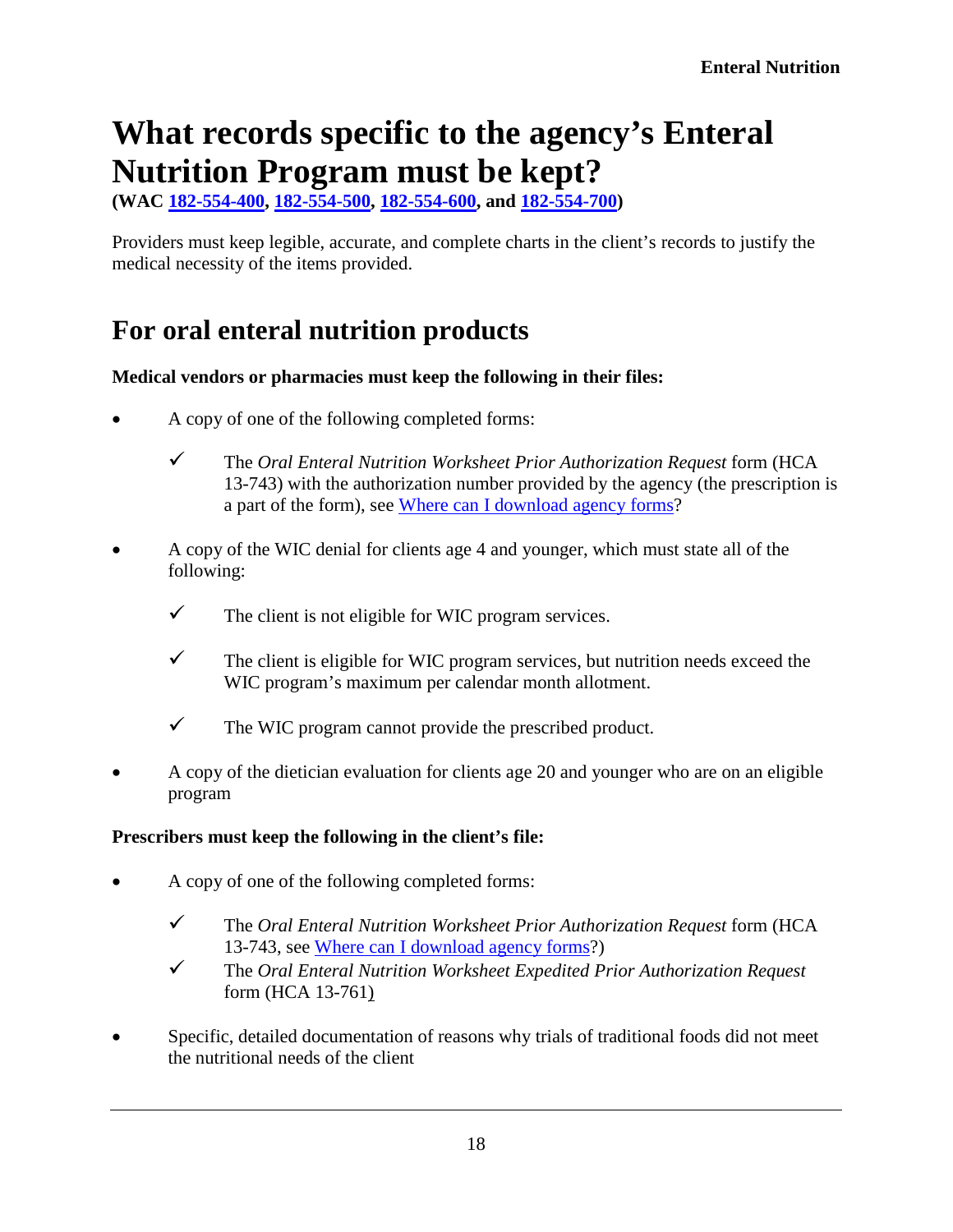## <span id="page-17-0"></span>**What records specific to the agency's Enteral Nutrition Program must be kept?**

**(WAC [182-554-400,](http://app.leg.wa.gov/WAC/default.aspx?cite=182-554-400) [182-554-500,](http://app.leg.wa.gov/WAC/default.aspx?cite=182-554-500) [182-554-600,](http://app.leg.wa.gov/WAC/default.aspx?cite=182-554-600) and [182-554-700\)](http://app.leg.wa.gov/WAC/default.aspx?cite=182-554-700)**

Providers must keep legible, accurate, and complete charts in the client's records to justify the medical necessity of the items provided.

#### <span id="page-17-1"></span>**For oral enteral nutrition products**

#### **Medical vendors or pharmacies must keep the following in their files:**

- A copy of one of the following completed forms:
	- The *Oral Enteral Nutrition Worksheet Prior Authorization Request* form (HCA 13-743) with the authorization number provided by the agency (the prescription is a part of the form), see [Where can I download agency forms?](#page-2-0)
- A copy of the WIC denial for clients age 4 and younger, which must state all of the following:
	- $\checkmark$  The client is not eligible for WIC program services.
	- $\checkmark$  The client is eligible for WIC program services, but nutrition needs exceed the WIC program's maximum per calendar month allotment.
	- $\checkmark$  The WIC program cannot provide the prescribed product.
- A copy of the dietician evaluation for clients age 20 and younger who are on an eligible program

#### **Prescribers must keep the following in the client's file:**

- A copy of one of the following completed forms:
	- The *Oral Enteral Nutrition Worksheet Prior Authorization Request* form (HCA 13-743, see [Where can I download agency forms?](#page-2-0))
	- The *Oral Enteral Nutrition Worksheet Expedited Prior Authorization Request* form (HCA 13-761)
- Specific, detailed documentation of reasons why trials of traditional foods did not meet the nutritional needs of the client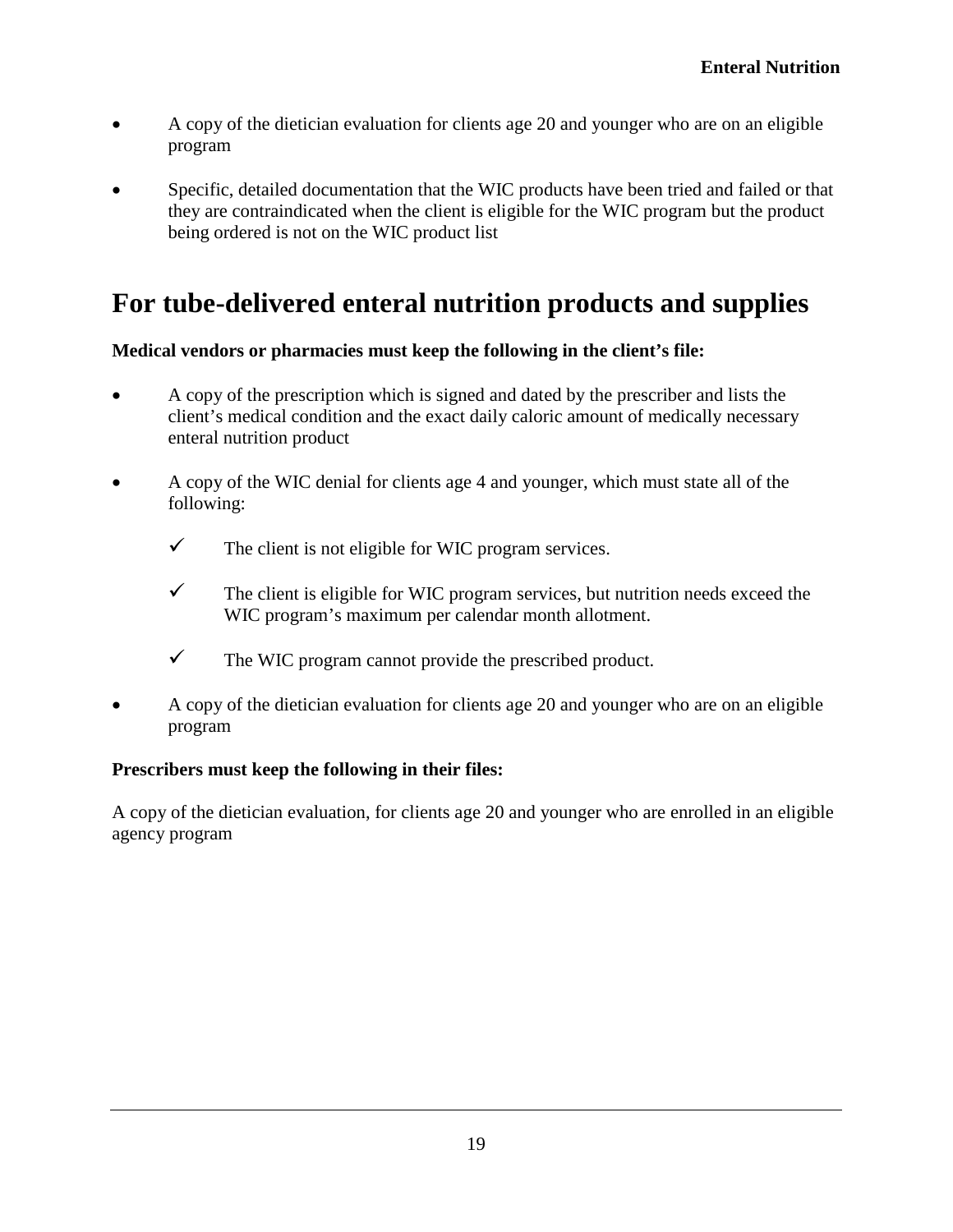- A copy of the dietician evaluation for clients age 20 and younger who are on an eligible program
- Specific, detailed documentation that the WIC products have been tried and failed or that they are contraindicated when the client is eligible for the WIC program but the product being ordered is not on the WIC product list

#### <span id="page-18-0"></span>**For tube-delivered enteral nutrition products and supplies**

#### **Medical vendors or pharmacies must keep the following in the client's file:**

- A copy of the prescription which is signed and dated by the prescriber and lists the client's medical condition and the exact daily caloric amount of medically necessary enteral nutrition product
- A copy of the WIC denial for clients age 4 and younger, which must state all of the following:
	- $\checkmark$  The client is not eligible for WIC program services.
	- $\checkmark$  The client is eligible for WIC program services, but nutrition needs exceed the WIC program's maximum per calendar month allotment.
	- $\checkmark$  The WIC program cannot provide the prescribed product.
- A copy of the dietician evaluation for clients age 20 and younger who are on an eligible program

#### **Prescribers must keep the following in their files:**

A copy of the dietician evaluation, for clients age 20 and younger who are enrolled in an eligible agency program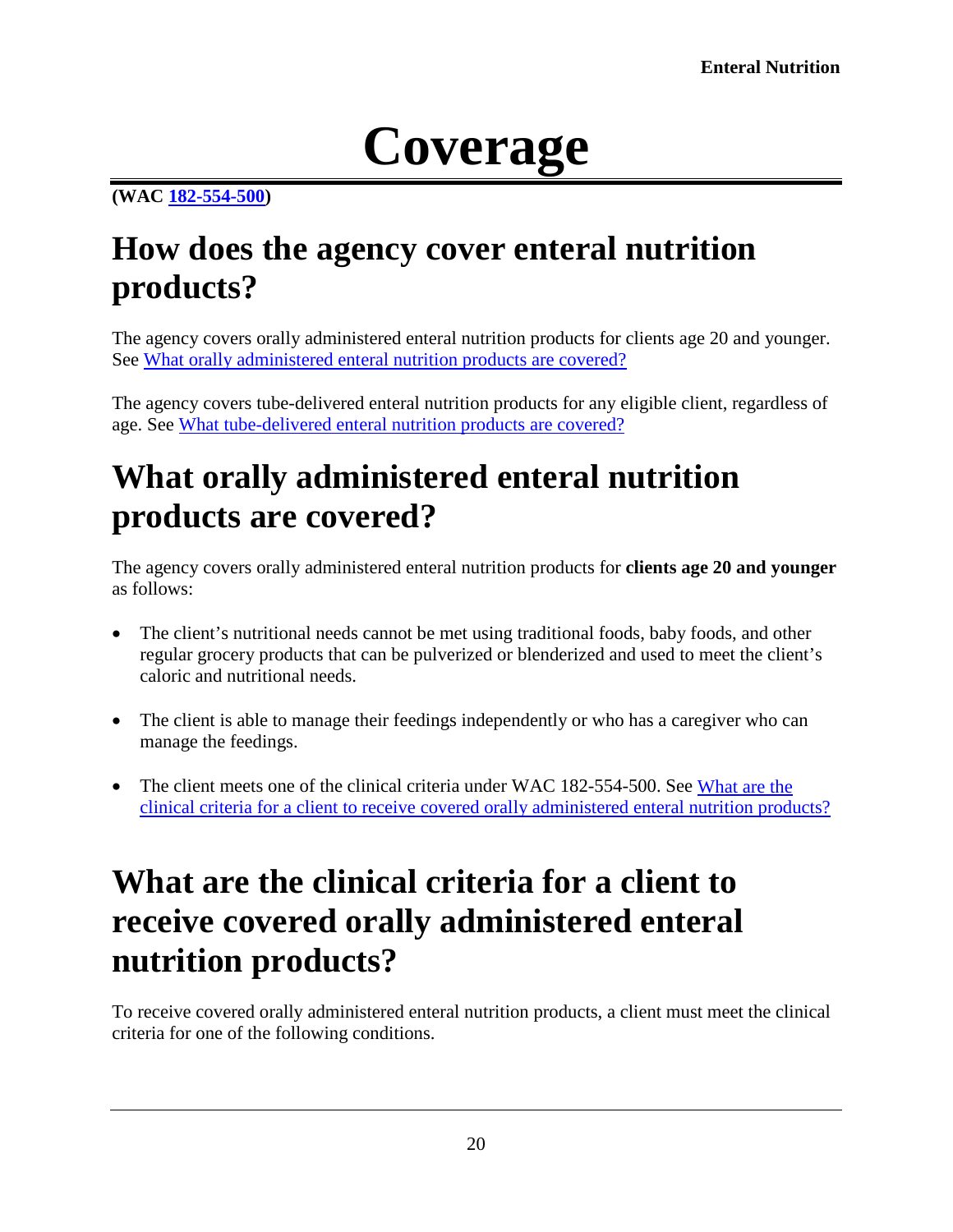# **Coverage**

#### <span id="page-19-0"></span>**[\(WAC 182-554-500\)](http://app.leg.wa.gov/WAC/default.aspx?cite=182-554-500)**

### <span id="page-19-1"></span>**How does the agency cover enteral nutrition products?**

The agency covers orally administered enteral nutrition products for clients age 20 and younger. See [What orally administered enteral nutrition products are covered?](#page-19-2)

The agency covers tube-delivered enteral nutrition products for any eligible client, regardless of age. See [What tube-delivered enteral nutrition products are covered?](#page-24-1)

## <span id="page-19-2"></span>**What orally administered enteral nutrition products are covered?**

The agency covers orally administered enteral nutrition products for **clients age 20 and younger** as follows:

- The client's nutritional needs cannot be met using traditional foods, baby foods, and other regular grocery products that can be pulverized or blenderized and used to meet the client's caloric and nutritional needs.
- The client is able to manage their feedings independently or who has a caregiver who can manage the feedings.
- The client meets one of the clinical criteria under WAC 182-554-500. See What are the [clinical criteria for a client to receive covered orally administered enteral nutrition products?](#page-19-3)

## <span id="page-19-3"></span>**What are the clinical criteria for a client to receive covered orally administered enteral nutrition products?**

To receive covered orally administered enteral nutrition products, a client must meet the clinical criteria for one of the following conditions.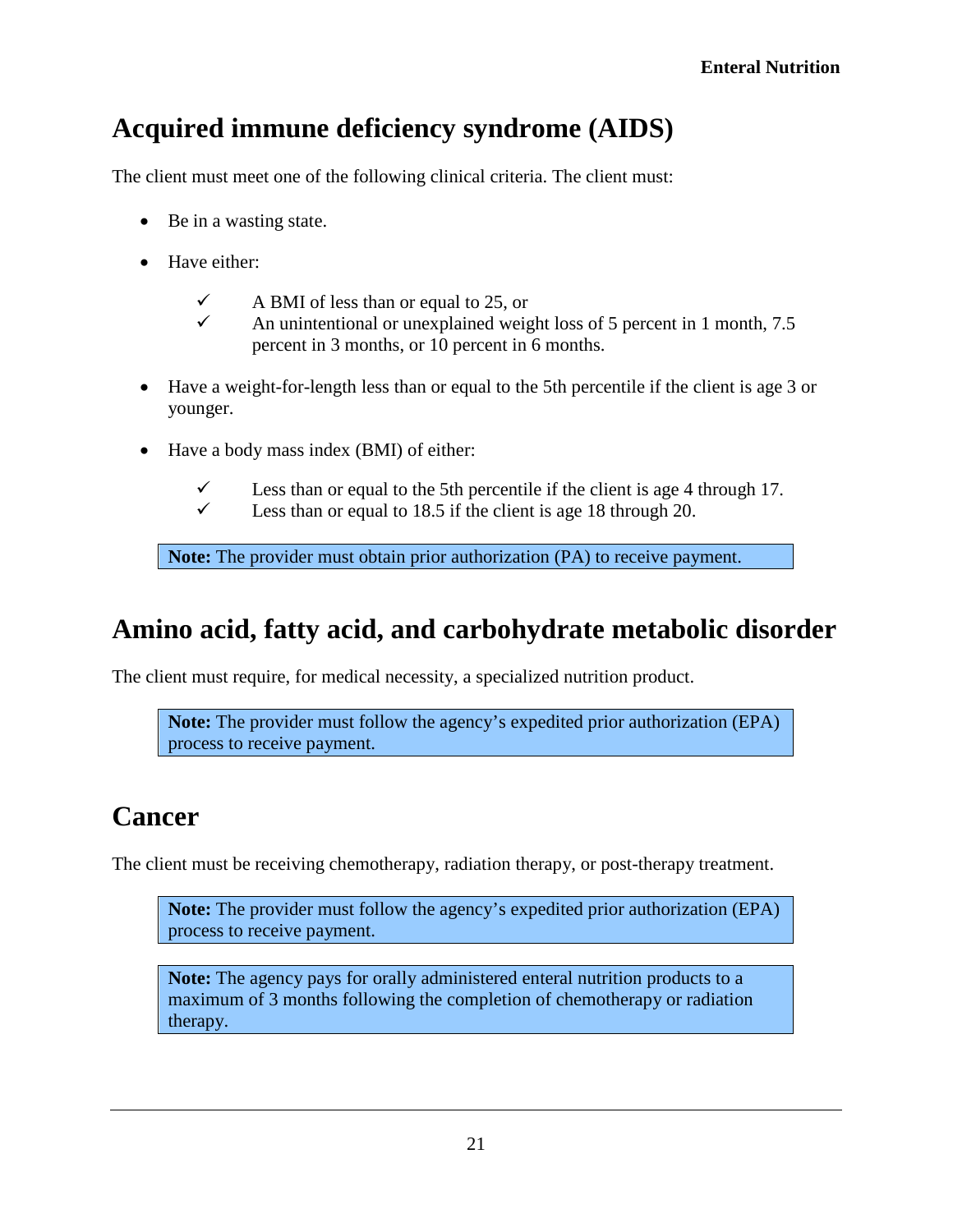#### <span id="page-20-0"></span>**Acquired immune deficiency syndrome (AIDS)**

The client must meet one of the following clinical criteria. The client must:

- Be in a wasting state.
- Have either:
	- $\checkmark$  A BMI of less than or equal to 25, or
	- An unintentional or unexplained weight loss of 5 percent in 1 month,  $7.5$ percent in 3 months, or 10 percent in 6 months.
- Have a weight-for-length less than or equal to the 5th percentile if the client is age 3 or younger.
- Have a body mass index (BMI) of either:
	- Less than or equal to the 5th percentile if the client is age 4 through 17.<br>
	Less than or equal to 18.5 if the client is age 18 through 20
	- Less than or equal to 18.5 if the client is age 18 through 20.

**Note:** The provider must obtain prior authorization (PA) to receive payment.

#### <span id="page-20-1"></span>**Amino acid, fatty acid, and carbohydrate metabolic disorder**

The client must require, for medical necessity, a specialized nutrition product.

**Note:** The provider must follow the agency's expedited prior authorization (EPA) process to receive payment.

#### <span id="page-20-2"></span>**Cancer**

The client must be receiving chemotherapy, radiation therapy, or post-therapy treatment.

**Note:** The provider must follow the agency's expedited prior authorization (EPA) process to receive payment.

**Note:** The agency pays for orally administered enteral nutrition products to a maximum of 3 months following the completion of chemotherapy or radiation therapy.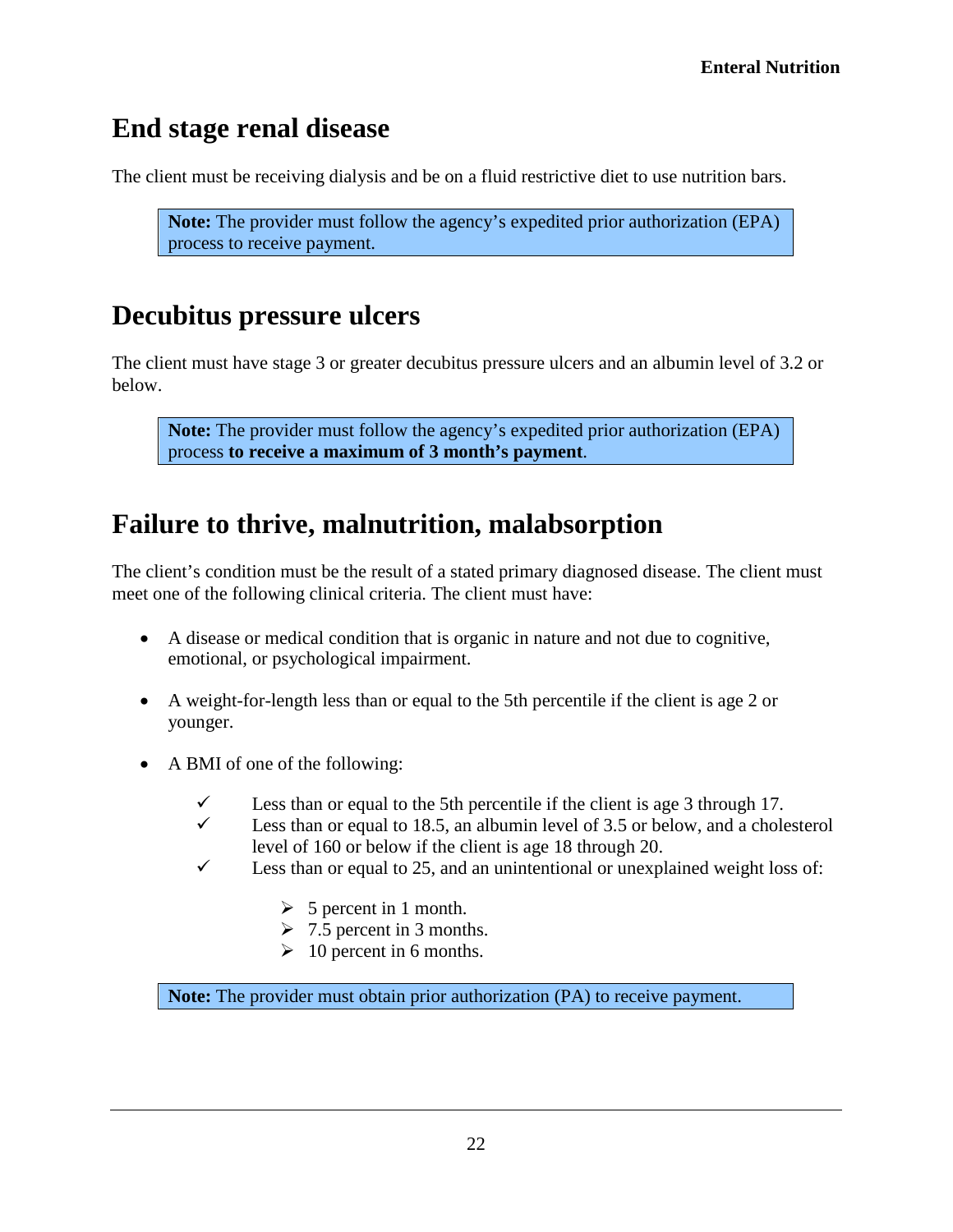#### <span id="page-21-0"></span>**End stage renal disease**

The client must be receiving dialysis and be on a fluid restrictive diet to use nutrition bars.

**Note:** The provider must follow the agency's expedited prior authorization (EPA) process to receive payment.

#### <span id="page-21-1"></span>**Decubitus pressure ulcers**

The client must have stage 3 or greater decubitus pressure ulcers and an albumin level of 3.2 or below.

**Note:** The provider must follow the agency's expedited prior authorization (EPA) process **to receive a maximum of 3 month's payment**.

#### <span id="page-21-2"></span>**Failure to thrive, malnutrition, malabsorption**

The client's condition must be the result of a stated primary diagnosed disease. The client must meet one of the following clinical criteria. The client must have:

- A disease or medical condition that is organic in nature and not due to cognitive, emotional, or psychological impairment.
- A weight-for-length less than or equal to the 5th percentile if the client is age 2 or younger.
- A BMI of one of the following:
	- Less than or equal to the 5th percentile if the client is age 3 through 17.
	- $\checkmark$  Less than or equal to 18.5, an albumin level of 3.5 or below, and a cholesterol level of 160 or below if the client is age 18 through 20.
	- $\checkmark$  Less than or equal to 25, and an unintentional or unexplained weight loss of:
		- $\triangleright$  5 percent in 1 month.
		- $\geq 7.5$  percent in 3 months.
		- $\geq 10$  percent in 6 months.

**Note:** The provider must obtain prior authorization (PA) to receive payment.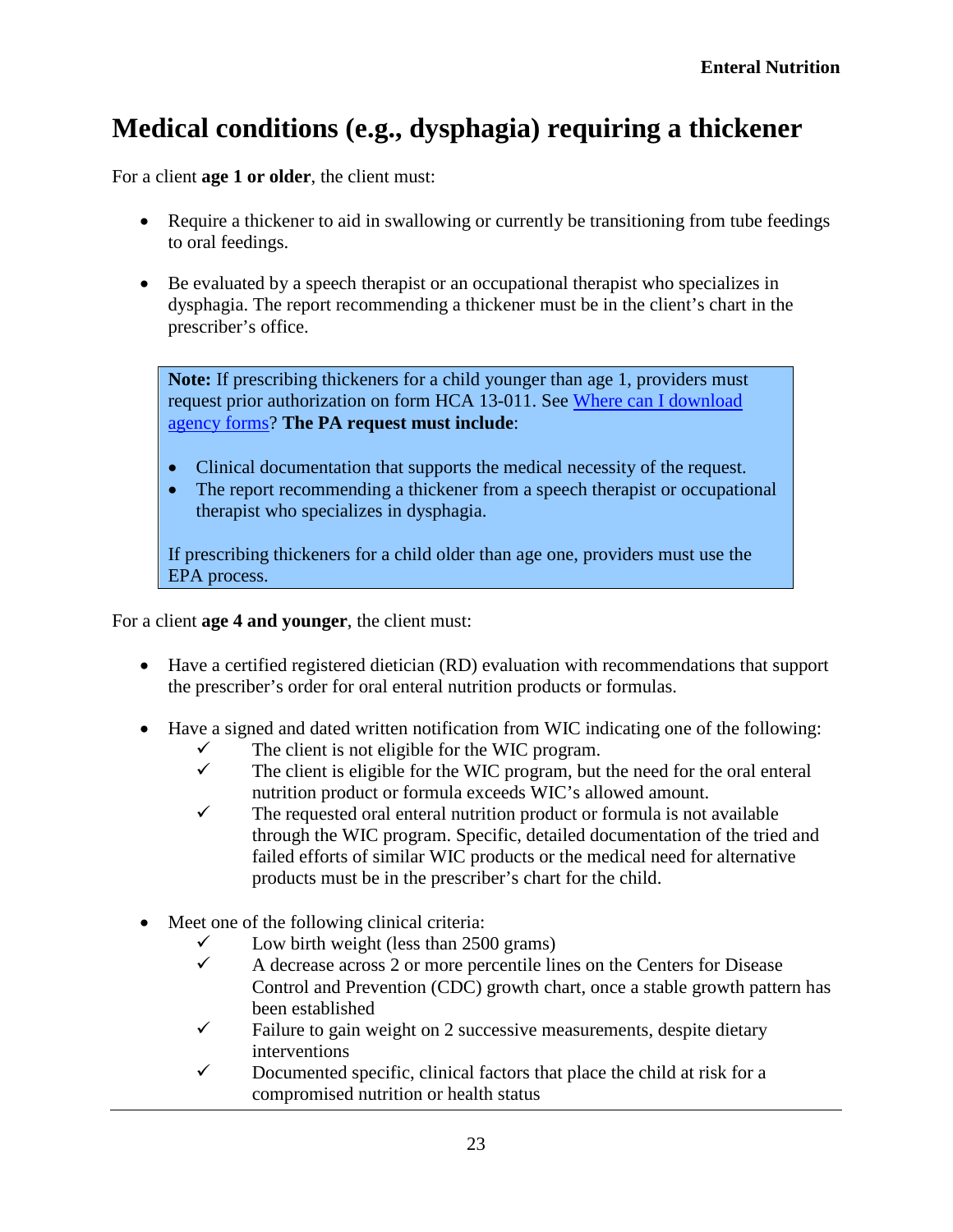#### <span id="page-22-0"></span>**Medical conditions (e.g., dysphagia) requiring a thickener**

For a client **age 1 or older**, the client must:

- Require a thickener to aid in swallowing or currently be transitioning from tube feedings to oral feedings.
- Be evaluated by a speech therapist or an occupational therapist who specializes in dysphagia. The report recommending a thickener must be in the client's chart in the prescriber's office.

**Note:** If prescribing thickeners for a child younger than age 1, providers must request prior authorization on form HCA 13-011. See [Where can I download](#page-2-0)  [agency forms?](#page-2-0) **The PA request must include**:

- Clinical documentation that supports the medical necessity of the request.
- The report recommending a thickener from a speech therapist or occupational therapist who specializes in dysphagia.

If prescribing thickeners for a child older than age one, providers must use the EPA process.

For a client **age 4 and younger**, the client must:

- Have a certified registered dietician (RD) evaluation with recommendations that support the prescriber's order for oral enteral nutrition products or formulas.
- Have a signed and dated written notification from WIC indicating one of the following:
	- $\checkmark$  The client is not eligible for the WIC program.<br> $\checkmark$  The client is eligible for the WIC program but
	- The client is eligible for the WIC program, but the need for the oral enteral nutrition product or formula exceeds WIC's allowed amount.
	- $\checkmark$  The requested oral enteral nutrition product or formula is not available through the WIC program. Specific, detailed documentation of the tried and failed efforts of similar WIC products or the medical need for alternative products must be in the prescriber's chart for the child.
- Meet one of the following clinical criteria:
	-
	- A decrease across 2 or more percentile lines on the Centers for Disease Control and Prevention (CDC) [growth chart,](http://www.cdc.gov/growthcharts/cdc_charts.htm) once a stable growth pattern has been established
	- $\checkmark$  Failure to gain weight on 2 successive measurements, despite dietary interventions
	- $\checkmark$  Documented specific, clinical factors that place the child at risk for a compromised nutrition or health status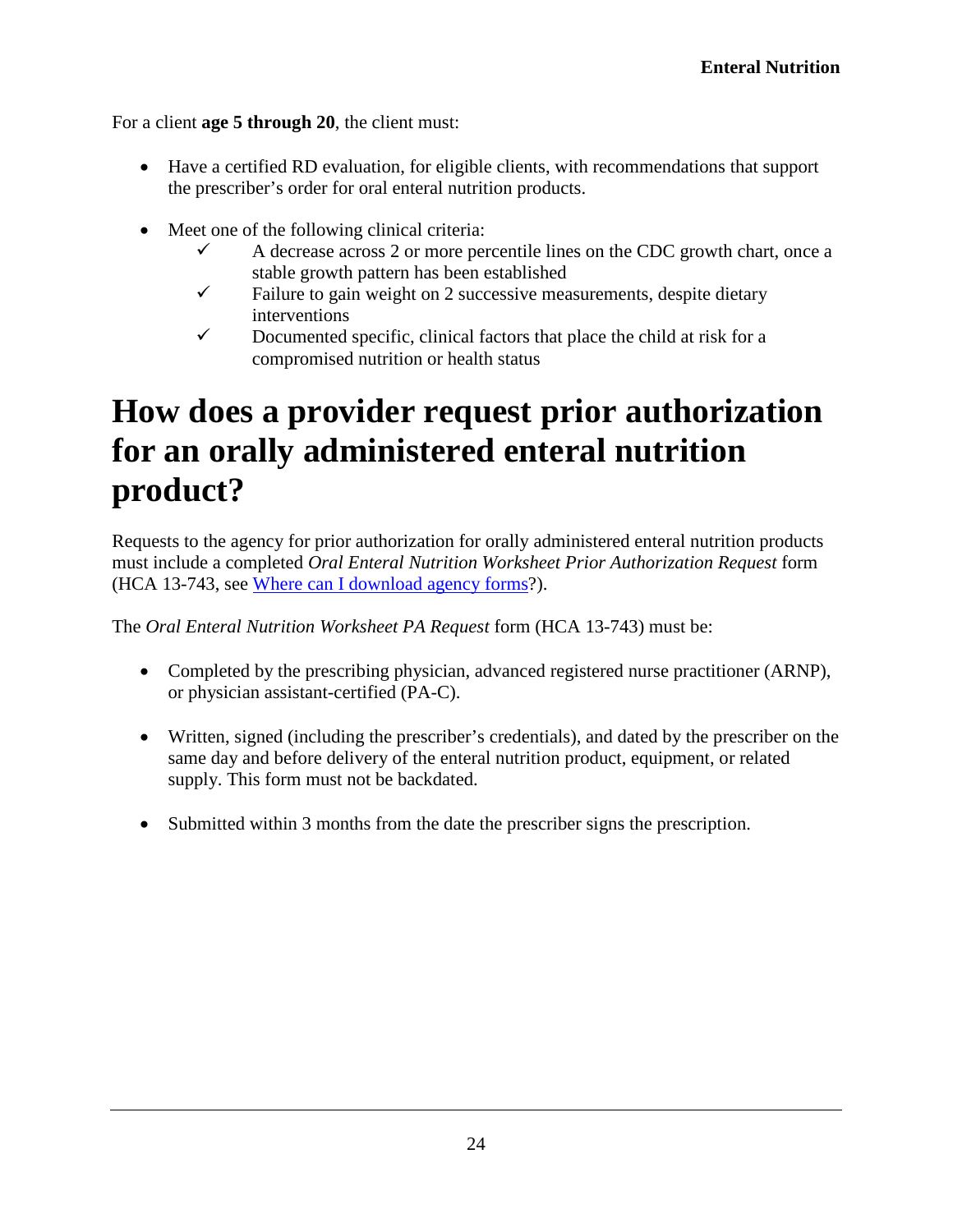For a client **age 5 through 20**, the client must:

- Have a certified RD evaluation, for eligible clients, with recommendations that support the prescriber's order for oral enteral nutrition products.
- Meet one of the following clinical criteria:
	- $\checkmark$  A decrease across 2 or more percentile lines on the CDC growth chart, once a stable growth pattern has been established
	- $\checkmark$  Failure to gain weight on 2 successive measurements, despite dietary interventions
	- $\checkmark$  Documented specific, clinical factors that place the child at risk for a compromised nutrition or health status

## <span id="page-23-0"></span>**How does a provider request prior authorization for an orally administered enteral nutrition product?**

Requests to the agency for prior authorization for orally administered enteral nutrition products must include a completed *Oral Enteral Nutrition Worksheet Prior Authorization Request* form (HCA 13-743, see [Where can I download agency forms?](#page-2-0)).

The *Oral Enteral Nutrition Worksheet PA Request* form (HCA 13-743) must be:

- Completed by the prescribing physician, advanced registered nurse practitioner (ARNP), or physician assistant-certified (PA-C).
- Written, signed (including the prescriber's credentials), and dated by the prescriber on the same day and before delivery of the enteral nutrition product, equipment, or related supply. This form must not be backdated.
- Submitted within 3 months from the date the prescriber signs the prescription.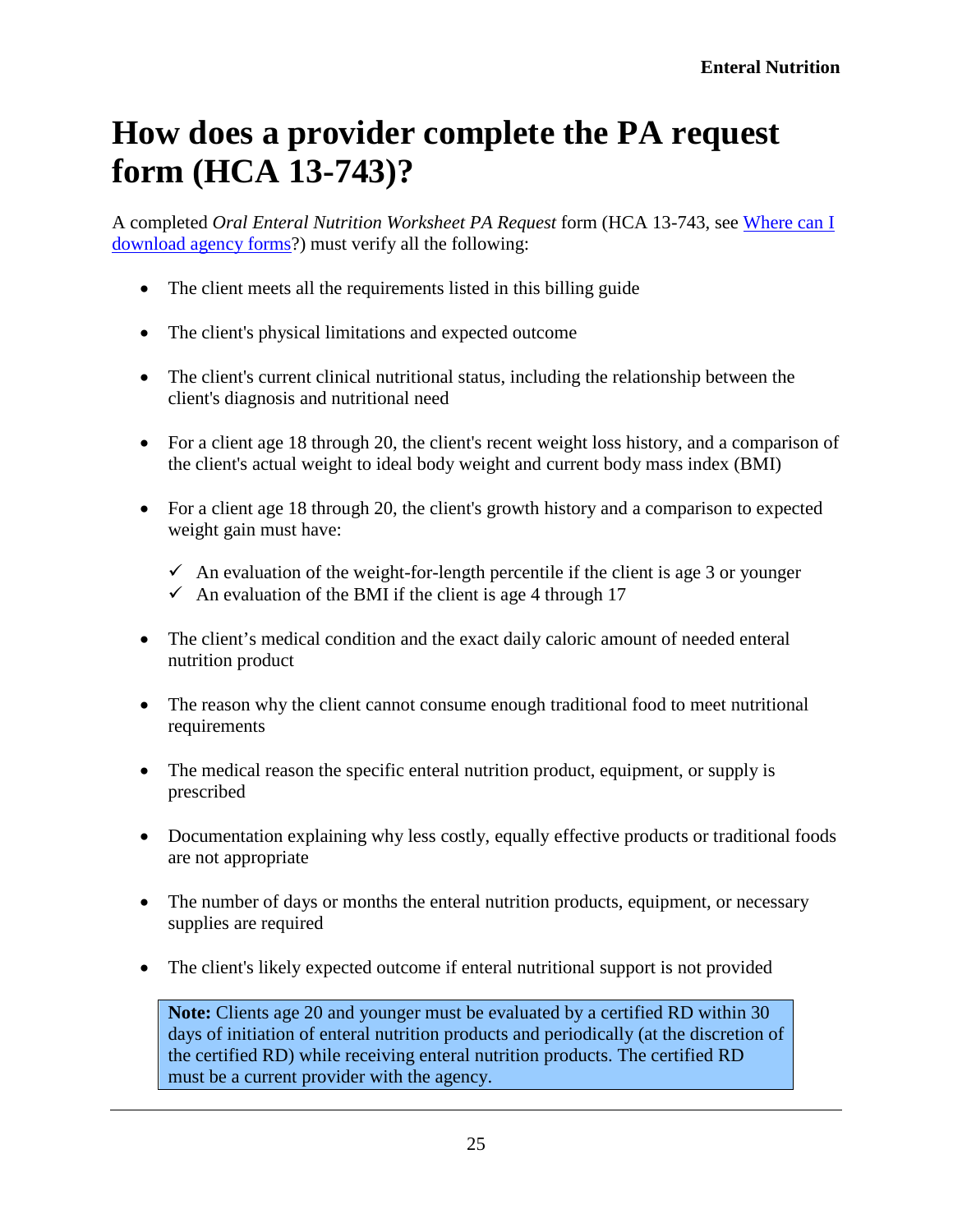## <span id="page-24-0"></span>**How does a provider complete the PA request form (HCA 13-743)?**

A completed *Oral Enteral Nutrition Worksheet PA Request* form (HCA 13-743, see [Where can I](#page-2-0)  [download agency forms?](#page-2-0)) must verify all the following:

- The client meets all the requirements listed in this billing guide
- The client's physical limitations and expected outcome
- The client's current clinical nutritional status, including the relationship between the client's diagnosis and nutritional need
- For a client age 18 through 20, the client's recent weight loss history, and a comparison of the client's actual weight to ideal body weight and current body mass index (BMI)
- For a client age 18 through 20, the client's growth history and a comparison to expected weight gain must have:
	- $\checkmark$  An evaluation of the weight-for-length percentile if the client is age 3 or younger  $\checkmark$  An evaluation of the BMI if the client is age 4 through 17
- The client's medical condition and the exact daily caloric amount of needed enteral nutrition product
- The reason why the client cannot consume enough traditional food to meet nutritional requirements
- The medical reason the specific enteral nutrition product, equipment, or supply is prescribed
- Documentation explaining why less costly, equally effective products or traditional foods are not appropriate
- The number of days or months the enteral nutrition products, equipment, or necessary supplies are required
- The client's likely expected outcome if enteral nutritional support is not provided

<span id="page-24-1"></span>**Note:** Clients age 20 and younger must be evaluated by a certified RD within 30 days of initiation of enteral nutrition products and periodically (at the discretion of the certified RD) while receiving enteral nutrition products. The certified RD must be a current provider with the agency.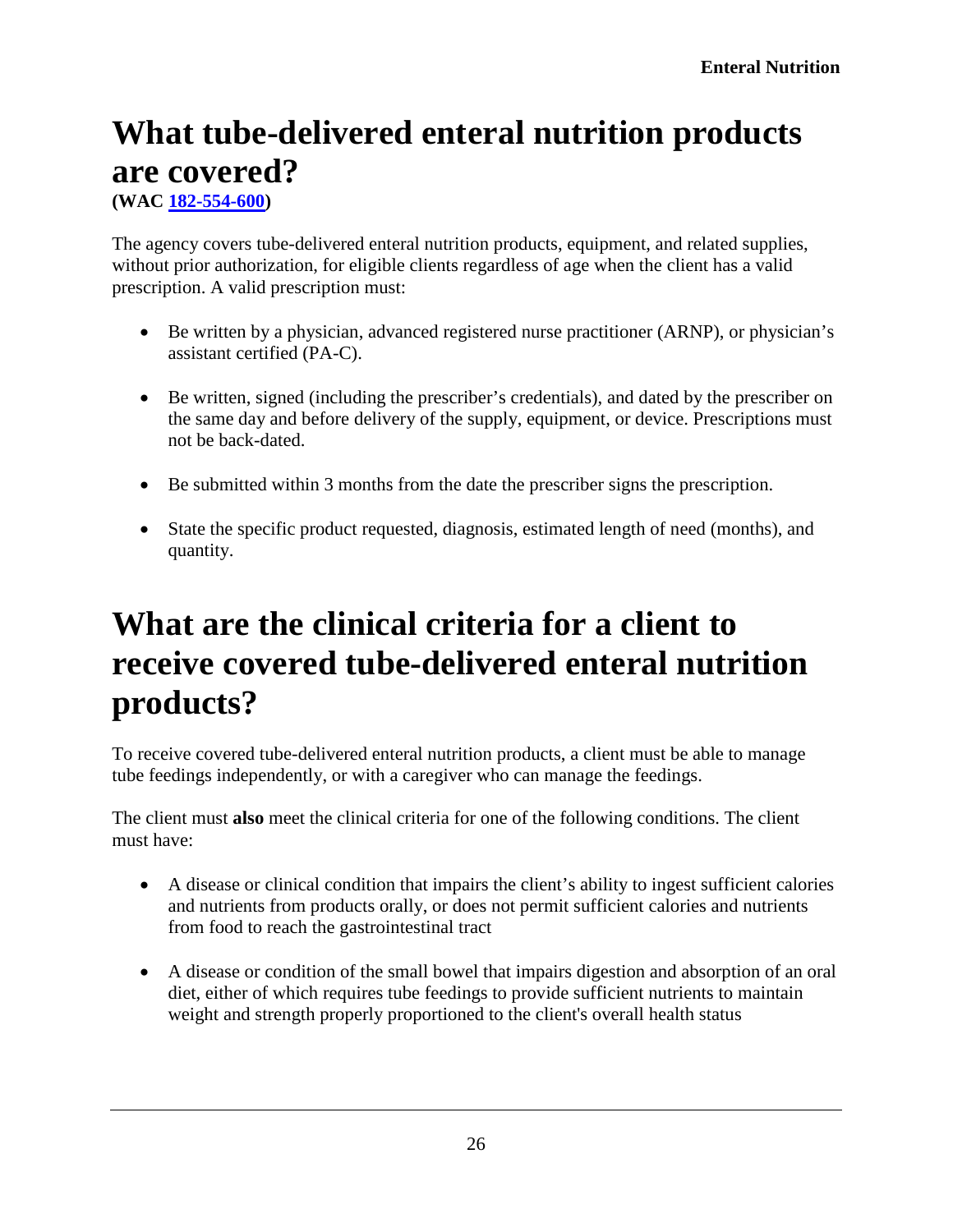# <span id="page-25-0"></span>**What tube-delivered enteral nutrition products are covered?**

**[\(WAC 182-554-600\)](http://app.leg.wa.gov/WAC/default.aspx?cite=182-554-600)**

The agency covers tube-delivered enteral nutrition products, equipment, and related supplies, without prior authorization, for eligible clients regardless of age when the client has a valid prescription. A valid prescription must:

- Be written by a physician, advanced registered nurse practitioner (ARNP), or physician's assistant certified (PA-C).
- Be written, signed (including the prescriber's credentials), and dated by the prescriber on the same day and before delivery of the supply, equipment, or device. Prescriptions must not be back-dated.
- Be submitted within 3 months from the date the prescriber signs the prescription.
- State the specific product requested, diagnosis, estimated length of need (months), and quantity.

## <span id="page-25-1"></span>**What are the clinical criteria for a client to receive covered tube-delivered enteral nutrition products?**

To receive covered tube-delivered enteral nutrition products, a client must be able to manage tube feedings independently, or with a caregiver who can manage the feedings.

The client must **also** meet the clinical criteria for one of the following conditions. The client must have:

- A disease or clinical condition that impairs the client's ability to ingest sufficient calories and nutrients from products orally, or does not permit sufficient calories and nutrients from food to reach the gastrointestinal tract
- A disease or condition of the small bowel that impairs digestion and absorption of an oral diet, either of which requires tube feedings to provide sufficient nutrients to maintain weight and strength properly proportioned to the client's overall health status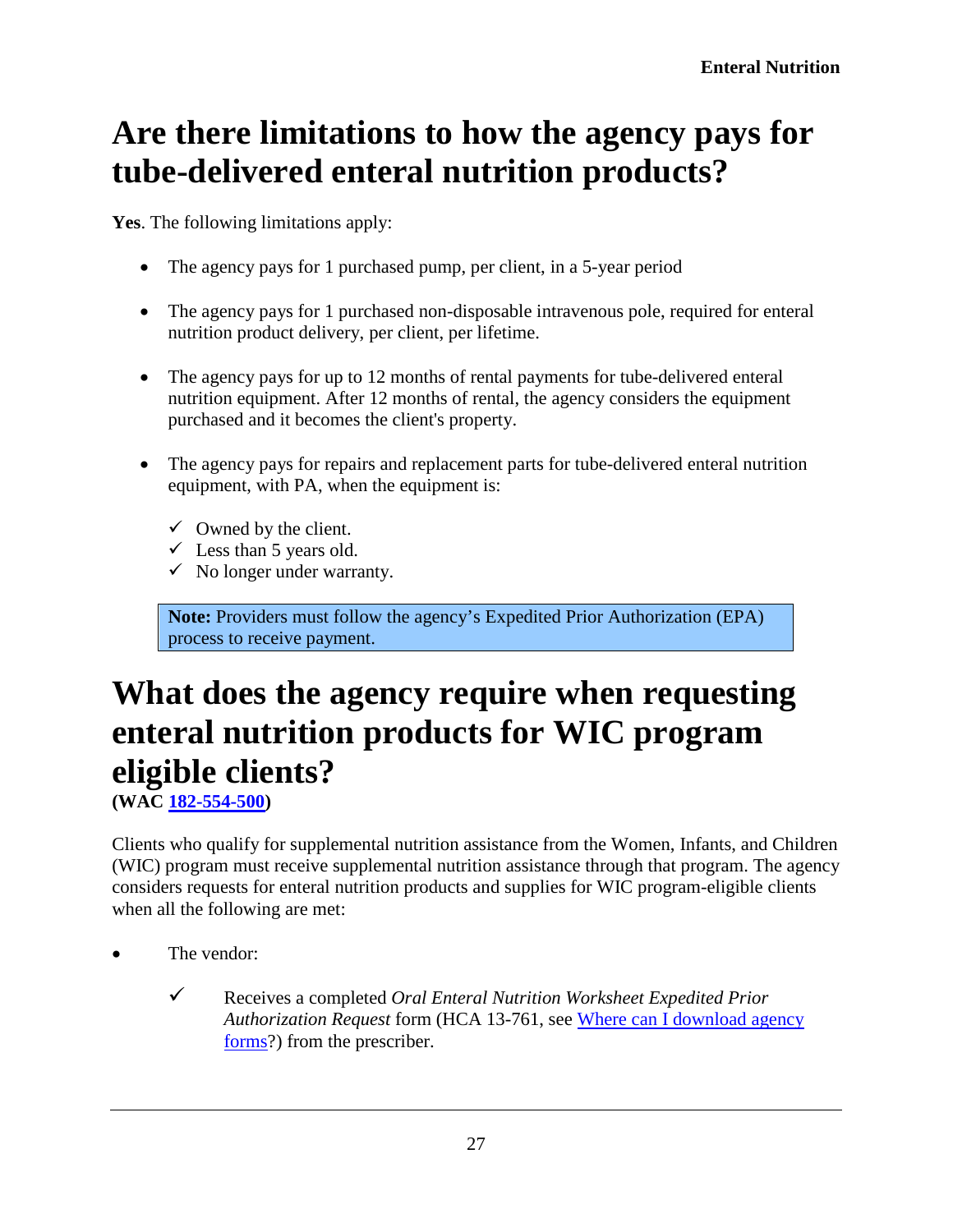## <span id="page-26-0"></span>**Are there limitations to how the agency pays for tube-delivered enteral nutrition products?**

**Yes**. The following limitations apply:

- The agency pays for 1 purchased pump, per client, in a 5-year period
- The agency pays for 1 purchased non-disposable intravenous pole, required for enteral nutrition product delivery, per client, per lifetime.
- The agency pays for up to 12 months of rental payments for tube-delivered enteral nutrition equipment. After 12 months of rental, the agency considers the equipment purchased and it becomes the client's property.
- The agency pays for repairs and replacement parts for tube-delivered enteral nutrition equipment, with PA, when the equipment is:
	- $\checkmark$  Owned by the client.
	- $\checkmark$  Less than 5 years old.
	- $\checkmark$  No longer under warranty.

**Note:** Providers must follow the agency's Expedited Prior Authorization (EPA) process to receive payment.

## <span id="page-26-1"></span>**What does the agency require when requesting enteral nutrition products for WIC program eligible clients?**

**[\(WAC 182-554-500\)](http://app.leg.wa.gov/WAC/default.aspx?cite=182-554-500)**

Clients who qualify for supplemental nutrition assistance from the Women, Infants, and Children (WIC) program must receive supplemental nutrition assistance through that program. The agency considers requests for enteral nutrition products and supplies for WIC program-eligible clients when all the following are met:

- The vendor:
	- Receives a completed *Oral Enteral Nutrition Worksheet Expedited Prior Authorization Request* form (HCA 13-761, see [Where can I download agency](#page-2-0)  [forms?](#page-2-0)) from the prescriber.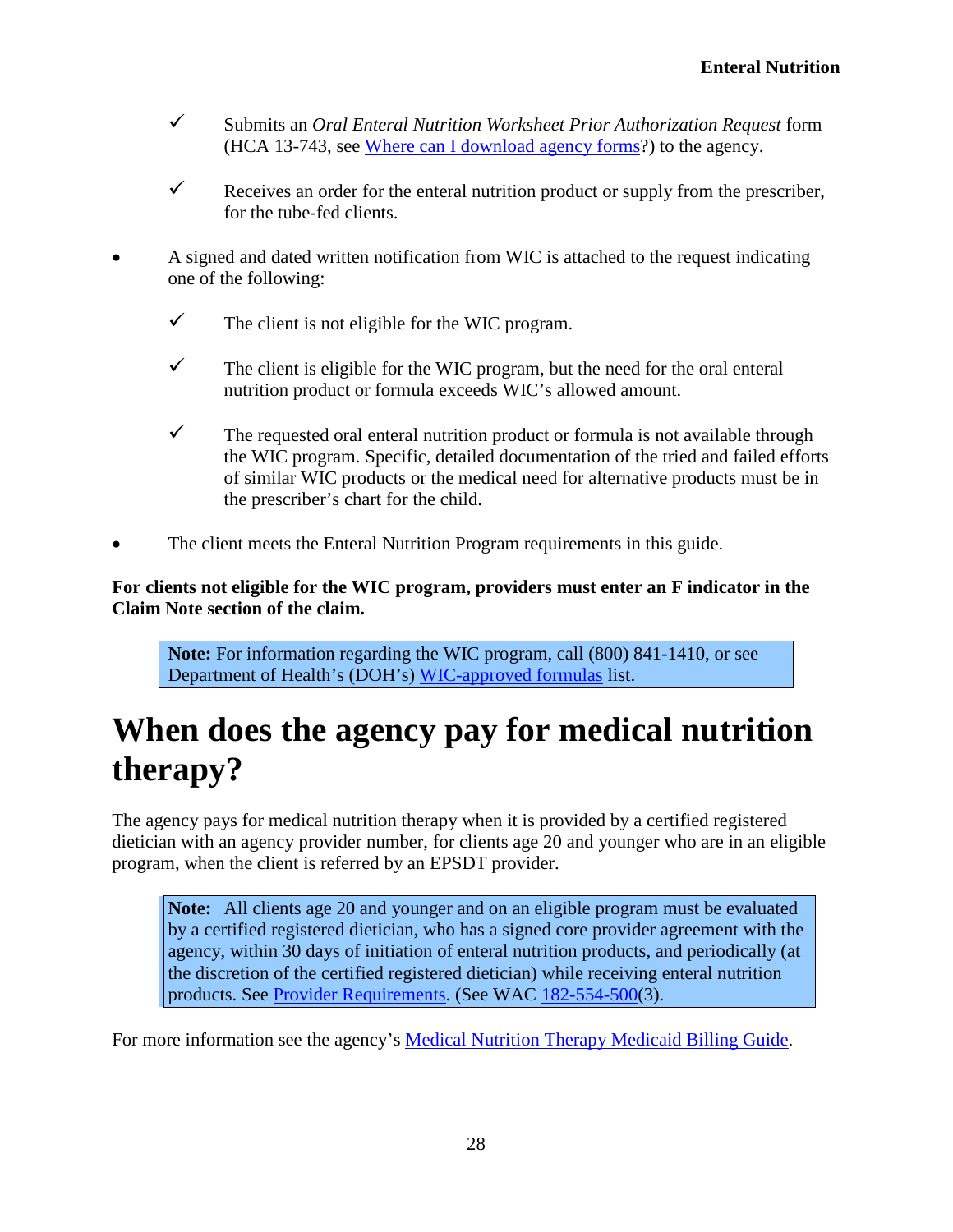- Submits an *Oral Enteral Nutrition Worksheet Prior Authorization Request* form (HCA 13-743, see [Where can I download agency forms?](#page-2-0)) to the agency.
- Receives an order for the enteral nutrition product or supply from the prescriber, for the tube-fed clients.
- A signed and dated written notification from WIC is attached to the request indicating one of the following:
	- $\checkmark$  The client is not eligible for the WIC program.
	- $\checkmark$  The client is eligible for the WIC program, but the need for the oral enteral nutrition product or formula exceeds WIC's allowed amount.
	- $\checkmark$  The requested oral enteral nutrition product or formula is not available through the WIC program. Specific, detailed documentation of the tried and failed efforts of similar WIC products or the medical need for alternative products must be in the prescriber's chart for the child.
- The client meets the Enteral Nutrition Program requirements in this guide.

#### **For clients not eligible for the WIC program, providers must enter an F indicator in the Claim Note section of the claim.**

**Note:** For information regarding the WIC program, call (800) 841-1410, or see Department of Health's (DOH's) [WIC-approved formulas](http://www.doh.wa.gov/YouandYourFamily/WIC/WICFoods/InfantFormula.aspx) list.

## <span id="page-27-0"></span>**When does the agency pay for medical nutrition therapy?**

The agency pays for medical nutrition therapy when it is provided by a certified registered dietician with an agency provider number, for clients age 20 and younger who are in an eligible program, when the client is referred by an EPSDT provider.

**Note:** All clients age 20 and younger and on an eligible program must be evaluated by a certified registered dietician, who has a signed core provider agreement with the agency, within 30 days of initiation of enteral nutrition products, and periodically (at the discretion of the certified registered dietician) while receiving enteral nutrition products. See [Provider Requirements.](#page-10-0) (See [WAC 182-554-500\(](http://app.leg.wa.gov/WAC/default.aspx?cite=182-554-500)3).

For more information see the agency's [Medical Nutrition Therapy Medicaid Billing](https://www.hca.wa.gov/billers-providers/claims-and-billing/professional-rates-and-billing-guides#collapse_34_accordion) Guide.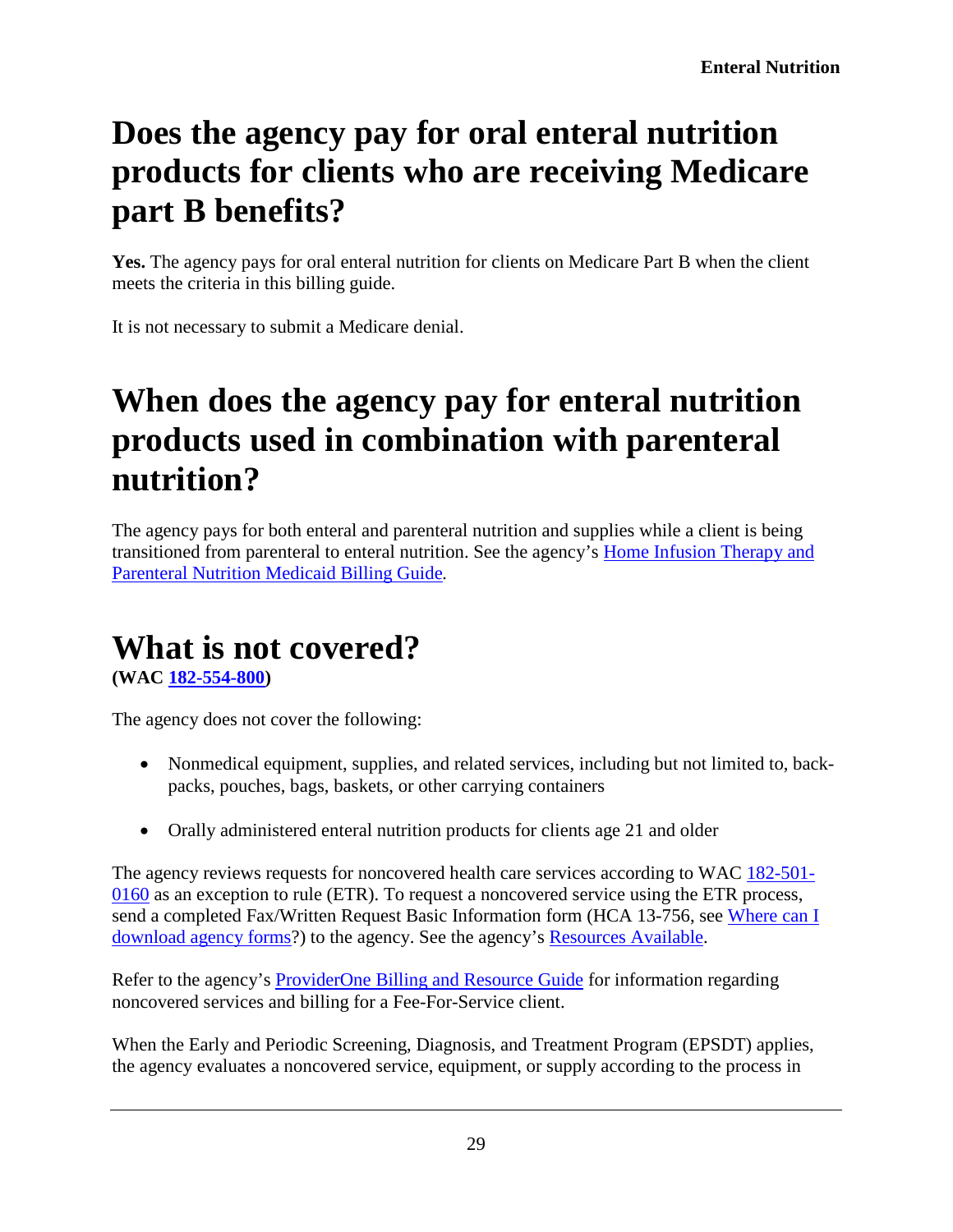# <span id="page-28-0"></span>**Does the agency pay for oral enteral nutrition products for clients who are receiving Medicare part B benefits?**

**Yes.** The agency pays for oral enteral nutrition for clients on Medicare Part B when the client meets the criteria in this billing guide.

It is not necessary to submit a Medicare denial.

## <span id="page-28-1"></span>**When does the agency pay for enteral nutrition products used in combination with parenteral nutrition?**

The agency pays for both enteral and parenteral nutrition and supplies while a client is being transitioned from parenteral to enteral nutrition. See the agency's [Home Infusion Therapy and](https://www.hca.wa.gov/billers-providers/claims-and-billing/professional-rates-and-billing-guides#collapse_25_accordion)  [Parenteral Nutrition Medicaid Billing](https://www.hca.wa.gov/billers-providers/claims-and-billing/professional-rates-and-billing-guides#collapse_25_accordion) Guide*.*

### <span id="page-28-2"></span>**What is not covered?**

**[\(WAC 182-554-800\)](http://app.leg.wa.gov/WAC/default.aspx?cite=182-554-800)**

The agency does not cover the following:

- Nonmedical equipment, supplies, and related services, including but not limited to, backpacks, pouches, bags, baskets, or other carrying containers
- Orally administered enteral nutrition products for clients age 21 and older

The agency reviews requests for noncovered health care services according to WAC [182-501-](http://app.leg.wa.gov/WAC/default.aspx?cite=182-501-0160) [0160](http://app.leg.wa.gov/WAC/default.aspx?cite=182-501-0160) as an exception to rule (ETR). To request a noncovered service using the ETR process, send a completed Fax/Written Request Basic Information form (HCA 13-756, see [Where can I](#page-2-0)  [download agency forms?](#page-2-0)) to the agency. See the agency's Resources Available.

Refer to the agency's [ProviderOne Billing and Resource Guide](http://www.hca.wa.gov/node/311) for information regarding noncovered services and billing for a Fee-For-Service client.

When the Early and Periodic Screening, Diagnosis, and Treatment Program (EPSDT) applies, the agency evaluates a noncovered service, equipment, or supply according to the process in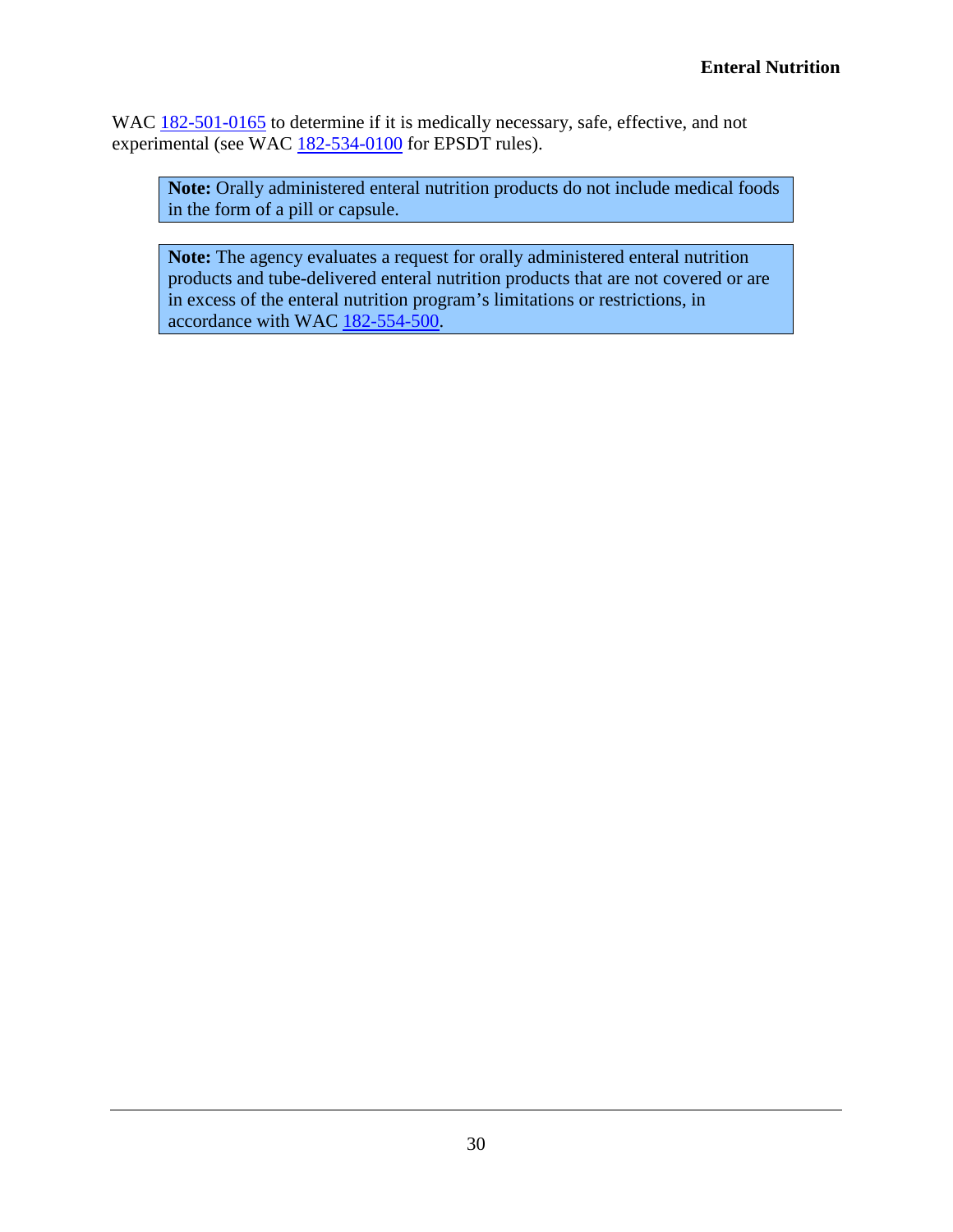WAC [182-501-0165](http://app.leg.wa.gov/WAC/default.aspx?cite=182-501-0165) to determine if it is medically necessary, safe, effective, and not experimental (see WAC [182-534-0100](http://app.leg.wa.gov/WAC/default.aspx?cite=182-534-0100) for EPSDT rules).

**Note:** Orally administered enteral nutrition products do not include medical foods in the form of a pill or capsule.

**Note:** The agency evaluates a request for orally administered enteral nutrition products and tube-delivered enteral nutrition products that are not covered or are in excess of the enteral nutrition program's limitations or restrictions, in accordance with WAC [182-554-500.](http://app.leg.wa.gov/WAC/default.aspx?cite=182-554-500)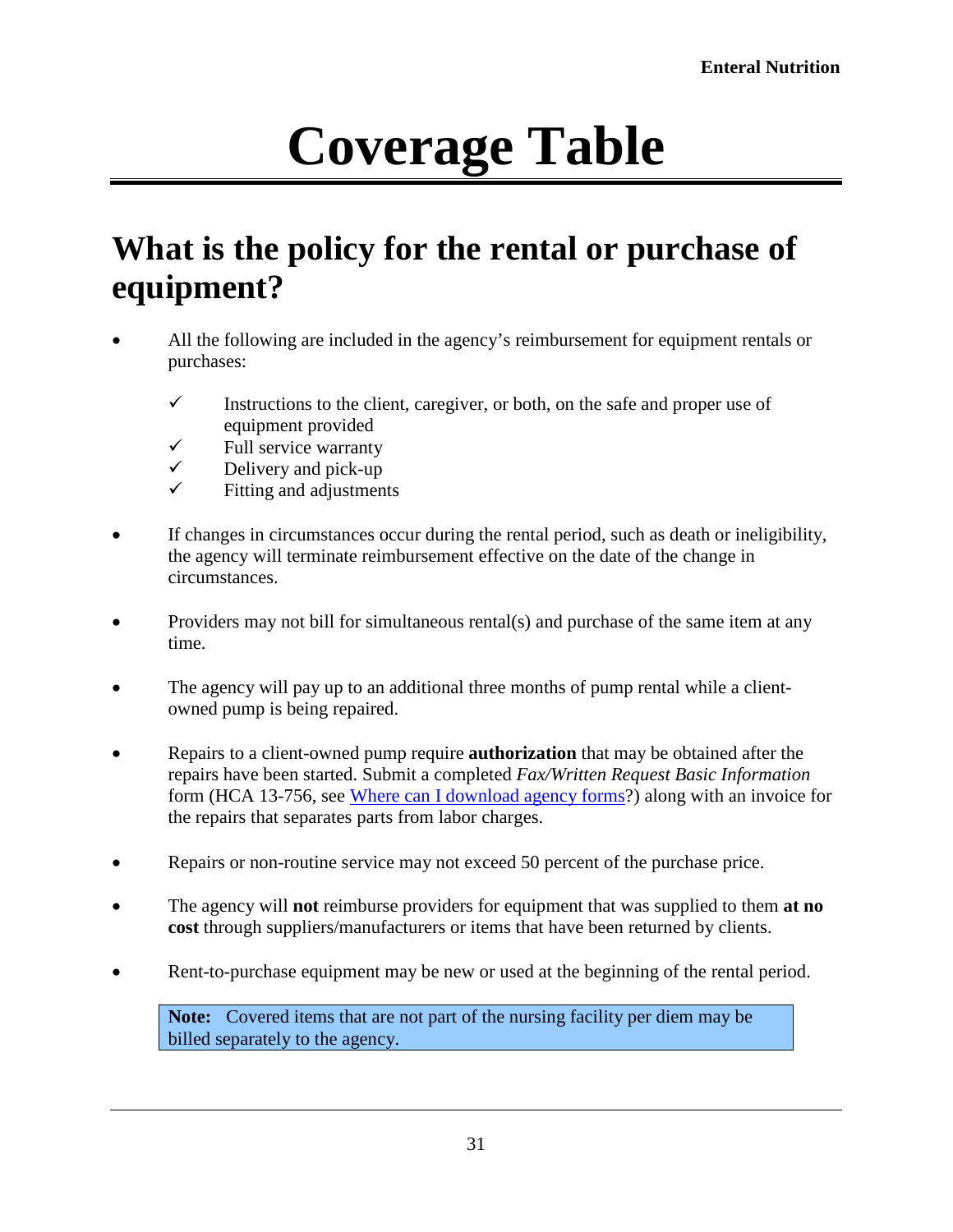# **Coverage Table**

## <span id="page-30-1"></span><span id="page-30-0"></span>**What is the policy for the rental or purchase of equipment?**

- All the following are included in the agency's reimbursement for equipment rentals or purchases:
	- $\checkmark$  Instructions to the client, caregiver, or both, on the safe and proper use of equipment provided
	- $\checkmark$  Full service warranty<br> $\checkmark$  Delivery and pick-up
	- $\checkmark$  Delivery and pick-up<br> $\checkmark$  Eitting and adjustment
	- Fitting and adjustments
- If changes in circumstances occur during the rental period, such as death or ineligibility, the agency will terminate reimbursement effective on the date of the change in circumstances.
- Providers may not bill for simultaneous rental(s) and purchase of the same item at any time.
- The agency will pay up to an additional three months of pump rental while a clientowned pump is being repaired.
- Repairs to a client-owned pump require **authorization** that may be obtained after the repairs have been started. Submit a completed *Fax/Written Request Basic Information* form (HCA 13-756, see [Where can I download agency forms?](#page-2-0)) along with an invoice for the repairs that separates parts from labor charges.
- Repairs or non-routine service may not exceed 50 percent of the purchase price.
- The agency will **not** reimburse providers for equipment that was supplied to them **at no cost** through suppliers/manufacturers or items that have been returned by clients.
- Rent-to-purchase equipment may be new or used at the beginning of the rental period.

**Note:** Covered items that are not part of the nursing facility per diem may be billed separately to the agency.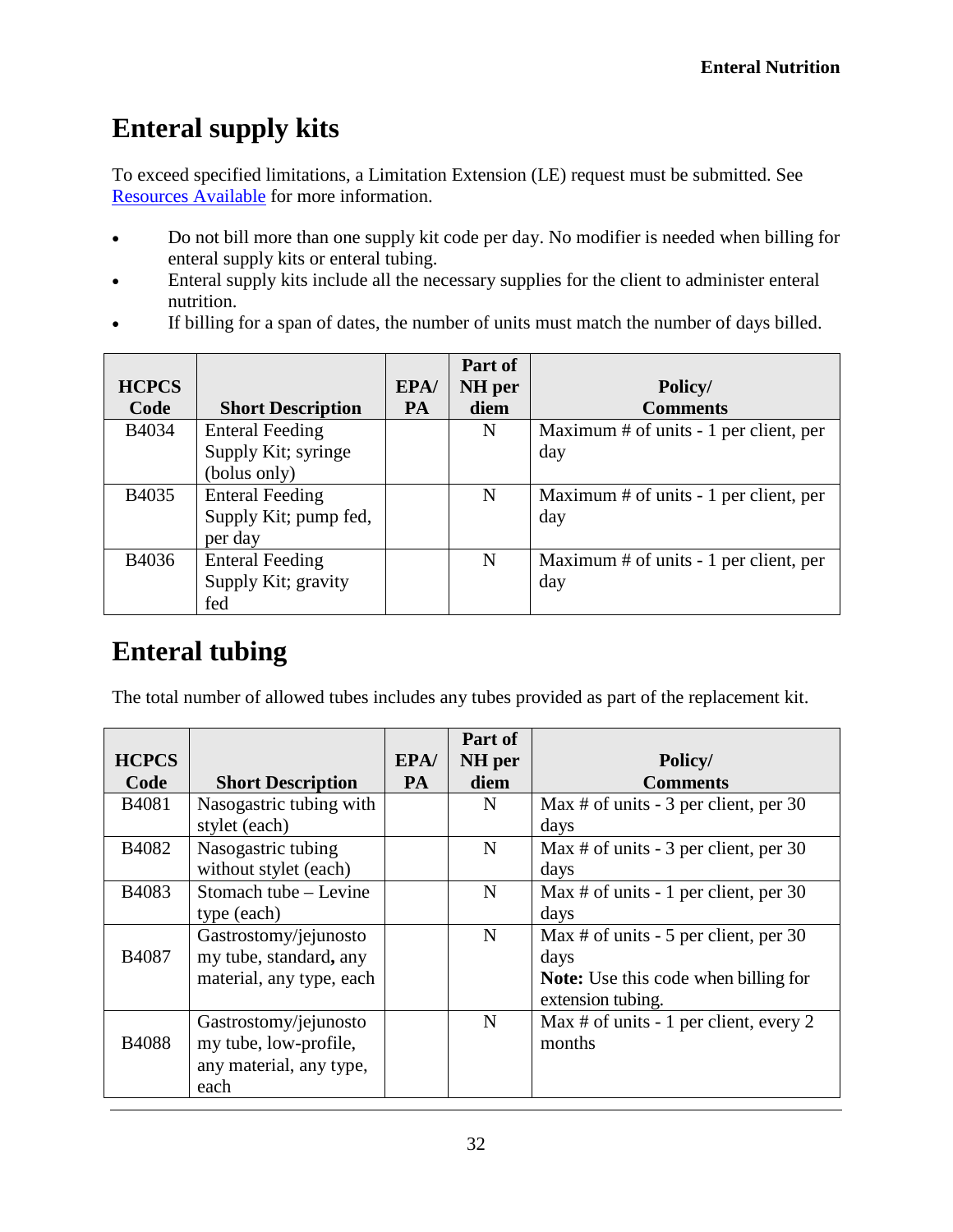#### <span id="page-31-0"></span>**Enteral supply kits**

To exceed specified limitations, a Limitation Extension (LE) request must be submitted. See Resources Available for more information.

- Do not bill more than one supply kit code per day. No modifier is needed when billing for enteral supply kits or enteral tubing.
- Enteral supply kits include all the necessary supplies for the client to administer enteral nutrition.
- If billing for a span of dates, the number of units must match the number of days billed.

|              |                          |           | Part of |                                          |
|--------------|--------------------------|-----------|---------|------------------------------------------|
| <b>HCPCS</b> |                          | EPA/      | NH per  | Policy/                                  |
| Code         | <b>Short Description</b> | <b>PA</b> | diem    | <b>Comments</b>                          |
| B4034        | <b>Enteral Feeding</b>   |           | N       | Maximum $#$ of units - 1 per client, per |
|              | Supply Kit; syringe      |           |         | day                                      |
|              | (bolus only)             |           |         |                                          |
| B4035        | <b>Enteral Feeding</b>   |           | N       | Maximum $#$ of units - 1 per client, per |
|              | Supply Kit; pump fed,    |           |         | day                                      |
|              | per day                  |           |         |                                          |
| B4036        | <b>Enteral Feeding</b>   |           | N       | Maximum # of units - 1 per client, per   |
|              | Supply Kit; gravity      |           |         | day                                      |
|              | fed                      |           |         |                                          |

#### <span id="page-31-1"></span>**Enteral tubing**

The total number of allowed tubes includes any tubes provided as part of the replacement kit.

|              |                          |           | Part of     |                                             |
|--------------|--------------------------|-----------|-------------|---------------------------------------------|
| <b>HCPCS</b> |                          | EPA/      | NH per      | Policy/                                     |
| Code         | <b>Short Description</b> | <b>PA</b> | diem        | <b>Comments</b>                             |
| B4081        | Nasogastric tubing with  |           | N           | Max # of units $-3$ per client, per 30      |
|              | stylet (each)            |           |             | days                                        |
| B4082        | Nasogastric tubing       |           | $\mathbf N$ | Max # of units $-3$ per client, per 30      |
|              | without stylet (each)    |           |             | days                                        |
| B4083        | Stomach tube - Levine    |           | N           | Max # of units - 1 per client, per 30       |
|              | type (each)              |           |             | days                                        |
|              | Gastrostomy/jejunosto    |           | N           | Max # of units $-5$ per client, per 30      |
| B4087        | my tube, standard, any   |           |             | days                                        |
|              | material, any type, each |           |             | <b>Note:</b> Use this code when billing for |
|              |                          |           |             | extension tubing.                           |
|              | Gastrostomy/jejunosto    |           | N           | Max # of units - 1 per client, every 2      |
| <b>B4088</b> | my tube, low-profile,    |           |             | months                                      |
|              | any material, any type,  |           |             |                                             |
|              | each                     |           |             |                                             |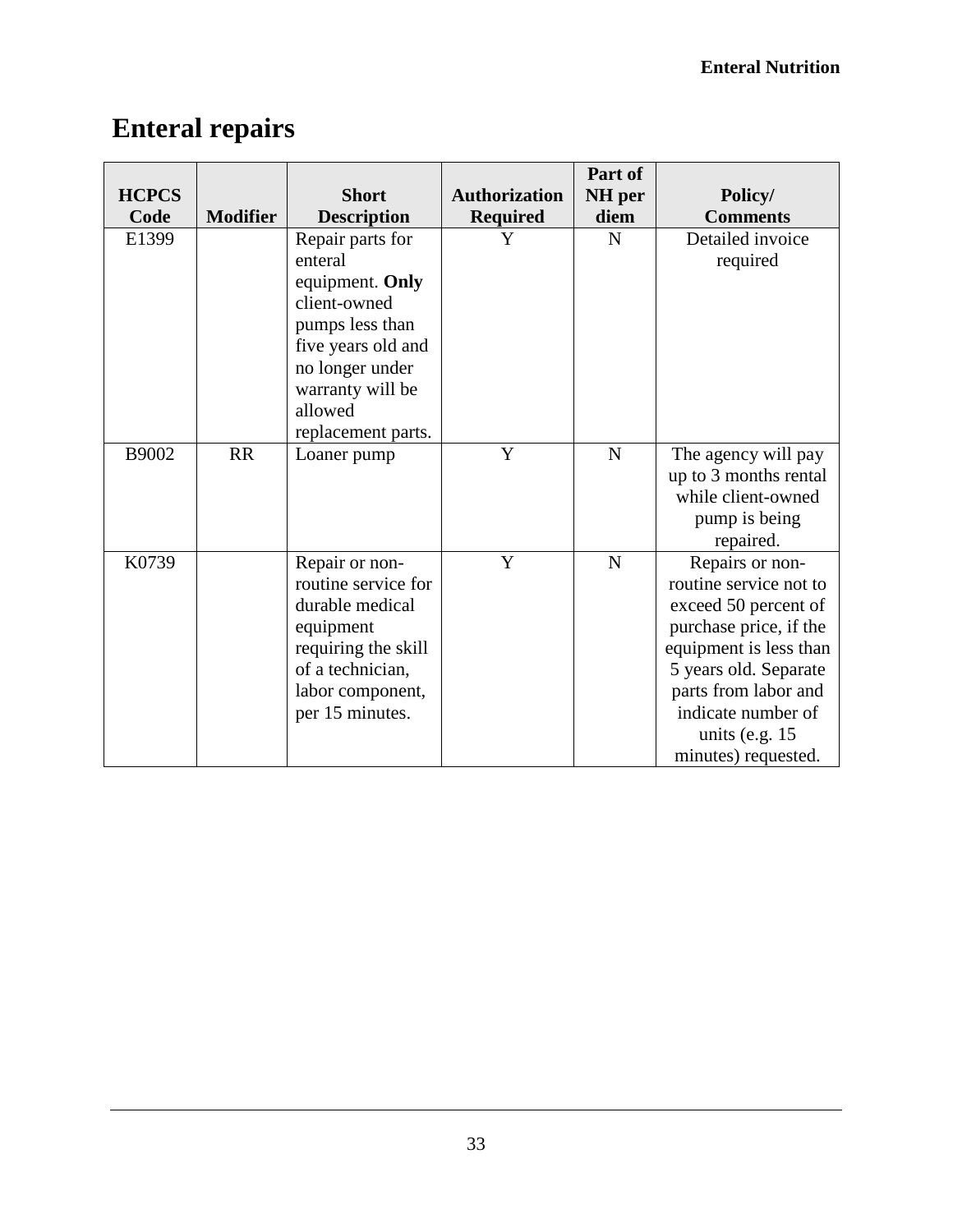### <span id="page-32-0"></span>**Enteral repairs**

|              |                 |                     |                      | Part of   |                        |
|--------------|-----------------|---------------------|----------------------|-----------|------------------------|
| <b>HCPCS</b> |                 | <b>Short</b>        | <b>Authorization</b> | NH per    | Policy/                |
| Code         | <b>Modifier</b> | <b>Description</b>  | <b>Required</b>      | diem      | <b>Comments</b>        |
| E1399        |                 | Repair parts for    | Y                    | N         | Detailed invoice       |
|              |                 | enteral             |                      |           | required               |
|              |                 | equipment. Only     |                      |           |                        |
|              |                 | client-owned        |                      |           |                        |
|              |                 | pumps less than     |                      |           |                        |
|              |                 | five years old and  |                      |           |                        |
|              |                 | no longer under     |                      |           |                        |
|              |                 | warranty will be    |                      |           |                        |
|              |                 | allowed             |                      |           |                        |
|              |                 | replacement parts.  |                      |           |                        |
| B9002        | <b>RR</b>       | Loaner pump         | Y                    | ${\bf N}$ | The agency will pay    |
|              |                 |                     |                      |           | up to 3 months rental  |
|              |                 |                     |                      |           | while client-owned     |
|              |                 |                     |                      |           | pump is being          |
|              |                 |                     |                      |           | repaired.              |
| K0739        |                 | Repair or non-      | Y                    | ${\bf N}$ | Repairs or non-        |
|              |                 | routine service for |                      |           | routine service not to |
|              |                 | durable medical     |                      |           | exceed 50 percent of   |
|              |                 | equipment           |                      |           | purchase price, if the |
|              |                 | requiring the skill |                      |           | equipment is less than |
|              |                 | of a technician,    |                      |           | 5 years old. Separate  |
|              |                 | labor component,    |                      |           | parts from labor and   |
|              |                 | per 15 minutes.     |                      |           | indicate number of     |
|              |                 |                     |                      |           | units (e.g. $15$       |
|              |                 |                     |                      |           | minutes) requested.    |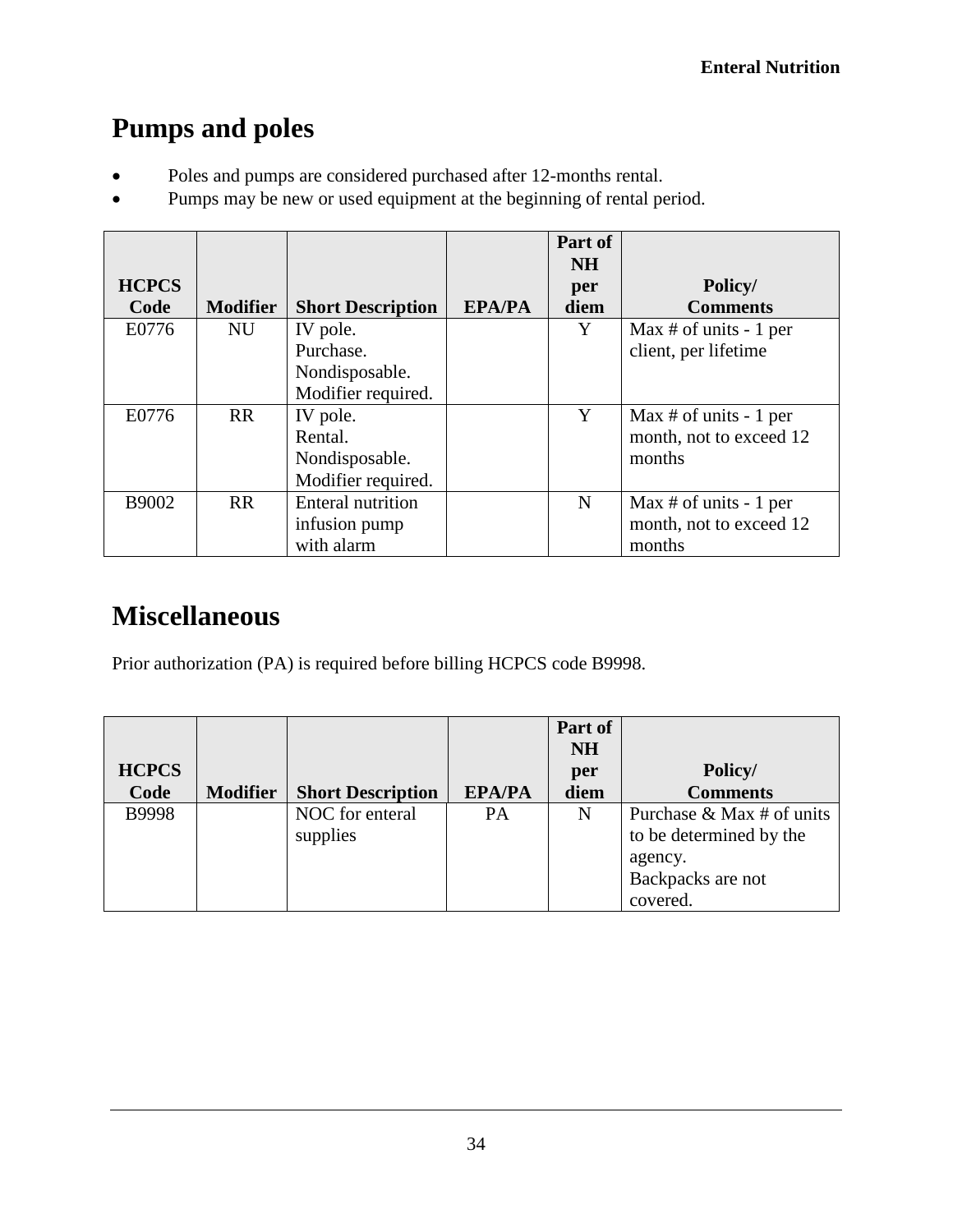### <span id="page-33-0"></span>**Pumps and poles**

- Poles and pumps are considered purchased after 12-months rental.
- Pumps may be new or used equipment at the beginning of rental period.

|              |                 |                          |               | Part of<br><b>NH</b> |                         |
|--------------|-----------------|--------------------------|---------------|----------------------|-------------------------|
| <b>HCPCS</b> |                 |                          |               | per                  | Policy/                 |
| Code         | <b>Modifier</b> | <b>Short Description</b> | <b>EPA/PA</b> | diem                 | <b>Comments</b>         |
| E0776        | <b>NU</b>       | IV pole.                 |               | Y                    | Max # of units $-1$ per |
|              |                 | Purchase.                |               |                      | client, per lifetime    |
|              |                 | Nondisposable.           |               |                      |                         |
|              |                 | Modifier required.       |               |                      |                         |
| E0776        | <b>RR</b>       | IV pole.                 |               | Y                    | Max # of units $-1$ per |
|              |                 | Rental.                  |               |                      | month, not to exceed 12 |
|              |                 | Nondisposable.           |               |                      | months                  |
|              |                 | Modifier required.       |               |                      |                         |
| B9002        | <b>RR</b>       | <b>Enteral nutrition</b> |               | N                    | Max # of units $-1$ per |
|              |                 | infusion pump            |               |                      | month, not to exceed 12 |
|              |                 | with alarm               |               |                      | months                  |

### <span id="page-33-1"></span>**Miscellaneous**

Prior authorization (PA) is required before billing HCPCS code B9998.

| <b>HCPCS</b> |                 |                          |               | Part of<br><b>NH</b><br>per | Policy/                   |
|--------------|-----------------|--------------------------|---------------|-----------------------------|---------------------------|
| Code         | <b>Modifier</b> | <b>Short Description</b> | <b>EPA/PA</b> | diem                        | <b>Comments</b>           |
| <b>B9998</b> |                 | NOC for enteral          | PA            | N                           | Purchase & Max # of units |
|              |                 | supplies                 |               |                             | to be determined by the   |
|              |                 |                          |               |                             | agency.                   |
|              |                 |                          |               |                             | Backpacks are not         |
|              |                 |                          |               |                             | covered.                  |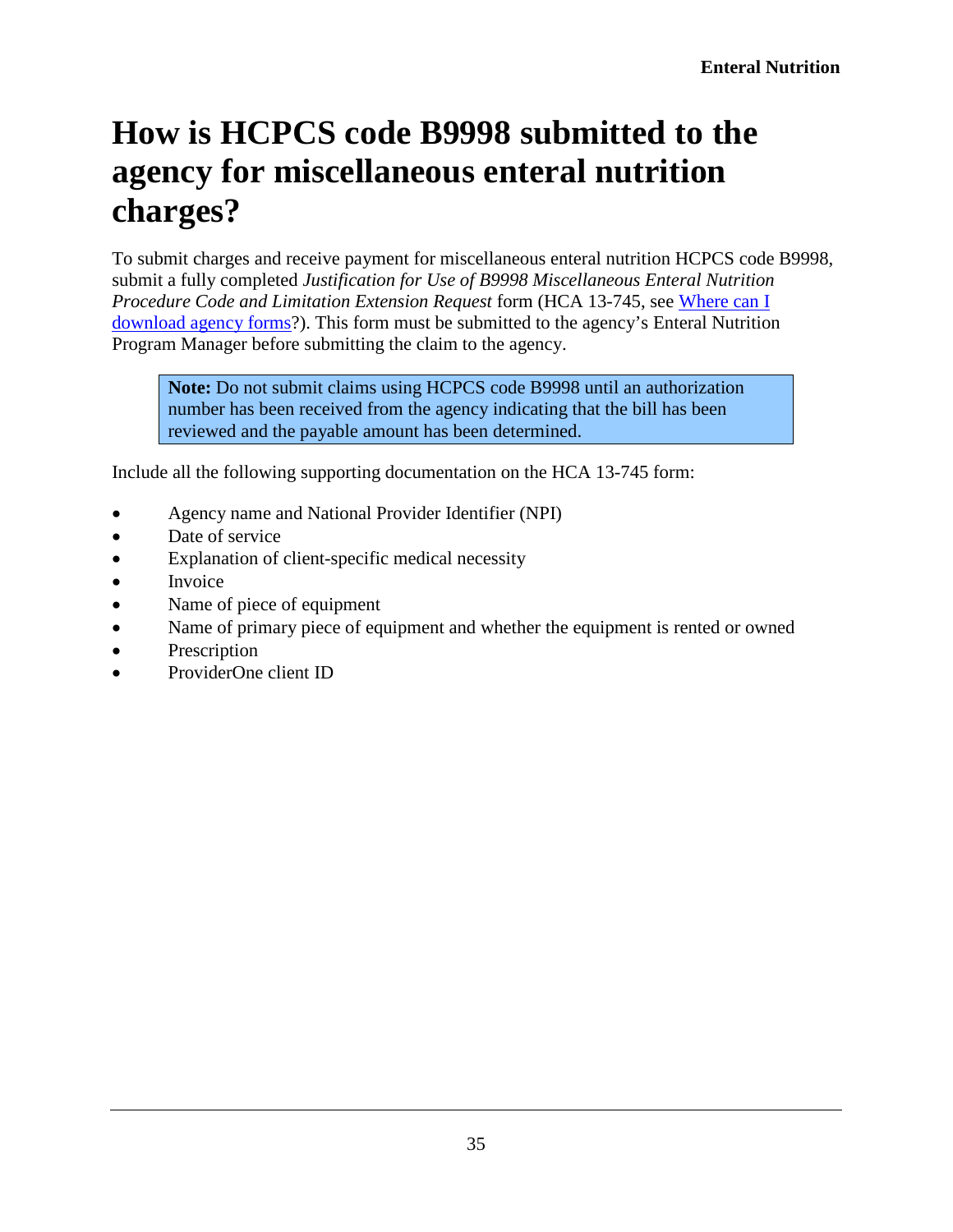## <span id="page-34-0"></span>**How is HCPCS code B9998 submitted to the agency for miscellaneous enteral nutrition charges?**

To submit charges and receive payment for miscellaneous enteral nutrition HCPCS code B9998, submit a fully completed *Justification for Use of B9998 Miscellaneous Enteral Nutrition Procedure Code and Limitation Extension Request* form (HCA 13-745, see [Where can I](#page-2-0)  [download agency forms?](#page-2-0)). This form must be submitted to the agency's Enteral Nutrition Program Manager before submitting the claim to the agency.

**Note:** Do not submit claims using HCPCS code B9998 until an authorization number has been received from the agency indicating that the bill has been reviewed and the payable amount has been determined.

Include all the following supporting documentation on the HCA 13-745 form:

- Agency name and National Provider Identifier (NPI)
- Date of service
- Explanation of client-specific medical necessity
- Invoice
- Name of piece of equipment
- Name of primary piece of equipment and whether the equipment is rented or owned
- Prescription
- ProviderOne client ID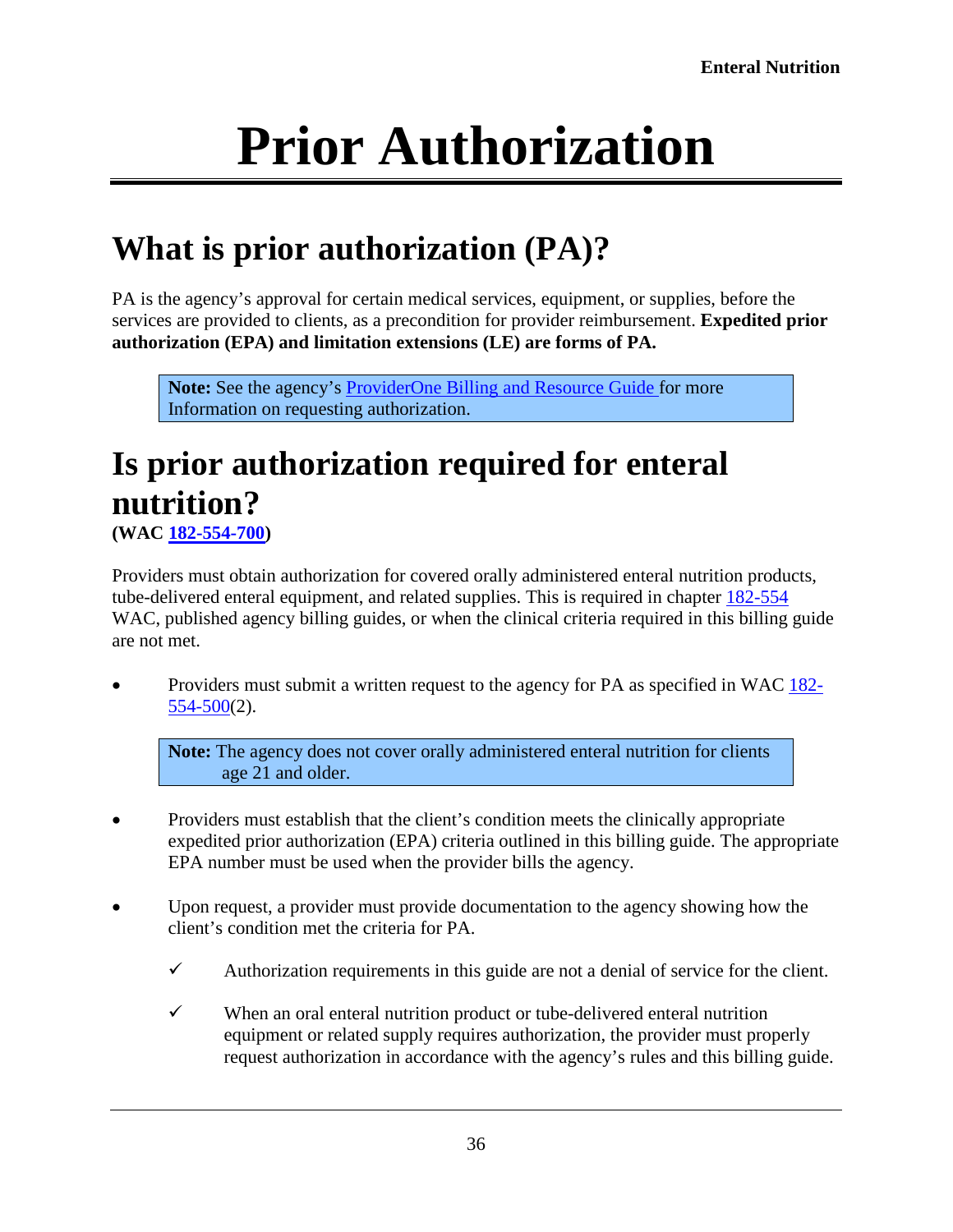# **Prior Authorization**

## <span id="page-35-1"></span><span id="page-35-0"></span>**What is prior authorization (PA)?**

PA is the agency's approval for certain medical services, equipment, or supplies, before the services are provided to clients, as a precondition for provider reimbursement. **Expedited prior authorization (EPA) and limitation extensions (LE) are forms of PA.**

**Note:** See the agency's [ProviderOne Billing and Resource Guide](http://www.hca.wa.gov/node/311) for more Information on requesting authorization.

# <span id="page-35-2"></span>**Is prior authorization required for enteral nutrition?**

**(WAC [182-554-700\)](http://app.leg.wa.gov/WAC/default.aspx?cite=182-554-700)**

Providers must obtain authorization for covered orally administered enteral nutrition products, tube-delivered enteral equipment, and related supplies. This is required in chapter [182-554](http://app.leg.wa.gov/WAC/default.aspx?cite=182-554) WAC, published agency billing guides, or when the clinical criteria required in this billing guide are not met.

• Providers must submit a written request to the agency for PA as specified in [WAC 182-](http://app.leg.wa.gov/WAC/default.aspx?cite=182-554-500) [554-500\(](http://app.leg.wa.gov/WAC/default.aspx?cite=182-554-500)2).

**Note:** The agency does not cover orally administered enteral nutrition for clients age 21 and older.

- Providers must establish that the client's condition meets the clinically appropriate expedited prior authorization (EPA) criteria outlined in this billing guide. The appropriate EPA number must be used when the provider bills the agency.
- Upon request, a provider must provide documentation to the agency showing how the client's condition met the criteria for PA.
	- $\checkmark$  Authorization requirements in this guide are not a denial of service for the client.
	- $\checkmark$  When an oral enteral nutrition product or tube-delivered enteral nutrition equipment or related supply requires authorization, the provider must properly request authorization in accordance with the agency's rules and this billing guide.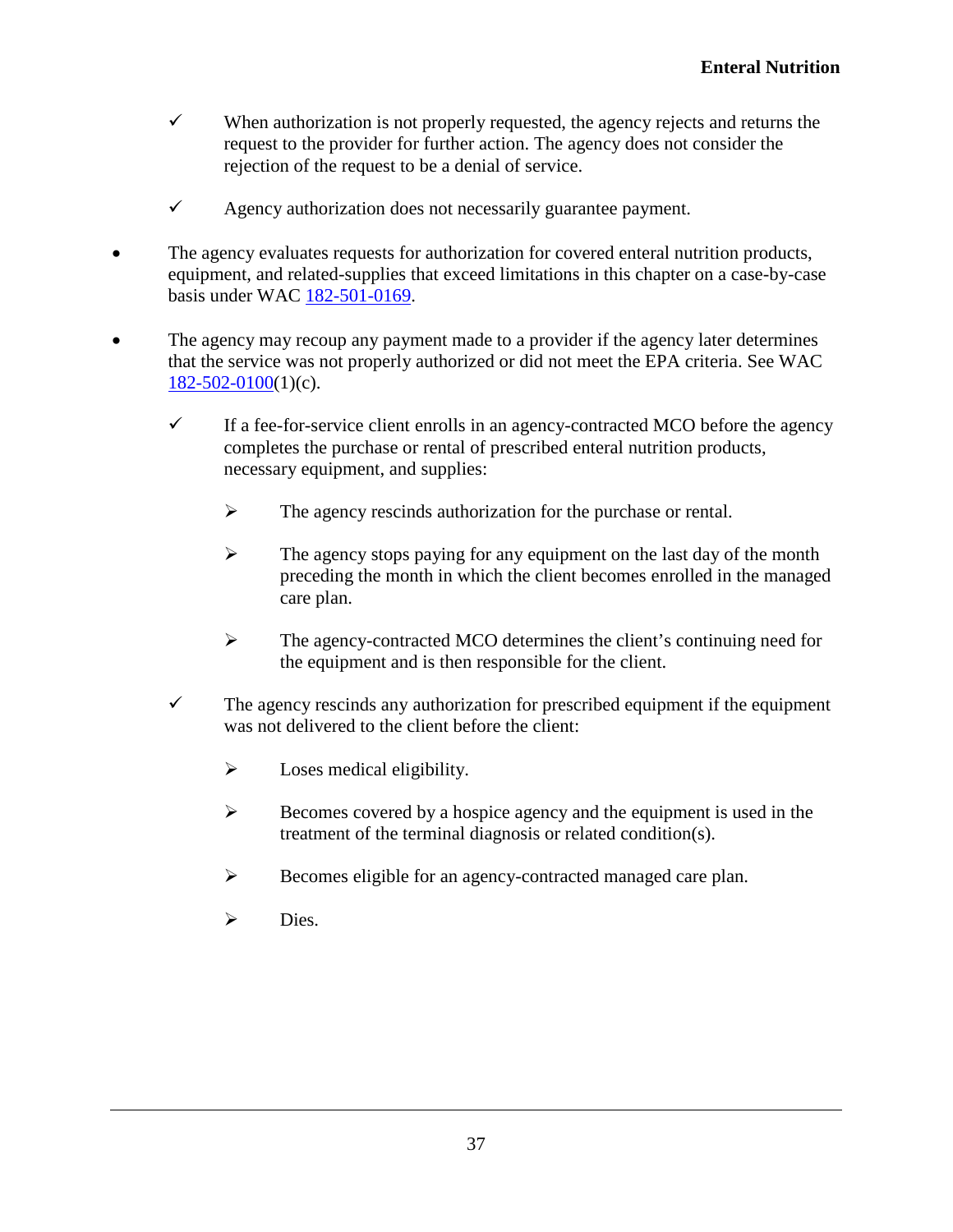- $\checkmark$  When authorization is not properly requested, the agency rejects and returns the request to the provider for further action. The agency does not consider the rejection of the request to be a denial of service.
- $\checkmark$  Agency authorization does not necessarily guarantee payment.
- The agency evaluates requests for authorization for covered enteral nutrition products, equipment, and related-supplies that exceed limitations in this chapter on a case-by-case basis under WAC [182-501-0169.](http://app.leg.wa.gov/WAC/default.aspx?cite=182-501-0169)
- The agency may recoup any payment made to a provider if the agency later determines that the service was not properly authorized or did not meet the EPA criteria. See WAC  $182-502-0100(1)(c)$  $182-502-0100(1)(c)$ .
	- $\checkmark$  If a fee-for-service client enrolls in an agency-contracted MCO before the agency completes the purchase or rental of prescribed enteral nutrition products, necessary equipment, and supplies:
		- $\triangleright$  The agency rescinds authorization for the purchase or rental.
		- $\triangleright$  The agency stops paying for any equipment on the last day of the month preceding the month in which the client becomes enrolled in the managed care plan.
		- $\triangleright$  The agency-contracted MCO determines the client's continuing need for the equipment and is then responsible for the client.
	- $\checkmark$  The agency rescinds any authorization for prescribed equipment if the equipment was not delivered to the client before the client:
		- $\triangleright$  Loses medical eligibility.
		- $\triangleright$  Becomes covered by a hospice agency and the equipment is used in the treatment of the terminal diagnosis or related condition(s).
		- $\triangleright$  Becomes eligible for an agency-contracted managed care plan.
		- > Dies.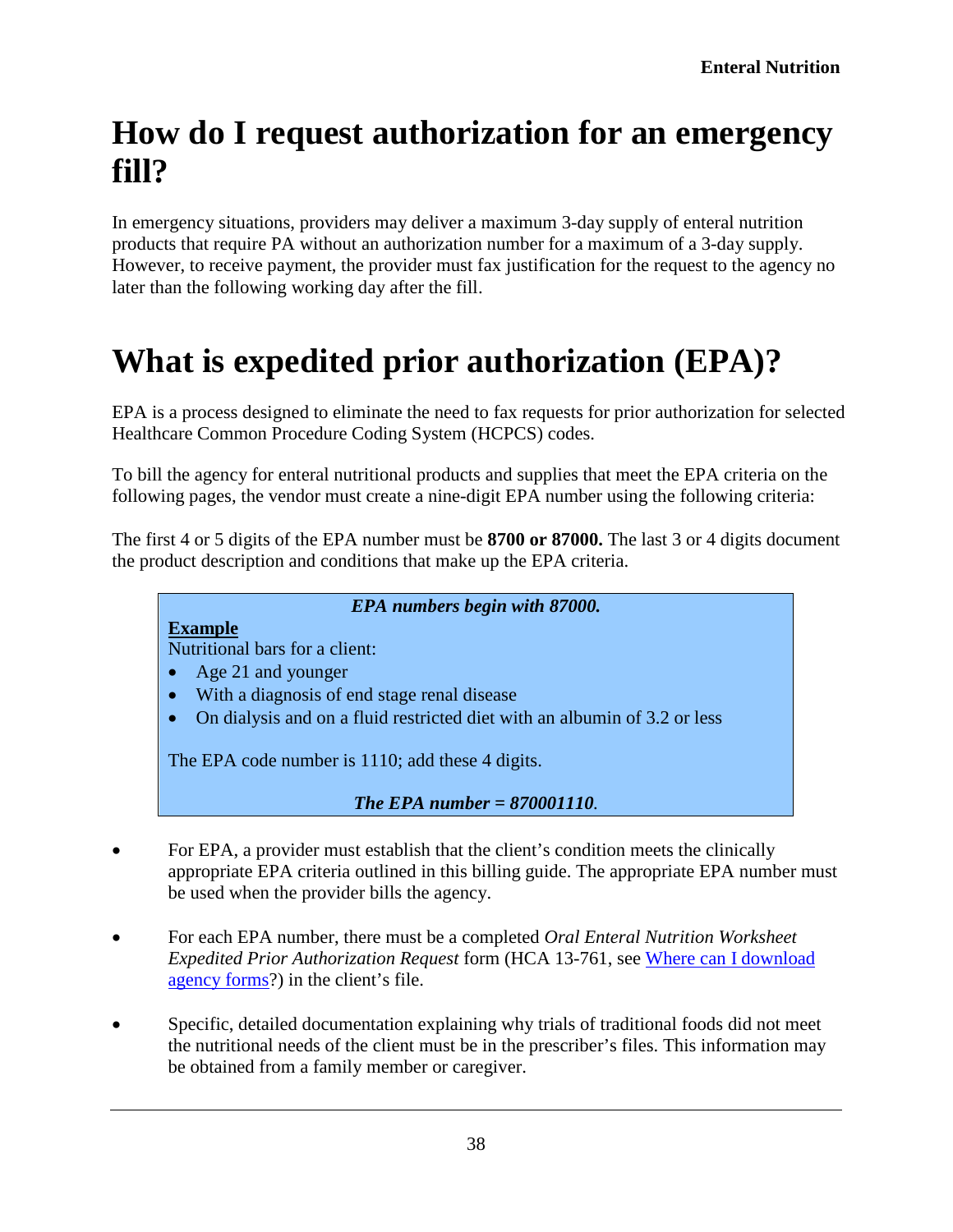## <span id="page-37-0"></span>**How do I request authorization for an emergency fill?**

In emergency situations, providers may deliver a maximum 3-day supply of enteral nutrition products that require PA without an authorization number for a maximum of a 3-day supply. However, to receive payment, the provider must fax justification for the request to the agency no later than the following working day after the fill.

# <span id="page-37-1"></span>**What is expedited prior authorization (EPA)?**

EPA is a process designed to eliminate the need to fax requests for prior authorization for selected Healthcare Common Procedure Coding System (HCPCS) codes.

To bill the agency for enteral nutritional products and supplies that meet the EPA criteria on the following pages, the vendor must create a nine-digit EPA number using the following criteria:

The first 4 or 5 digits of the EPA number must be **8700 or 87000.** The last 3 or 4 digits document the product description and conditions that make up the EPA criteria.

#### *EPA numbers begin with 87000.*

**Example**  Nutritional bars for a client:

- Age 21 and younger
- With a diagnosis of end stage renal disease
- On dialysis and on a fluid restricted diet with an albumin of 3.2 or less

The EPA code number is 1110; add these 4 digits.

*The EPA number = 870001110.*

- For EPA, a provider must establish that the client's condition meets the clinically appropriate EPA criteria outlined in this billing guide. The appropriate EPA number must be used when the provider bills the agency.
- For each EPA number, there must be a completed *Oral Enteral Nutrition Worksheet Expedited Prior Authorization Request* form (HCA 13-761, see [Where can I download](#page-2-0)  [agency forms?](#page-2-0)) in the client's file.
- Specific, detailed documentation explaining why trials of traditional foods did not meet the nutritional needs of the client must be in the prescriber's files. This information may be obtained from a family member or caregiver.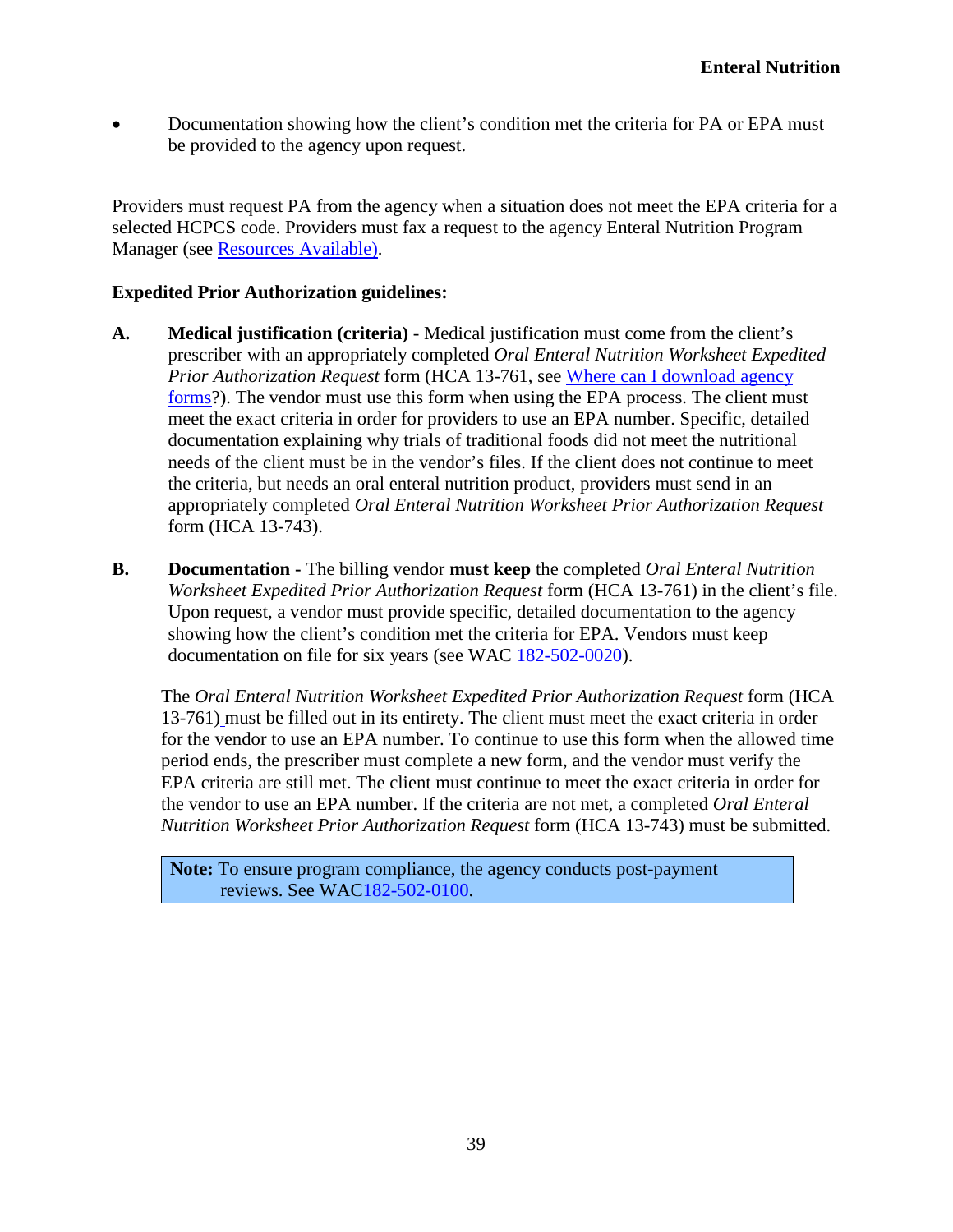• Documentation showing how the client's condition met the criteria for PA or EPA must be provided to the agency upon request.

Providers must request PA from the agency when a situation does not meet the EPA criteria for a selected HCPCS code. Providers must fax a request to the agency Enteral Nutrition Program Manager (see Resources Available).

#### **Expedited Prior Authorization guidelines:**

- **A. Medical justification (criteria)** Medical justification must come from the client's prescriber with an appropriately completed *Oral Enteral Nutrition Worksheet Expedited Prior Authorization Request* form (HCA 13-761, see [Where can I download agency](#page-2-0)  [forms?](#page-2-0)). The vendor must use this form when using the EPA process. The client must meet the exact criteria in order for providers to use an EPA number. Specific, detailed documentation explaining why trials of traditional foods did not meet the nutritional needs of the client must be in the vendor's files. If the client does not continue to meet the criteria, but needs an oral enteral nutrition product, providers must send in an appropriately completed *Oral Enteral Nutrition Worksheet Prior Authorization Request*  form (HCA 13-743).
- **B. Documentation -** The billing vendor **must keep** the completed *Oral Enteral Nutrition Worksheet Expedited Prior Authorization Request* form (HCA 13-761) in the client's file. Upon request, a vendor must provide specific, detailed documentation to the agency showing how the client's condition met the criteria for EPA. Vendors must keep documentation on file for six years (see WAC [182-502-0020\)](http://apps.leg.wa.gov/WAC/default.aspx?cite=182-502-0020).

The *Oral Enteral Nutrition Worksheet Expedited Prior Authorization Request* form (HCA 13-761) must be filled out in its entirety. The client must meet the exact criteria in order for the vendor to use an EPA number. To continue to use this form when the allowed time period ends, the prescriber must complete a new form, and the vendor must verify the EPA criteria are still met. The client must continue to meet the exact criteria in order for the vendor to use an EPA number. If the criteria are not met, a completed *Oral Enteral Nutrition Worksheet Prior Authorization Request* form (HCA 13-743) must be submitted.

**Note:** To ensure program compliance, the agency conducts post-payment reviews. See WA[C182-502-0100.](http://app.leg.wa.gov/WAC/default.aspx?cite=182-502-0100)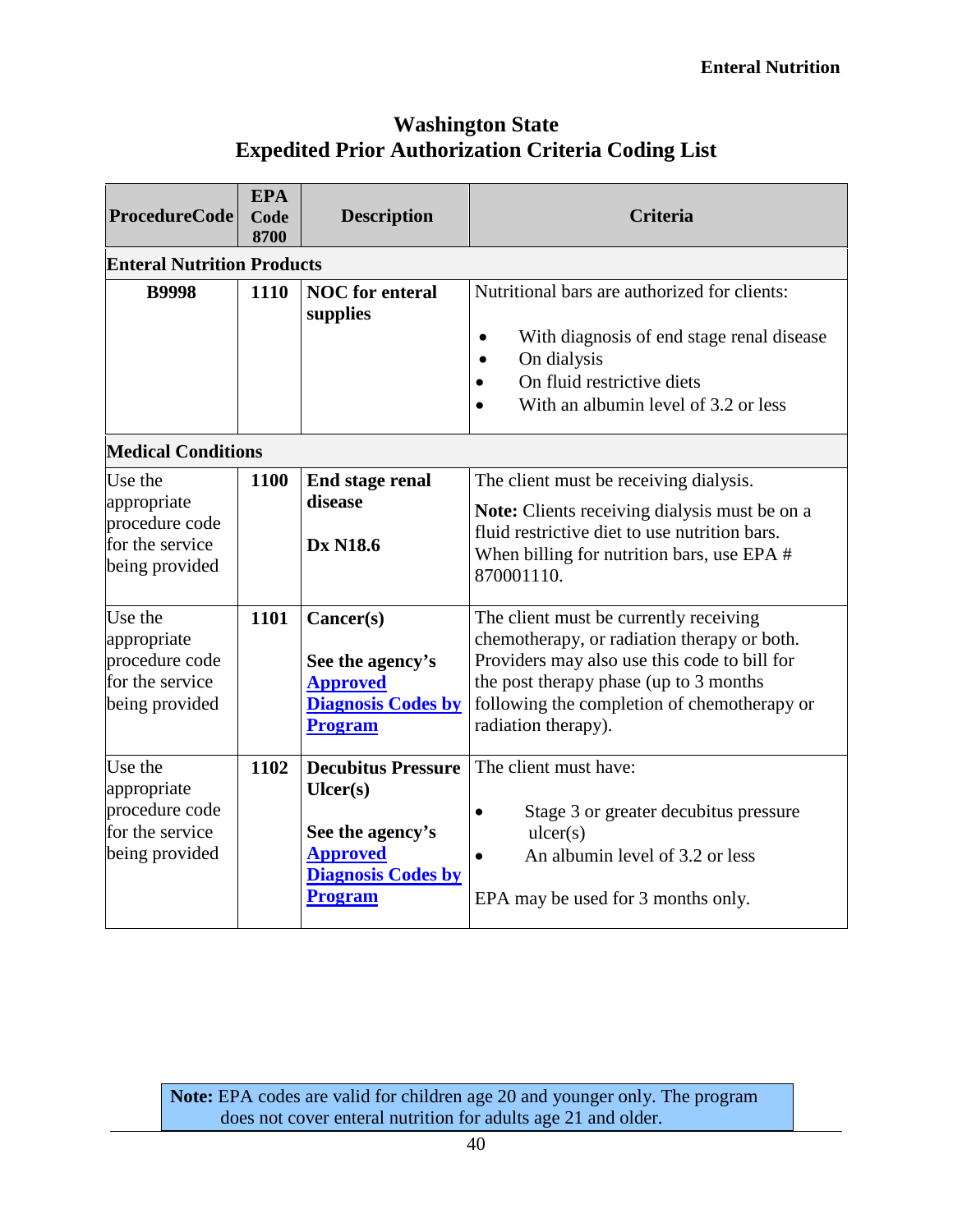#### **Washington State Expedited Prior Authorization Criteria Coding List**

| <b>ProcedureCode</b>                                                          | <b>EPA</b><br>Code<br>8700        | <b>Description</b>                                                                                                         | <b>Criteria</b>                                                                                                                                                                                                                                       |  |  |
|-------------------------------------------------------------------------------|-----------------------------------|----------------------------------------------------------------------------------------------------------------------------|-------------------------------------------------------------------------------------------------------------------------------------------------------------------------------------------------------------------------------------------------------|--|--|
|                                                                               | <b>Enteral Nutrition Products</b> |                                                                                                                            |                                                                                                                                                                                                                                                       |  |  |
| <b>B9998</b>                                                                  | 1110                              | <b>NOC</b> for enteral<br>supplies                                                                                         | Nutritional bars are authorized for clients:<br>With diagnosis of end stage renal disease<br>$\bullet$<br>On dialysis<br>On fluid restrictive diets<br>With an albumin level of 3.2 or less                                                           |  |  |
| <b>Medical Conditions</b>                                                     |                                   |                                                                                                                            |                                                                                                                                                                                                                                                       |  |  |
| Use the<br>appropriate<br>procedure code<br>for the service<br>being provided | 1100                              | End stage renal<br>disease<br><b>Dx N18.6</b>                                                                              | The client must be receiving dialysis.<br><b>Note:</b> Clients receiving dialysis must be on a<br>fluid restrictive diet to use nutrition bars.<br>When billing for nutrition bars, use EPA $#$<br>870001110.                                         |  |  |
| Use the<br>appropriate<br>procedure code<br>for the service<br>being provided | 1101                              | Cancer(s)<br>See the agency's<br><b>Approved</b><br><b>Diagnosis Codes by</b><br><b>Program</b>                            | The client must be currently receiving<br>chemotherapy, or radiation therapy or both.<br>Providers may also use this code to bill for<br>the post therapy phase (up to 3 months<br>following the completion of chemotherapy or<br>radiation therapy). |  |  |
| Use the<br>appropriate<br>procedure code<br>for the service<br>being provided | 1102                              | <b>Decubitus Pressure</b><br>Uler(s)<br>See the agency's<br><b>Approved</b><br><b>Diagnosis Codes by</b><br><b>Program</b> | The client must have:<br>Stage 3 or greater decubitus pressure<br>$\bullet$<br>ulcer(s)<br>An albumin level of 3.2 or less<br>$\bullet$<br>EPA may be used for 3 months only.                                                                         |  |  |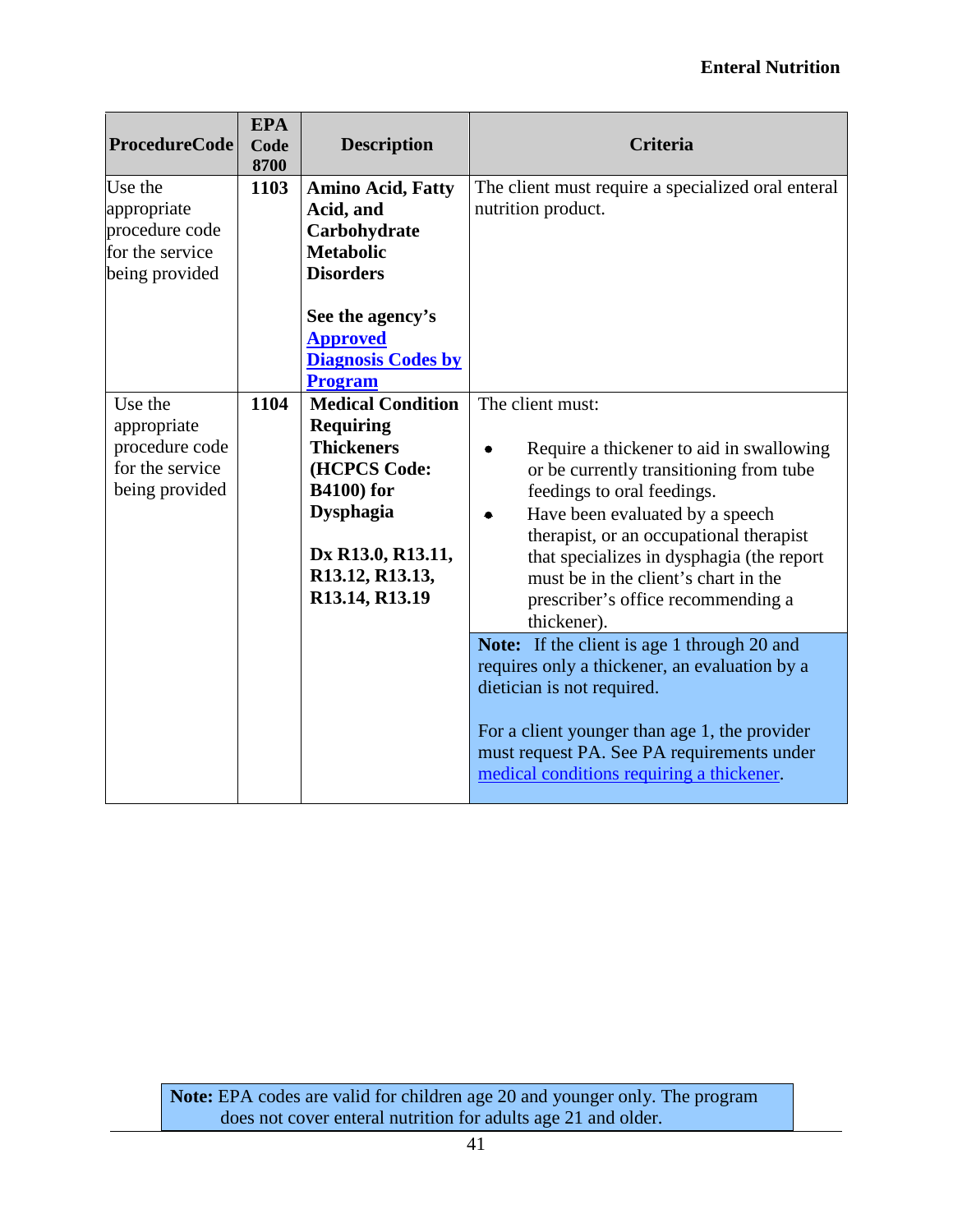#### **Enteral Nutrition**

| <b>ProcedureCode</b>                                                          | <b>EPA</b><br>Code<br>8700 | <b>Description</b>                                                                                                                                                                   | <b>Criteria</b>                                                                                                                                                                                                                                                                                                                                                    |
|-------------------------------------------------------------------------------|----------------------------|--------------------------------------------------------------------------------------------------------------------------------------------------------------------------------------|--------------------------------------------------------------------------------------------------------------------------------------------------------------------------------------------------------------------------------------------------------------------------------------------------------------------------------------------------------------------|
| Use the<br>appropriate<br>procedure code<br>for the service<br>being provided | 1103                       | <b>Amino Acid, Fatty</b><br>Acid, and<br>Carbohydrate<br><b>Metabolic</b><br><b>Disorders</b><br>See the agency's<br><b>Approved</b><br><b>Diagnosis Codes by</b><br><b>Program</b>  | The client must require a specialized oral enteral<br>nutrition product.                                                                                                                                                                                                                                                                                           |
| Use the<br>appropriate<br>procedure code<br>for the service<br>being provided | 1104                       | <b>Medical Condition</b><br><b>Requiring</b><br><b>Thickeners</b><br>(HCPCS Code:<br><b>B4100)</b> for<br><b>Dysphagia</b><br>Dx R13.0, R13.11,<br>R13.12, R13.13,<br>R13.14, R13.19 | The client must:<br>Require a thickener to aid in swallowing<br>or be currently transitioning from tube<br>feedings to oral feedings.<br>Have been evaluated by a speech<br>٠<br>therapist, or an occupational therapist<br>that specializes in dysphagia (the report<br>must be in the client's chart in the<br>prescriber's office recommending a<br>thickener). |
|                                                                               |                            |                                                                                                                                                                                      | Note: If the client is age 1 through 20 and<br>requires only a thickener, an evaluation by a<br>dietician is not required.<br>For a client younger than age 1, the provider<br>must request PA. See PA requirements under<br>medical conditions requiring a thickener.                                                                                             |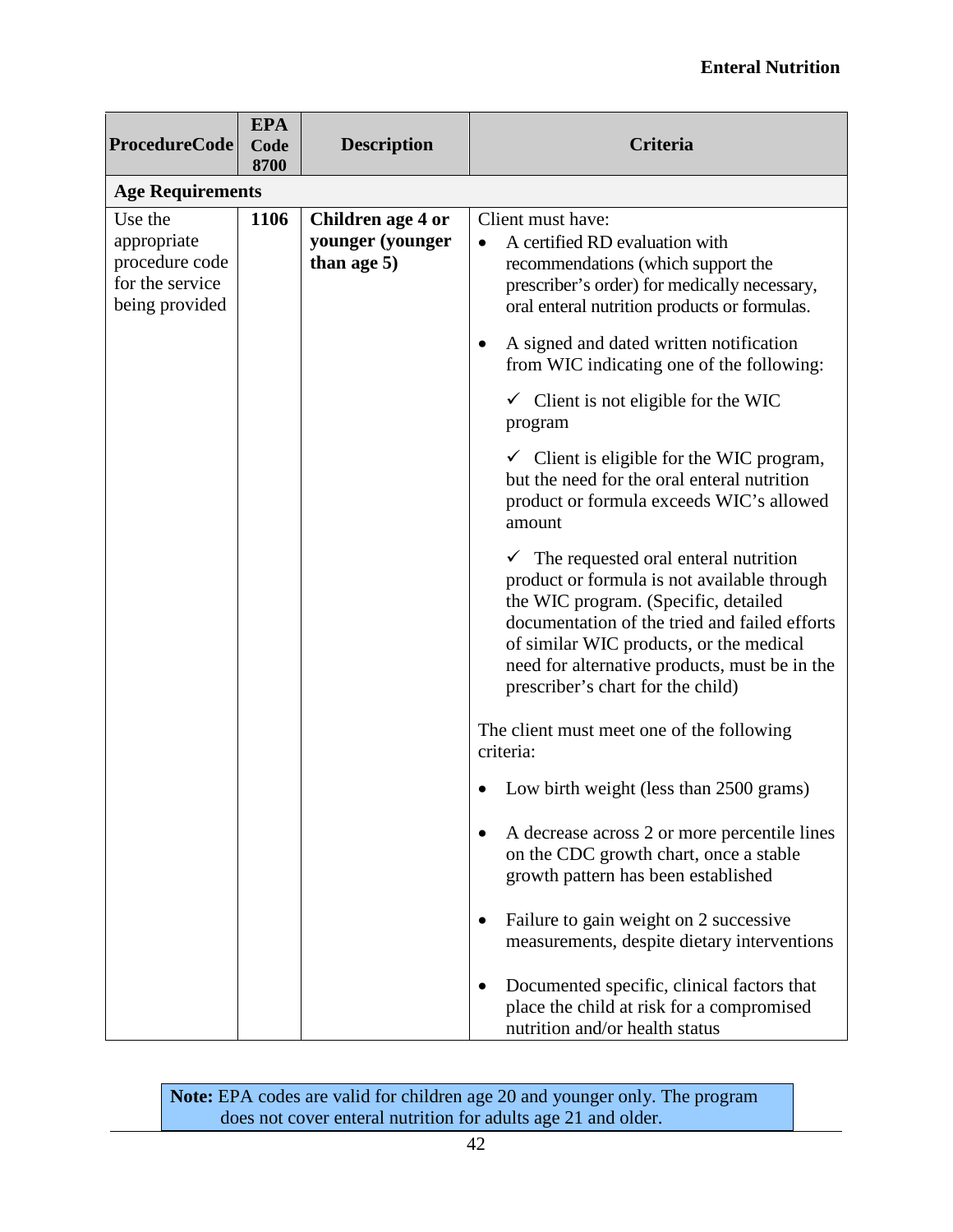#### **Enteral Nutrition**

| <b>ProcedureCode</b>                                                          | <b>EPA</b><br>Code<br>8700 | <b>Description</b>                                      | Criteria                                                                                                                                                                                                                                                                                                      |  |  |
|-------------------------------------------------------------------------------|----------------------------|---------------------------------------------------------|---------------------------------------------------------------------------------------------------------------------------------------------------------------------------------------------------------------------------------------------------------------------------------------------------------------|--|--|
|                                                                               | <b>Age Requirements</b>    |                                                         |                                                                                                                                                                                                                                                                                                               |  |  |
| Use the<br>appropriate<br>procedure code<br>for the service<br>being provided | 1106                       | Children age 4 or<br>younger (younger<br>than age $5$ ) | Client must have:<br>A certified RD evaluation with<br>recommendations (which support the<br>prescriber's order) for medically necessary,<br>oral enteral nutrition products or formulas.                                                                                                                     |  |  |
|                                                                               |                            |                                                         | A signed and dated written notification<br>from WIC indicating one of the following:                                                                                                                                                                                                                          |  |  |
|                                                                               |                            |                                                         | $\checkmark$ Client is not eligible for the WIC<br>program                                                                                                                                                                                                                                                    |  |  |
|                                                                               |                            |                                                         | $\checkmark$ Client is eligible for the WIC program,<br>but the need for the oral enteral nutrition<br>product or formula exceeds WIC's allowed<br>amount                                                                                                                                                     |  |  |
|                                                                               |                            |                                                         | The requested oral enteral nutrition<br>product or formula is not available through<br>the WIC program. (Specific, detailed<br>documentation of the tried and failed efforts<br>of similar WIC products, or the medical<br>need for alternative products, must be in the<br>prescriber's chart for the child) |  |  |
|                                                                               |                            |                                                         | The client must meet one of the following<br>criteria:                                                                                                                                                                                                                                                        |  |  |
|                                                                               |                            |                                                         | Low birth weight (less than 2500 grams)                                                                                                                                                                                                                                                                       |  |  |
|                                                                               |                            |                                                         | A decrease across 2 or more percentile lines<br>on the CDC growth chart, once a stable<br>growth pattern has been established                                                                                                                                                                                 |  |  |
|                                                                               |                            |                                                         | Failure to gain weight on 2 successive<br>measurements, despite dietary interventions                                                                                                                                                                                                                         |  |  |
|                                                                               |                            |                                                         | Documented specific, clinical factors that<br>place the child at risk for a compromised<br>nutrition and/or health status                                                                                                                                                                                     |  |  |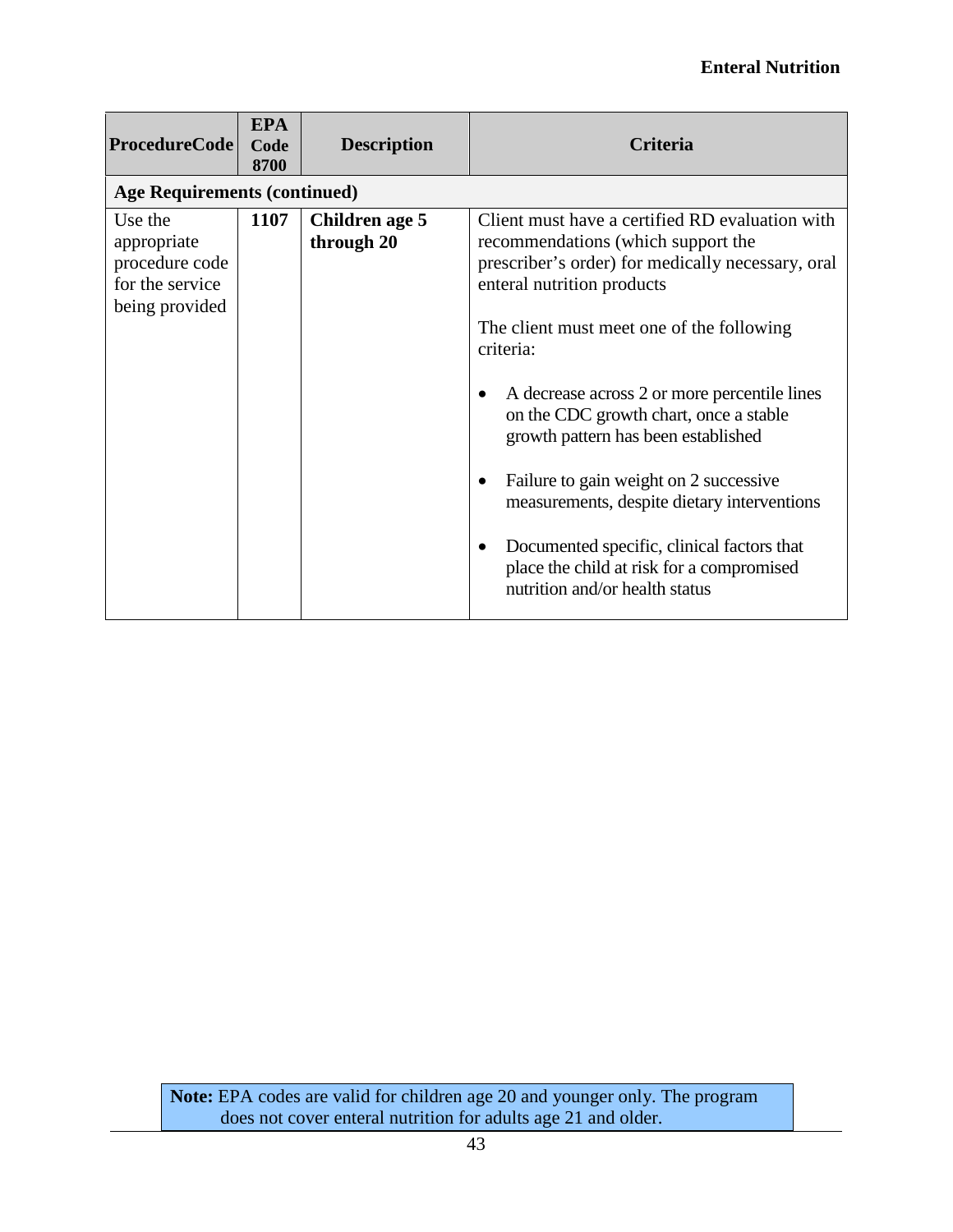#### **Enteral Nutrition**

| <b>ProcedureCode</b>                                                          | <b>EPA</b><br>Code<br>8700 | <b>Description</b>           | Criteria                                                                                                                                                                                                                                                                                                                                                                                                                                                                                                                                                                                                            |
|-------------------------------------------------------------------------------|----------------------------|------------------------------|---------------------------------------------------------------------------------------------------------------------------------------------------------------------------------------------------------------------------------------------------------------------------------------------------------------------------------------------------------------------------------------------------------------------------------------------------------------------------------------------------------------------------------------------------------------------------------------------------------------------|
| <b>Age Requirements (continued)</b>                                           |                            |                              |                                                                                                                                                                                                                                                                                                                                                                                                                                                                                                                                                                                                                     |
| Use the<br>appropriate<br>procedure code<br>for the service<br>being provided | 1107                       | Children age 5<br>through 20 | Client must have a certified RD evaluation with<br>recommendations (which support the<br>prescriber's order) for medically necessary, oral<br>enteral nutrition products<br>The client must meet one of the following<br>criteria:<br>A decrease across 2 or more percentile lines<br>$\bullet$<br>on the CDC growth chart, once a stable<br>growth pattern has been established<br>Failure to gain weight on 2 successive<br>$\bullet$<br>measurements, despite dietary interventions<br>Documented specific, clinical factors that<br>place the child at risk for a compromised<br>nutrition and/or health status |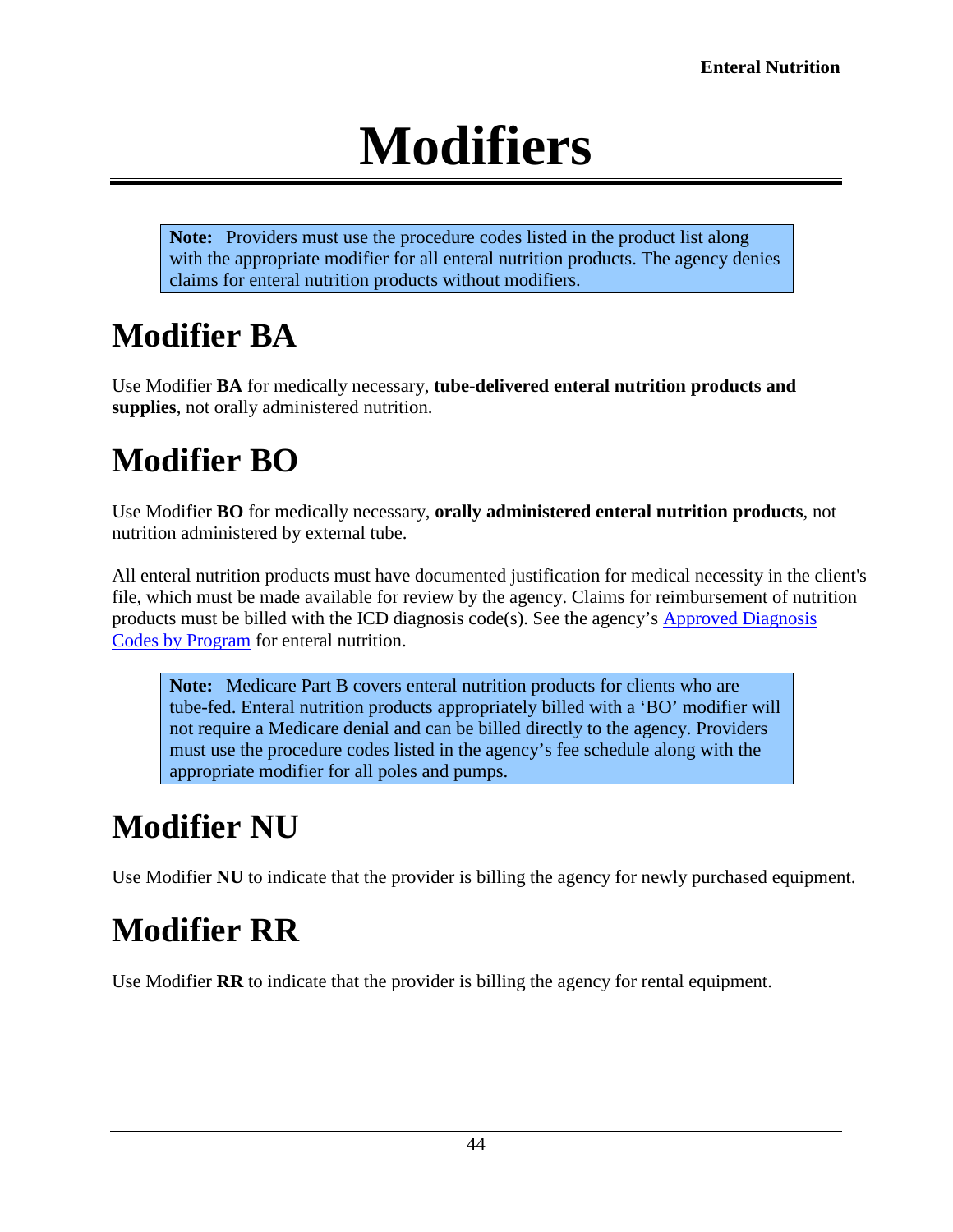# **Modifiers**

<span id="page-43-0"></span>**Note:** Providers must use the procedure codes listed in the product list along with the appropriate modifier for all enteral nutrition products. The agency denies claims for enteral nutrition products without modifiers.

# <span id="page-43-1"></span>**Modifier BA**

Use Modifier **BA** for medically necessary, **tube-delivered enteral nutrition products and supplies**, not orally administered nutrition.

# <span id="page-43-2"></span>**Modifier BO**

Use Modifier **BO** for medically necessary, **orally administered enteral nutrition products**, not nutrition administered by external tube.

All enteral nutrition products must have documented justification for medical necessity in the client's file, which must be made available for review by the agency. Claims for reimbursement of nutrition products must be billed with the ICD diagnosis code(s). See the agency's [Approved Diagnosis](http://www.hca.wa.gov/assets/billers-and-providers/enteral_nutrition.pdf)  [Codes by Program](http://www.hca.wa.gov/assets/billers-and-providers/enteral_nutrition.pdf) for enteral nutrition.

**Note:** Medicare Part B covers enteral nutrition products for clients who are tube-fed. Enteral nutrition products appropriately billed with a 'BO' modifier will not require a Medicare denial and can be billed directly to the agency. Providers must use the procedure codes listed in the agency's fee schedule along with the appropriate modifier for all poles and pumps.

# <span id="page-43-3"></span>**Modifier NU**

Use Modifier **NU** to indicate that the provider is billing the agency for newly purchased equipment.

# <span id="page-43-4"></span>**Modifier RR**

Use Modifier **RR** to indicate that the provider is billing the agency for rental equipment.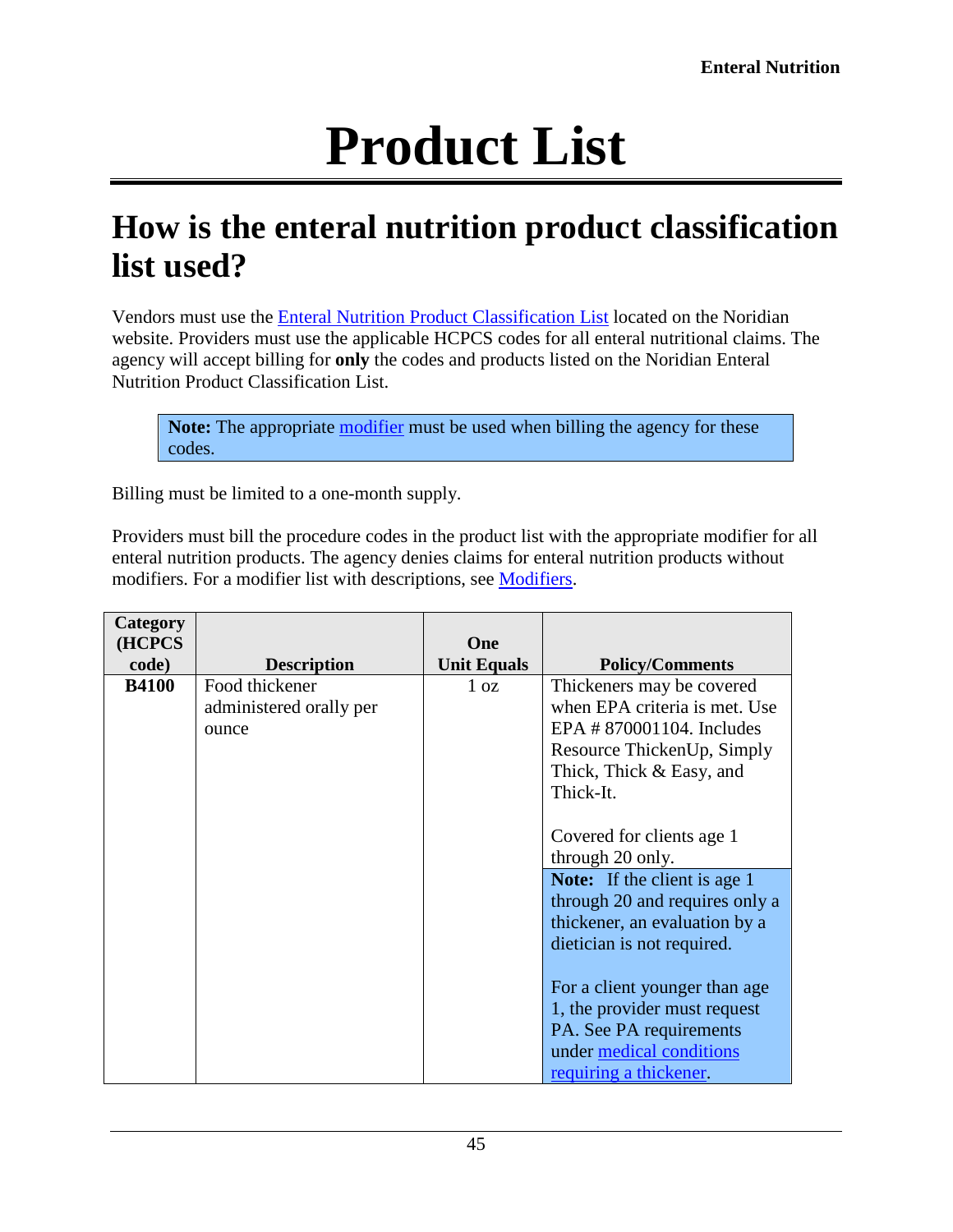# **Product List**

### <span id="page-44-1"></span><span id="page-44-0"></span>**How is the enteral nutrition product classification list used?**

Vendors must use the [Enteral Nutrition Product Classification List](https://www.dmepdac.com/dmecsapp/do/search) located on the Noridian website. Providers must use the applicable HCPCS codes for all enteral nutritional claims. The agency will accept billing for **only** the codes and products listed on the Noridian Enteral Nutrition Product Classification List.

**Note:** The appropriate [modifier](#page-43-0) must be used when billing the agency for these codes.

Billing must be limited to a one-month supply.

Providers must bill the procedure codes in the product list with the appropriate modifier for all enteral nutrition products. The agency denies claims for enteral nutrition products without modifiers. For a modifier list with descriptions, see [Modifiers.](#page-43-0)

| Category<br>(HCPCS |                                                    | One                |                                                                                                                                                                                       |
|--------------------|----------------------------------------------------|--------------------|---------------------------------------------------------------------------------------------------------------------------------------------------------------------------------------|
| code)              | <b>Description</b>                                 | <b>Unit Equals</b> | <b>Policy/Comments</b>                                                                                                                                                                |
| <b>B4100</b>       | Food thickener<br>administered orally per<br>ounce | 1 <sub>oz</sub>    | Thickeners may be covered<br>when EPA criteria is met. Use<br>EPA # 870001104. Includes<br>Resource ThickenUp, Simply<br>Thick, Thick & Easy, and<br>Thick-It.                        |
|                    |                                                    |                    | Covered for clients age 1<br>through 20 only.<br><b>Note:</b> If the client is age 1<br>through 20 and requires only a<br>thickener, an evaluation by a<br>dietician is not required. |
|                    |                                                    |                    | For a client younger than age<br>1, the provider must request<br>PA. See PA requirements<br>under medical conditions<br>requiring a thickener.                                        |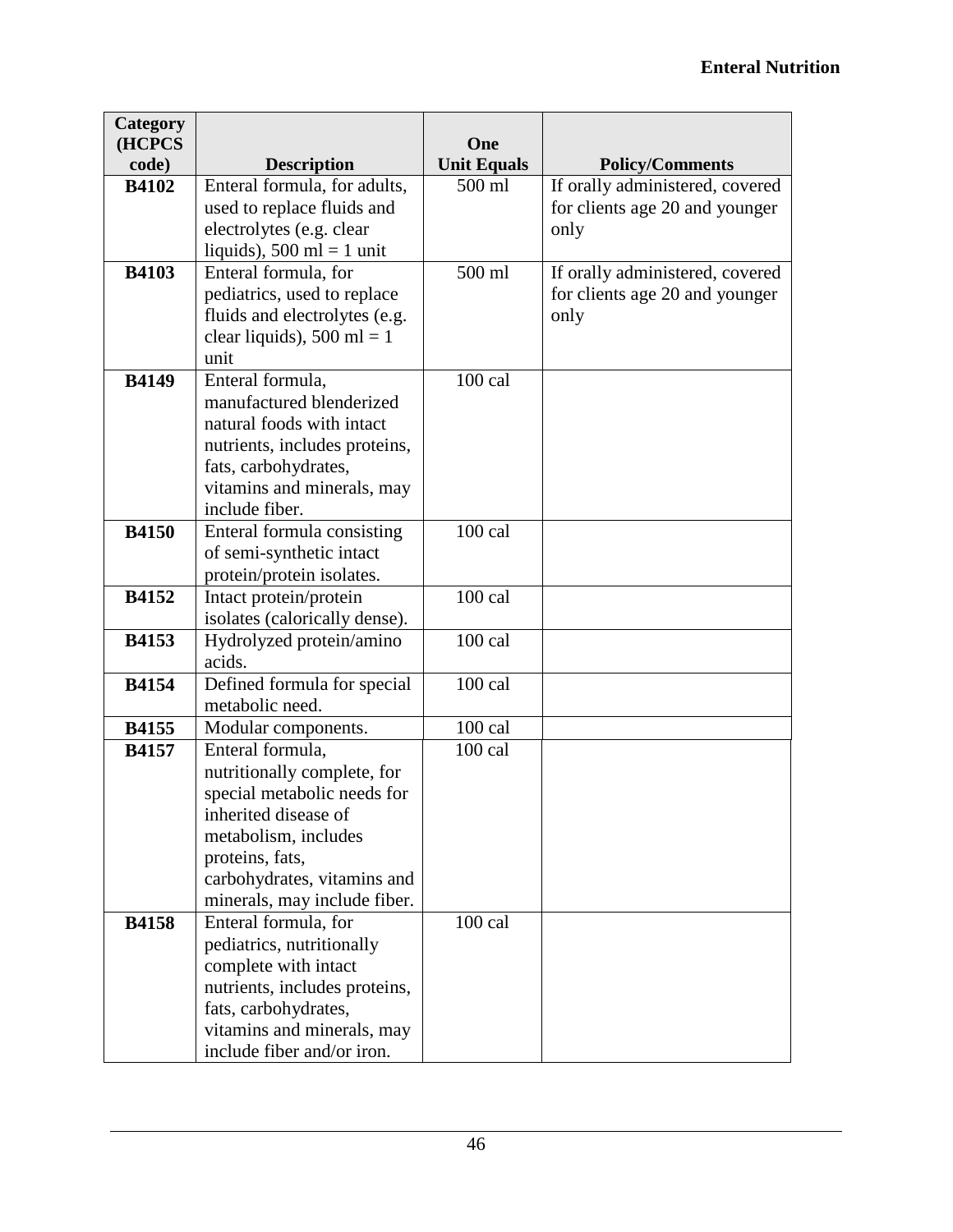| Category<br>(HCPCS |                                                | One                |                                 |
|--------------------|------------------------------------------------|--------------------|---------------------------------|
| code)              | <b>Description</b>                             | <b>Unit Equals</b> | <b>Policy/Comments</b>          |
| <b>B4102</b>       | Enteral formula, for adults,                   | 500 ml             | If orally administered, covered |
|                    | used to replace fluids and                     |                    | for clients age 20 and younger  |
|                    | electrolytes (e.g. clear                       |                    | only                            |
|                    | liquids), $500$ ml = 1 unit                    |                    |                                 |
| <b>B4103</b>       | Enteral formula, for                           | 500 ml             | If orally administered, covered |
|                    | pediatrics, used to replace                    |                    | for clients age 20 and younger  |
|                    | fluids and electrolytes (e.g.                  |                    | only                            |
|                    | clear liquids), $500$ ml = 1                   |                    |                                 |
|                    | unit                                           |                    |                                 |
| <b>B4149</b>       | Enteral formula,                               | 100 cal            |                                 |
|                    | manufactured blenderized                       |                    |                                 |
|                    | natural foods with intact                      |                    |                                 |
|                    | nutrients, includes proteins,                  |                    |                                 |
|                    | fats, carbohydrates,                           |                    |                                 |
|                    | vitamins and minerals, may                     |                    |                                 |
|                    | include fiber.                                 |                    |                                 |
| <b>B4150</b>       | Enteral formula consisting                     | $100$ cal          |                                 |
|                    | of semi-synthetic intact                       |                    |                                 |
|                    | protein/protein isolates.                      |                    |                                 |
| <b>B4152</b>       | Intact protein/protein                         | 100 cal            |                                 |
|                    | isolates (calorically dense).                  |                    |                                 |
| <b>B4153</b>       | Hydrolyzed protein/amino<br>acids.             | 100 cal            |                                 |
| <b>B4154</b>       |                                                | $100$ cal          |                                 |
|                    | Defined formula for special<br>metabolic need. |                    |                                 |
| <b>B4155</b>       | Modular components.                            | $100$ cal          |                                 |
| <b>B4157</b>       | Enteral formula,                               | $100$ cal          |                                 |
|                    | nutritionally complete, for                    |                    |                                 |
|                    | special metabolic needs for                    |                    |                                 |
|                    | inherited disease of                           |                    |                                 |
|                    | metabolism, includes                           |                    |                                 |
|                    | proteins, fats,                                |                    |                                 |
|                    | carbohydrates, vitamins and                    |                    |                                 |
|                    | minerals, may include fiber.                   |                    |                                 |
| <b>B4158</b>       | Enteral formula, for                           | 100 cal            |                                 |
|                    | pediatrics, nutritionally                      |                    |                                 |
|                    | complete with intact                           |                    |                                 |
|                    | nutrients, includes proteins,                  |                    |                                 |
|                    | fats, carbohydrates,                           |                    |                                 |
|                    | vitamins and minerals, may                     |                    |                                 |
|                    | include fiber and/or iron.                     |                    |                                 |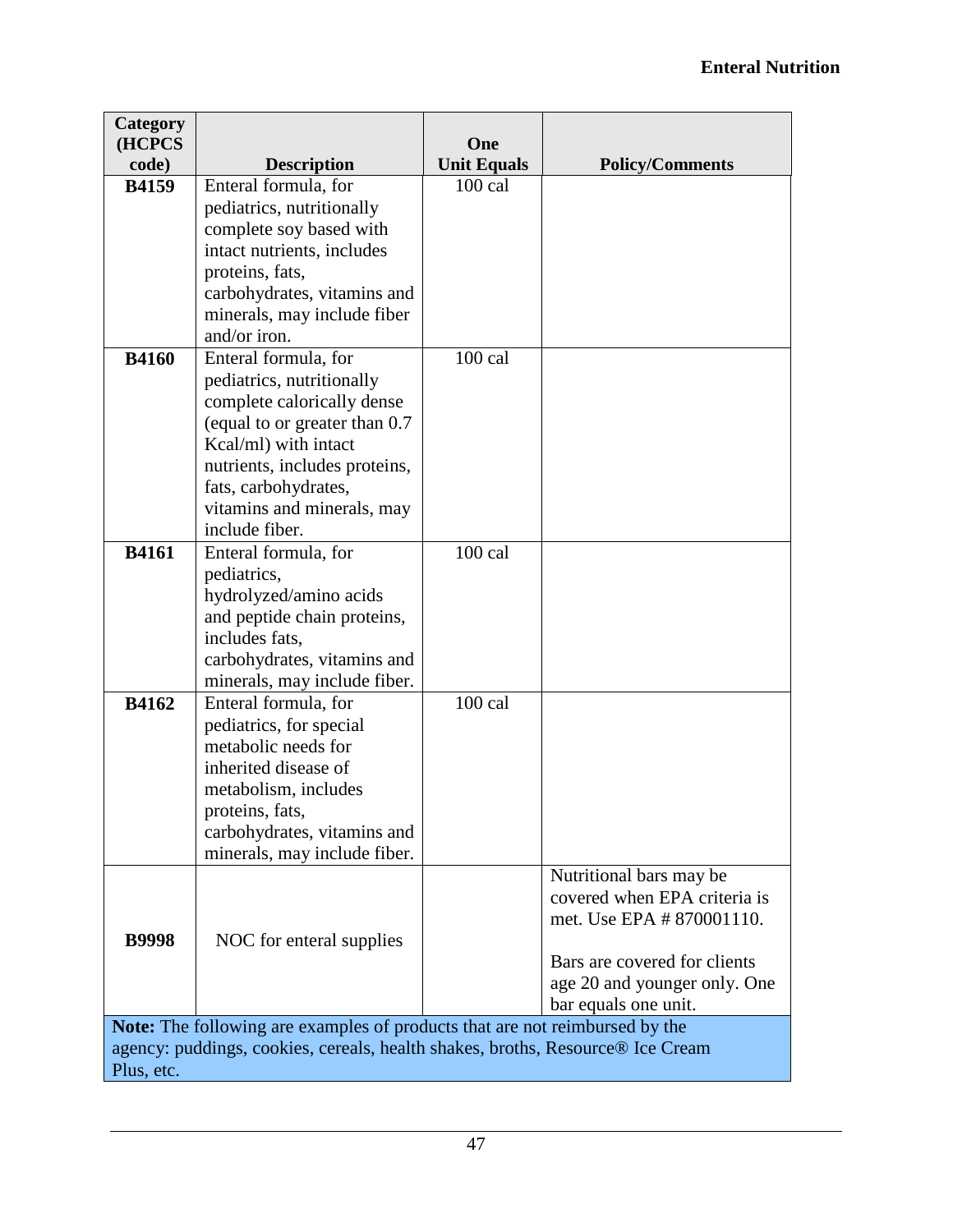| Category<br>(HCPCS                                                             |                                                                             | One                |                              |  |
|--------------------------------------------------------------------------------|-----------------------------------------------------------------------------|--------------------|------------------------------|--|
| code)                                                                          | <b>Description</b>                                                          | <b>Unit Equals</b> | <b>Policy/Comments</b>       |  |
| <b>B4159</b>                                                                   | Enteral formula, for                                                        | $100$ cal          |                              |  |
|                                                                                | pediatrics, nutritionally                                                   |                    |                              |  |
|                                                                                | complete soy based with                                                     |                    |                              |  |
|                                                                                | intact nutrients, includes                                                  |                    |                              |  |
|                                                                                | proteins, fats,                                                             |                    |                              |  |
|                                                                                | carbohydrates, vitamins and<br>minerals, may include fiber                  |                    |                              |  |
|                                                                                | and/or iron.                                                                |                    |                              |  |
| <b>B4160</b>                                                                   | Enteral formula, for                                                        | 100 cal            |                              |  |
|                                                                                | pediatrics, nutritionally                                                   |                    |                              |  |
|                                                                                | complete calorically dense                                                  |                    |                              |  |
|                                                                                | (equal to or greater than 0.7                                               |                    |                              |  |
|                                                                                | Kcal/ml) with intact                                                        |                    |                              |  |
|                                                                                | nutrients, includes proteins,                                               |                    |                              |  |
|                                                                                | fats, carbohydrates,                                                        |                    |                              |  |
|                                                                                | vitamins and minerals, may<br>include fiber.                                |                    |                              |  |
| <b>B4161</b>                                                                   | Enteral formula, for                                                        | $100$ cal          |                              |  |
|                                                                                | pediatrics,                                                                 |                    |                              |  |
|                                                                                | hydrolyzed/amino acids                                                      |                    |                              |  |
|                                                                                | and peptide chain proteins,                                                 |                    |                              |  |
|                                                                                | includes fats,                                                              |                    |                              |  |
|                                                                                | carbohydrates, vitamins and                                                 |                    |                              |  |
|                                                                                | minerals, may include fiber.                                                |                    |                              |  |
| <b>B4162</b>                                                                   | Enteral formula, for                                                        | 100 cal            |                              |  |
|                                                                                | pediatrics, for special<br>metabolic needs for                              |                    |                              |  |
|                                                                                | inherited disease of                                                        |                    |                              |  |
|                                                                                | metabolism, includes                                                        |                    |                              |  |
|                                                                                | proteins, fats,                                                             |                    |                              |  |
|                                                                                | carbohydrates, vitamins and                                                 |                    |                              |  |
|                                                                                | minerals, may include fiber.                                                |                    |                              |  |
|                                                                                |                                                                             |                    | Nutritional bars may be      |  |
|                                                                                |                                                                             |                    | covered when EPA criteria is |  |
| <b>B9998</b>                                                                   |                                                                             |                    | met. Use EPA # 870001110.    |  |
|                                                                                | NOC for enteral supplies                                                    |                    | Bars are covered for clients |  |
|                                                                                |                                                                             |                    | age 20 and younger only. One |  |
|                                                                                |                                                                             |                    | bar equals one unit.         |  |
|                                                                                | Note: The following are examples of products that are not reimbursed by the |                    |                              |  |
| agency: puddings, cookies, cereals, health shakes, broths, Resource® Ice Cream |                                                                             |                    |                              |  |
| Plus, etc.                                                                     |                                                                             |                    |                              |  |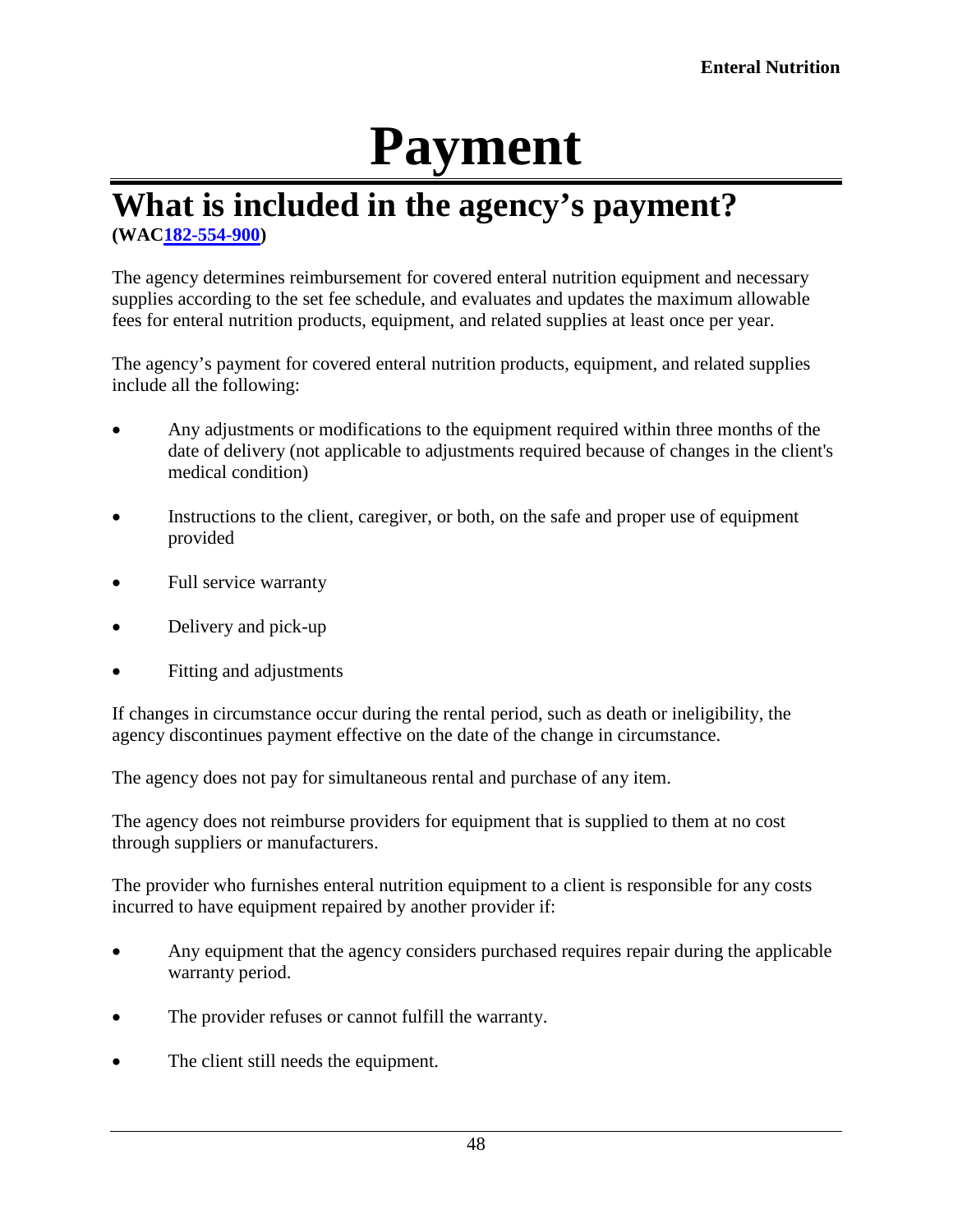# **Payment**

#### <span id="page-47-1"></span><span id="page-47-0"></span>**What is included in the agency's payment? (WA[C182-554-900\)](http://app.leg.wa.gov/WAC/default.aspx?cite=182-554-900)**

The agency determines reimbursement for covered enteral nutrition equipment and necessary supplies according to the set fee schedule, and evaluates and updates the maximum allowable fees for enteral nutrition products, equipment, and related supplies at least once per year.

The agency's payment for covered enteral nutrition products, equipment, and related supplies include all the following:

- Any adjustments or modifications to the equipment required within three months of the date of delivery (not applicable to adjustments required because of changes in the client's medical condition)
- Instructions to the client, caregiver, or both, on the safe and proper use of equipment provided
- Full service warranty
- Delivery and pick-up
- Fitting and adjustments

If changes in circumstance occur during the rental period, such as death or ineligibility, the agency discontinues payment effective on the date of the change in circumstance.

The agency does not pay for simultaneous rental and purchase of any item.

The agency does not reimburse providers for equipment that is supplied to them at no cost through suppliers or manufacturers.

The provider who furnishes enteral nutrition equipment to a client is responsible for any costs incurred to have equipment repaired by another provider if:

- Any equipment that the agency considers purchased requires repair during the applicable warranty period.
- The provider refuses or cannot fulfill the warranty.
- The client still needs the equipment.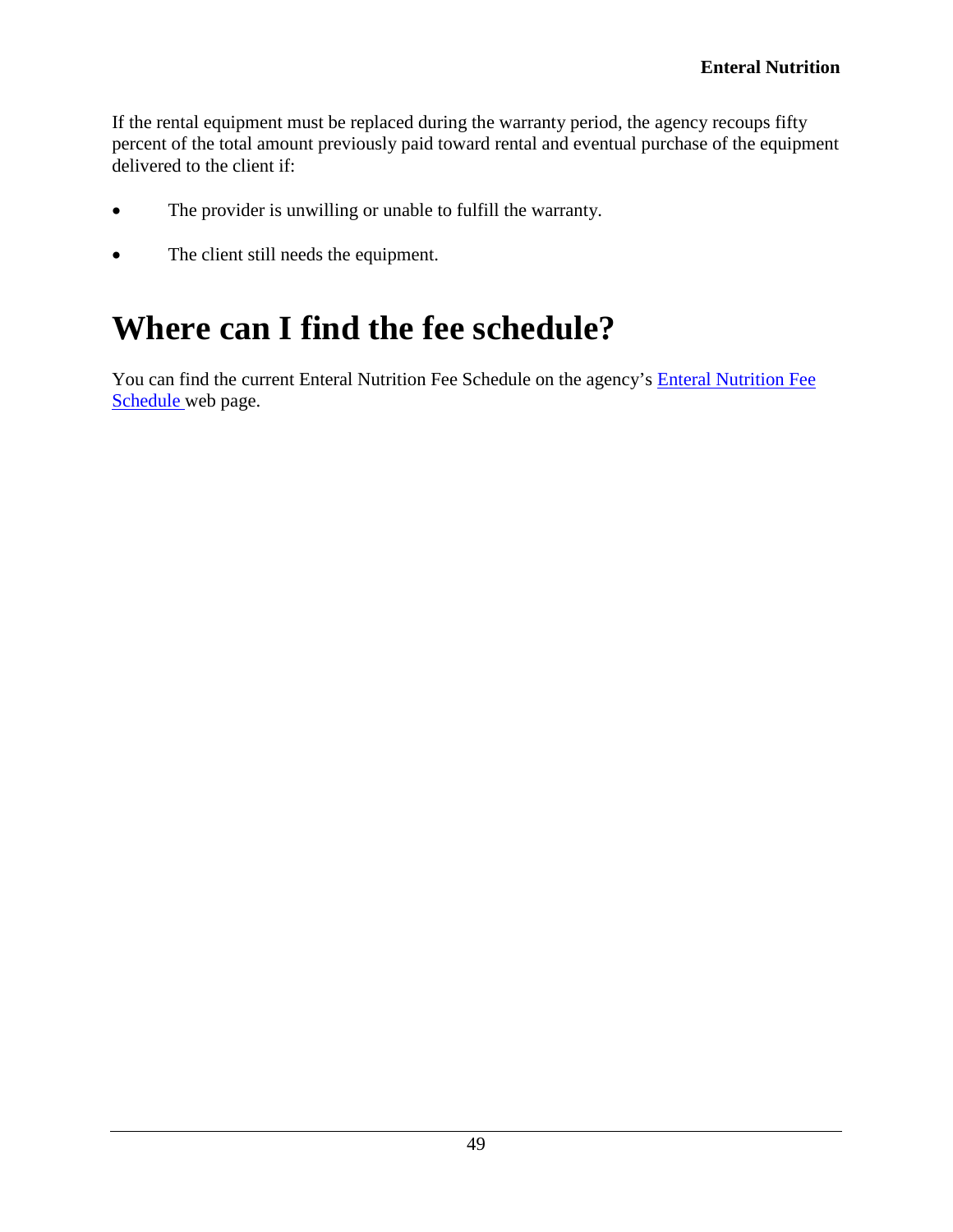If the rental equipment must be replaced during the warranty period, the agency recoups fifty percent of the total amount previously paid toward rental and eventual purchase of the equipment delivered to the client if:

- The provider is unwilling or unable to fulfill the warranty.
- The client still needs the equipment.

# <span id="page-48-0"></span>**Where can I find the fee schedule?**

You can find the current Enteral Nutrition Fee Schedule on the agency's [Enteral Nutrition Fee](https://www.hca.wa.gov/billers-providers/claims-and-billing/professional-rates-and-billing-guides#collapse_18_accordion)  [Schedule](https://www.hca.wa.gov/billers-providers/claims-and-billing/professional-rates-and-billing-guides#collapse_18_accordion) web page.